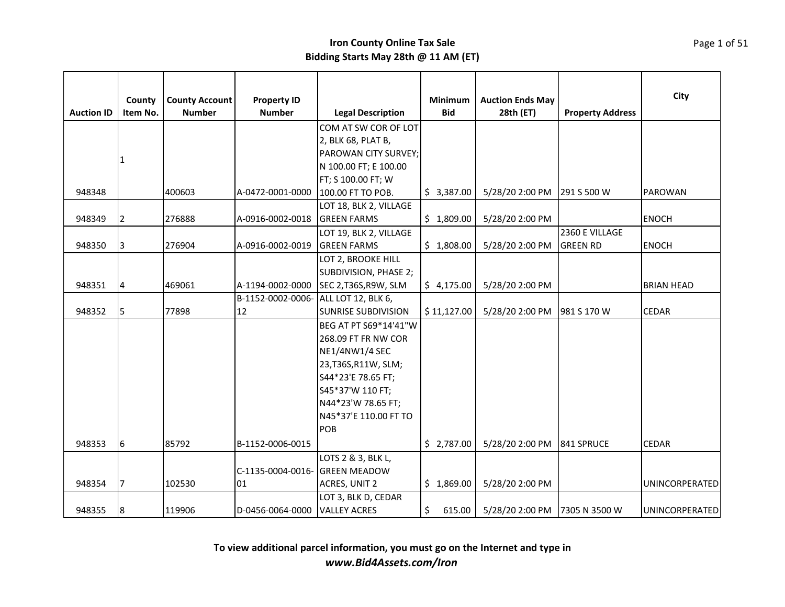|                   | County         | <b>County Account</b> | <b>Property ID</b>                   |                            | <b>Minimum</b> | <b>Auction Ends May</b> |                         | City                  |
|-------------------|----------------|-----------------------|--------------------------------------|----------------------------|----------------|-------------------------|-------------------------|-----------------------|
| <b>Auction ID</b> | Item No.       | <b>Number</b>         | <b>Number</b>                        | <b>Legal Description</b>   | <b>Bid</b>     | 28th (ET)               | <b>Property Address</b> |                       |
|                   |                |                       |                                      | COM AT SW COR OF LOT       |                |                         |                         |                       |
|                   |                |                       |                                      | 2, BLK 68, PLAT B,         |                |                         |                         |                       |
|                   | 1              |                       |                                      | PAROWAN CITY SURVEY;       |                |                         |                         |                       |
|                   |                |                       |                                      | N 100.00 FT; E 100.00      |                |                         |                         |                       |
|                   |                |                       |                                      | FT; S 100.00 FT; W         |                |                         |                         |                       |
| 948348            |                | 400603                | A-0472-0001-0000                     | 100.00 FT TO POB.          | \$3,387.00     | 5/28/20 2:00 PM         | 291 S 500 W             | PAROWAN               |
|                   |                |                       |                                      | LOT 18, BLK 2, VILLAGE     |                |                         |                         |                       |
| 948349            | 2              | 276888                | A-0916-0002-0018                     | <b>GREEN FARMS</b>         | \$1,809.00     | 5/28/20 2:00 PM         |                         | <b>ENOCH</b>          |
|                   |                |                       |                                      | LOT 19, BLK 2, VILLAGE     |                |                         | 2360 E VILLAGE          |                       |
| 948350            | 3              | 276904                | A-0916-0002-0019                     | <b>GREEN FARMS</b>         | \$1,808.00     | 5/28/20 2:00 PM         | <b>GREEN RD</b>         | <b>ENOCH</b>          |
|                   |                |                       |                                      | LOT 2, BROOKE HILL         |                |                         |                         |                       |
|                   |                |                       |                                      | SUBDIVISION, PHASE 2;      |                |                         |                         |                       |
| 948351            | $\overline{4}$ | 469061                | A-1194-0002-0000                     | SEC 2, T36S, R9W, SLM      | \$4,175.00     | 5/28/20 2:00 PM         |                         | <b>BRIAN HEAD</b>     |
|                   |                |                       | B-1152-0002-0006- ALL LOT 12, BLK 6, |                            |                |                         |                         |                       |
| 948352            | 5              | 77898                 | 12                                   | <b>SUNRISE SUBDIVISION</b> | \$11,127.00    | 5/28/20 2:00 PM         | 981 S 170 W             | <b>CEDAR</b>          |
|                   |                |                       |                                      | BEG AT PT S69*14'41"W      |                |                         |                         |                       |
|                   |                |                       |                                      | 268.09 FT FR NW COR        |                |                         |                         |                       |
|                   |                |                       |                                      | <b>NE1/4NW1/4 SEC</b>      |                |                         |                         |                       |
|                   |                |                       |                                      | 23, T36S, R11W, SLM;       |                |                         |                         |                       |
|                   |                |                       |                                      | S44*23'E 78.65 FT;         |                |                         |                         |                       |
|                   |                |                       |                                      | S45*37'W 110 FT;           |                |                         |                         |                       |
|                   |                |                       |                                      | N44*23'W 78.65 FT;         |                |                         |                         |                       |
|                   |                |                       |                                      | N45*37'E 110.00 FT TO      |                |                         |                         |                       |
|                   |                |                       |                                      | POB                        |                |                         |                         |                       |
| 948353            | 6              | 85792                 | B-1152-0006-0015                     |                            | \$2,787.00     | 5/28/20 2:00 PM         | 841 SPRUCE              | CEDAR                 |
|                   |                |                       |                                      | LOTS 2 & 3, BLK L,         |                |                         |                         |                       |
|                   |                |                       | C-1135-0004-0016- GREEN MEADOW       |                            |                |                         |                         |                       |
| 948354            | 7              | 102530                | 01                                   | ACRES, UNIT 2              | \$1,869.00     | 5/28/20 2:00 PM         |                         | <b>UNINCORPERATED</b> |
|                   |                |                       |                                      | LOT 3, BLK D, CEDAR        |                |                         |                         |                       |
| 948355            | 18             | 119906                | D-0456-0064-0000                     | <b>VALLEY ACRES</b>        | \$<br>615.00   | 5/28/20 2:00 PM         | 7305 N 3500 W           | <b>UNINCORPERATED</b> |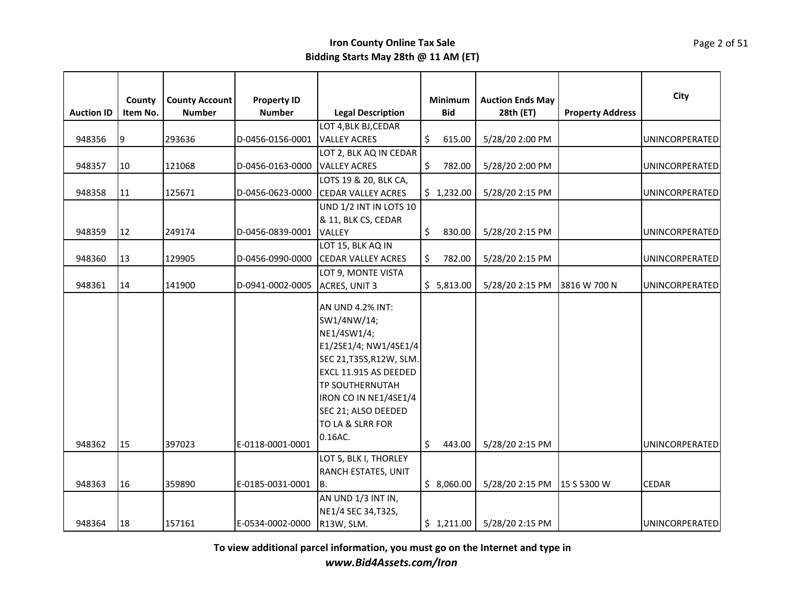| <b>Auction ID</b> | County<br>Item No. | <b>County Account</b><br><b>Number</b> | <b>Property ID</b><br><b>Number</b> | <b>Legal Description</b>                                                                                                                                                                                                                     | Minimum<br><b>Bid</b> | <b>Auction Ends May</b><br>28th (ET) | <b>Property Address</b> | City                  |
|-------------------|--------------------|----------------------------------------|-------------------------------------|----------------------------------------------------------------------------------------------------------------------------------------------------------------------------------------------------------------------------------------------|-----------------------|--------------------------------------|-------------------------|-----------------------|
| 948356<br>9       |                    | 293636                                 | D-0456-0156-0001                    | LOT 4, BLK BJ, CEDAR<br><b>VALLEY ACRES</b>                                                                                                                                                                                                  | \$<br>615.00          | 5/28/20 2:00 PM                      |                         | UNINCORPERATED        |
|                   |                    |                                        |                                     | LOT 2, BLK AQ IN CEDAR                                                                                                                                                                                                                       |                       |                                      |                         |                       |
| 948357            | 10                 | 121068                                 | D-0456-0163-0000                    | <b>VALLEY ACRES</b>                                                                                                                                                                                                                          | \$<br>782.00          | 5/28/20 2:00 PM                      |                         | UNINCORPERATED        |
|                   |                    |                                        |                                     | LOTS 19 & 20, BLK CA,                                                                                                                                                                                                                        |                       |                                      |                         |                       |
| 948358            | 11                 | 125671                                 | D-0456-0623-0000                    | <b>CEDAR VALLEY ACRES</b>                                                                                                                                                                                                                    | \$1,232.00            | 5/28/20 2:15 PM                      |                         | UNINCORPERATED        |
|                   |                    |                                        |                                     | UND 1/2 INT IN LOTS 10                                                                                                                                                                                                                       |                       |                                      |                         |                       |
| 948359            | 12                 | 249174                                 | D-0456-0839-0001                    | & 11, BLK CS, CEDAR<br>VALLEY                                                                                                                                                                                                                | \$<br>830.00          | 5/28/20 2:15 PM                      |                         | <b>UNINCORPERATED</b> |
|                   |                    |                                        |                                     | LOT 15, BLK AQ IN                                                                                                                                                                                                                            |                       |                                      |                         |                       |
| 948360            | 13                 | 129905                                 | D-0456-0990-0000                    | <b>CEDAR VALLEY ACRES</b>                                                                                                                                                                                                                    | \$<br>782.00          | 5/28/20 2:15 PM                      |                         | UNINCORPERATED        |
| 948361            | 14                 | 141900                                 | D-0941-0002-0005                    | LOT 9, MONTE VISTA<br>ACRES, UNIT 3                                                                                                                                                                                                          | \$5,813.00            | 5/28/20 2:15 PM                      | 3816 W 700 N            | UNINCORPERATED        |
| 948362            | 15                 | 397023                                 | E-0118-0001-0001                    | AN UND 4.2% INT:<br>SW1/4NW/14;<br>NE1/4SW1/4;<br>E1/2SE1/4; NW1/4SE1/4<br>SEC 21, T35S, R12W, SLM.<br><b>EXCL 11.915 AS DEEDED</b><br><b>TP SOUTHERNUTAH</b><br>IRON CO IN NE1/4SE1/4<br>SEC 21; ALSO DEEDED<br>TO LA & SLRR FOR<br>0.16AC. | \$<br>443.00          | 5/28/20 2:15 PM                      |                         | UNINCORPERATED        |
|                   |                    |                                        |                                     | LOT 5, BLK I, THORLEY                                                                                                                                                                                                                        |                       |                                      |                         |                       |
|                   |                    |                                        |                                     | <b>RANCH ESTATES, UNIT</b>                                                                                                                                                                                                                   |                       |                                      |                         |                       |
| 948363            | 16                 | 359890                                 | E-0185-0031-0001                    | IB.                                                                                                                                                                                                                                          | \$8,060.00            | 5/28/20 2:15 PM 15 S 5300 W          |                         | <b>CEDAR</b>          |
| 948364            | 18                 | 157161                                 | E-0534-0002-0000                    | AN UND 1/3 INT IN,<br>NE1/4 SEC 34, T32S,<br>R13W, SLM.                                                                                                                                                                                      | \$1,211.00            | 5/28/20 2:15 PM                      |                         | <b>UNINCORPERATED</b> |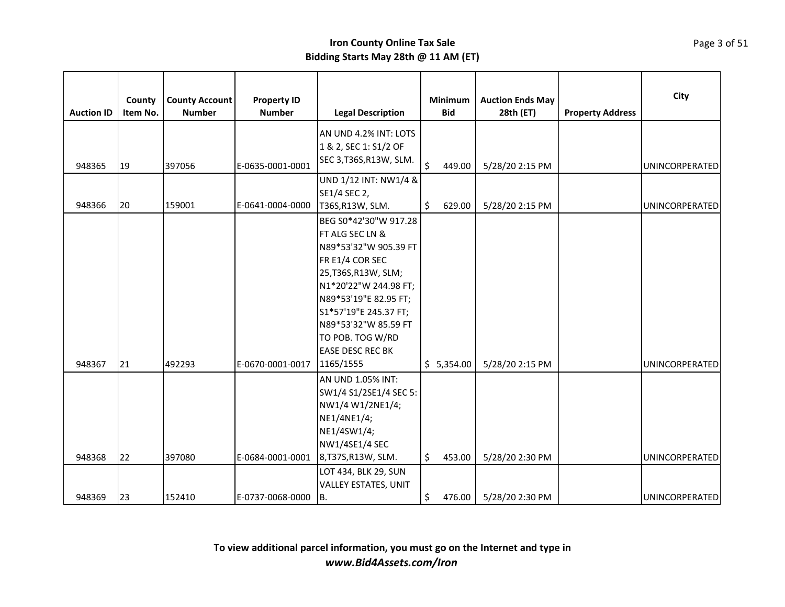| <b>Auction ID</b> | County<br>Item No. | <b>County Account</b><br><b>Number</b> | <b>Property ID</b><br><b>Number</b> | <b>Legal Description</b>                                                                                                                                                                                                                                                               |         | Minimum<br><b>Bid</b> | <b>Auction Ends May</b><br>28th (ET) | <b>Property Address</b> | City                  |
|-------------------|--------------------|----------------------------------------|-------------------------------------|----------------------------------------------------------------------------------------------------------------------------------------------------------------------------------------------------------------------------------------------------------------------------------------|---------|-----------------------|--------------------------------------|-------------------------|-----------------------|
| 948365            | 19                 | 397056                                 | E-0635-0001-0001                    | AN UND 4.2% INT: LOTS<br>1 & 2, SEC 1: S1/2 OF<br>SEC 3, T36S, R13W, SLM.                                                                                                                                                                                                              | $\zeta$ | 449.00                | 5/28/20 2:15 PM                      |                         | <b>UNINCORPERATED</b> |
| 948366            | 20                 | 159001                                 | E-0641-0004-0000                    | UND 1/12 INT: NW1/4 &<br>SE1/4 SEC 2,<br>T36S, R13W, SLM.                                                                                                                                                                                                                              | \$      | 629.00                | 5/28/20 2:15 PM                      |                         | <b>UNINCORPERATED</b> |
| 948367            | 21                 | 492293                                 | E-0670-0001-0017                    | BEG S0*42'30"W 917.28<br><b>FT ALG SEC LN &amp;</b><br>N89*53'32"W 905.39 FT<br>FR E1/4 COR SEC<br>25, T36S, R13W, SLM;<br>N1*20'22"W 244.98 FT;<br>N89*53'19"E 82.95 FT;<br>S1*57'19"E 245.37 FT;<br>N89*53'32"W 85.59 FT<br>TO POB. TOG W/RD<br><b>EASE DESC REC BK</b><br>1165/1555 |         | \$5,354.00            | 5/28/20 2:15 PM                      |                         | <b>UNINCORPERATED</b> |
| 948368            | 22                 | 397080                                 | E-0684-0001-0001                    | AN UND 1.05% INT:<br>SW1/4 S1/2SE1/4 SEC 5:<br>NW1/4 W1/2NE1/4;<br>NE1/4NE1/4;<br>NE1/4SW1/4;<br>NW1/4SE1/4 SEC<br>8, T37S, R13W, SLM.                                                                                                                                                 | \$      | 453.00                | 5/28/20 2:30 PM                      |                         | <b>UNINCORPERATED</b> |
| 948369            | 23                 | 152410                                 | E-0737-0068-0000                    | LOT 434, BLK 29, SUN<br><b>VALLEY ESTATES, UNIT</b><br>B.                                                                                                                                                                                                                              | \$      | 476.00                | 5/28/20 2:30 PM                      |                         | <b>UNINCORPERATED</b> |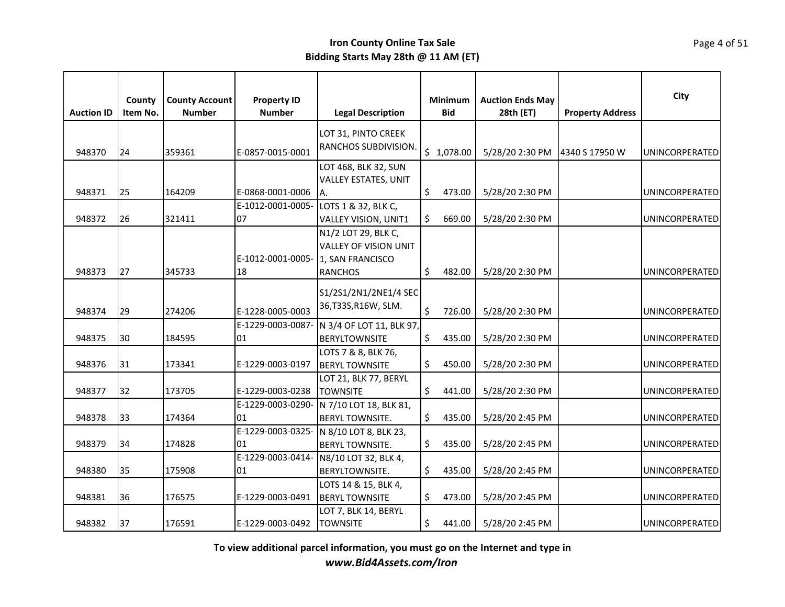| <b>Auction ID</b> | County<br>Item No. | <b>County Account</b><br><b>Number</b> | <b>Property ID</b><br><b>Number</b>   | <b>Legal Description</b>     |         | Minimum<br><b>Bid</b> | <b>Auction Ends May</b><br>28th (ET) | <b>Property Address</b> | City                  |
|-------------------|--------------------|----------------------------------------|---------------------------------------|------------------------------|---------|-----------------------|--------------------------------------|-------------------------|-----------------------|
|                   |                    |                                        |                                       | LOT 31, PINTO CREEK          |         |                       |                                      |                         |                       |
| 948370            | 24                 | 359361                                 | E-0857-0015-0001                      | RANCHOS SUBDIVISION.         |         | \$1,078.00            | 5/28/20 2:30 PM                      | 4340 S 17950 W          | UNINCORPERATED        |
|                   |                    |                                        |                                       | LOT 468, BLK 32, SUN         |         |                       |                                      |                         |                       |
|                   |                    |                                        |                                       | <b>VALLEY ESTATES, UNIT</b>  |         |                       |                                      |                         |                       |
| 948371            | 25                 | 164209                                 | E-0868-0001-0006                      | IA.                          | \$      | 473.00                | 5/28/20 2:30 PM                      |                         | UNINCORPERATED        |
|                   |                    |                                        | E-1012-0001-0005- LOTS 1 & 32, BLK C, |                              |         |                       |                                      |                         |                       |
| 948372            | 26                 | 321411                                 | 07                                    | VALLEY VISION, UNIT1         | \$      | 669.00                | 5/28/20 2:30 PM                      |                         | UNINCORPERATED        |
|                   |                    |                                        |                                       | N1/2 LOT 29, BLK C,          |         |                       |                                      |                         |                       |
|                   |                    |                                        |                                       | <b>VALLEY OF VISION UNIT</b> |         |                       |                                      |                         |                       |
|                   |                    |                                        | E-1012-0001-0005- 1, SAN FRANCISCO    |                              |         |                       |                                      |                         |                       |
| 948373            | 27                 | 345733                                 | 18                                    | <b>RANCHOS</b>               | \$      | 482.00                | 5/28/20 2:30 PM                      |                         | <b>UNINCORPERATED</b> |
|                   |                    |                                        |                                       | S1/2S1/2N1/2NE1/4 SEC        |         |                       |                                      |                         |                       |
| 948374            | 29                 | 274206                                 | E-1228-0005-0003                      | 36, T33S, R16W, SLM.         | $\zeta$ | 726.00                | 5/28/20 2:30 PM                      |                         | UNINCORPERATED        |
|                   |                    |                                        | E-1229-0003-0087-                     | N 3/4 OF LOT 11, BLK 97,     |         |                       |                                      |                         |                       |
| 948375            | 30                 | 184595                                 | 01                                    | <b>BERYLTOWNSITE</b>         | \$      | 435.00                | 5/28/20 2:30 PM                      |                         | UNINCORPERATED        |
|                   |                    |                                        |                                       | LOTS 7 & 8, BLK 76,          |         |                       |                                      |                         |                       |
| 948376            | 31                 | 173341                                 | E-1229-0003-0197                      | <b>BERYL TOWNSITE</b>        | \$      | 450.00                | 5/28/20 2:30 PM                      |                         | UNINCORPERATED        |
|                   |                    |                                        |                                       | LOT 21, BLK 77, BERYL        |         |                       |                                      |                         |                       |
| 948377            | 32                 | 173705                                 | E-1229-0003-0238                      | <b>TOWNSITE</b>              | \$      | 441.00                | 5/28/20 2:30 PM                      |                         | UNINCORPERATED        |
|                   |                    |                                        | E-1229-0003-0290-                     | N 7/10 LOT 18, BLK 81,       |         |                       |                                      |                         |                       |
| 948378            | 33                 | 174364                                 | 01                                    | <b>BERYL TOWNSITE.</b>       | \$      | 435.00                | 5/28/20 2:45 PM                      |                         | <b>UNINCORPERATED</b> |
|                   |                    |                                        | E-1229-0003-0325-                     | N 8/10 LOT 8, BLK 23,        |         |                       |                                      |                         |                       |
| 948379            | 34                 | 174828                                 | 01                                    | <b>BERYL TOWNSITE.</b>       | \$      | 435.00                | 5/28/20 2:45 PM                      |                         | UNINCORPERATED        |
|                   |                    |                                        | E-1229-0003-0414-                     | N8/10 LOT 32, BLK 4,         |         |                       |                                      |                         |                       |
| 948380            | 35                 | 175908                                 | 01                                    | BERYLTOWNSITE.               | \$      | 435.00                | 5/28/20 2:45 PM                      |                         | UNINCORPERATED        |
|                   |                    |                                        |                                       | LOTS 14 & 15, BLK 4,         |         |                       |                                      |                         |                       |
| 948381            | 36                 | 176575                                 | E-1229-0003-0491                      | <b>BERYL TOWNSITE</b>        | \$      | 473.00                | 5/28/20 2:45 PM                      |                         | UNINCORPERATED        |
|                   |                    |                                        |                                       | LOT 7, BLK 14, BERYL         |         |                       |                                      |                         |                       |
| 948382            | 37                 | 176591                                 | E-1229-0003-0492                      | <b>TOWNSITE</b>              | \$.     | 441.00                | 5/28/20 2:45 PM                      |                         | UNINCORPERATED        |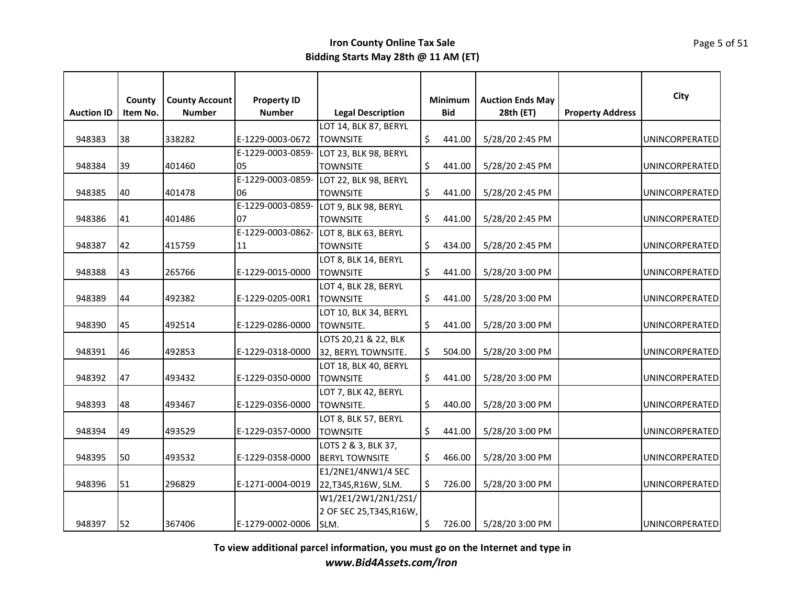| <b>Auction ID</b> | County<br>Item No. | <b>County Account</b><br><b>Number</b> | <b>Property ID</b><br><b>Number</b> | <b>Legal Description</b>                |    | <b>Minimum</b><br><b>Bid</b> | <b>Auction Ends May</b><br>28th (ET) | <b>Property Address</b> | City                  |
|-------------------|--------------------|----------------------------------------|-------------------------------------|-----------------------------------------|----|------------------------------|--------------------------------------|-------------------------|-----------------------|
|                   |                    |                                        |                                     | LOT 14, BLK 87, BERYL                   |    |                              |                                      |                         |                       |
| 948383            | 38                 | 338282                                 | E-1229-0003-0672                    | <b>TOWNSITE</b>                         | \$ | 441.00                       | 5/28/20 2:45 PM                      |                         | <b>UNINCORPERATED</b> |
|                   |                    |                                        | E-1229-0003-0859-                   | LOT 23, BLK 98, BERYL                   |    |                              |                                      |                         |                       |
| 948384            | 39                 | 401460                                 | 05                                  | <b>TOWNSITE</b>                         | \$ | 441.00                       | 5/28/20 2:45 PM                      |                         | <b>UNINCORPERATED</b> |
|                   |                    |                                        |                                     | E-1229-0003-0859- LOT 22, BLK 98, BERYL |    |                              |                                      |                         |                       |
| 948385            | 40                 | 401478                                 | 06                                  | <b>TOWNSITE</b>                         | \$ | 441.00                       | 5/28/20 2:45 PM                      |                         | UNINCORPERATED        |
|                   |                    |                                        |                                     | E-1229-0003-0859- LOT 9, BLK 98, BERYL  |    |                              |                                      |                         |                       |
| 948386            | 41                 | 401486                                 | 07                                  | <b>TOWNSITE</b>                         | \$ | 441.00                       | 5/28/20 2:45 PM                      |                         | UNINCORPERATED        |
|                   |                    |                                        | E-1229-0003-0862-                   | LOT 8, BLK 63, BERYL                    |    |                              |                                      |                         |                       |
| 948387            | 42                 | 415759                                 | 11                                  | <b>TOWNSITE</b>                         | Ś. | 434.00                       | 5/28/20 2:45 PM                      |                         | <b>UNINCORPERATED</b> |
|                   |                    |                                        |                                     | LOT 8, BLK 14, BERYL                    |    |                              |                                      |                         |                       |
| 948388            | 43                 | 265766                                 | E-1229-0015-0000                    | <b>TOWNSITE</b>                         | Ś. | 441.00                       | 5/28/20 3:00 PM                      |                         | UNINCORPERATED        |
|                   |                    |                                        |                                     | LOT 4, BLK 28, BERYL                    |    |                              |                                      |                         |                       |
| 948389            | 44                 | 492382                                 | E-1229-0205-00R1                    | <b>TOWNSITE</b>                         |    | 441.00                       | 5/28/20 3:00 PM                      |                         | <b>UNINCORPERATED</b> |
|                   |                    |                                        |                                     | LOT 10, BLK 34, BERYL                   |    |                              |                                      |                         |                       |
| 948390            | 45                 | 492514                                 | E-1229-0286-0000                    | TOWNSITE.                               | \$ | 441.00                       | 5/28/20 3:00 PM                      |                         | <b>UNINCORPERATED</b> |
|                   |                    |                                        |                                     | LOTS 20,21 & 22, BLK                    |    |                              |                                      |                         |                       |
| 948391            | 46                 | 492853                                 | E-1229-0318-0000                    | 32, BERYL TOWNSITE.                     | \$ | 504.00                       | 5/28/20 3:00 PM                      |                         | UNINCORPERATED        |
|                   |                    |                                        |                                     | LOT 18, BLK 40, BERYL                   |    |                              |                                      |                         |                       |
| 948392            | 47                 | 493432                                 | E-1229-0350-0000                    | <b>TOWNSITE</b>                         | \$ | 441.00                       | 5/28/20 3:00 PM                      |                         | UNINCORPERATED        |
|                   |                    |                                        |                                     | LOT 7, BLK 42, BERYL                    |    |                              |                                      |                         |                       |
| 948393            | 48                 | 493467                                 | E-1229-0356-0000                    | TOWNSITE.                               | Ś. | 440.00                       | 5/28/20 3:00 PM                      |                         | UNINCORPERATED        |
|                   |                    |                                        |                                     | LOT 8, BLK 57, BERYL                    |    |                              |                                      |                         |                       |
| 948394            | 49                 | 493529                                 | E-1229-0357-0000                    | <b>TOWNSITE</b>                         | \$ | 441.00                       | 5/28/20 3:00 PM                      |                         | UNINCORPERATED        |
|                   |                    |                                        |                                     | LOTS 2 & 3, BLK 37,                     |    |                              |                                      |                         |                       |
| 948395            | 50                 | 493532                                 | E-1229-0358-0000                    | <b>BERYL TOWNSITE</b>                   | \$ | 466.00                       | 5/28/20 3:00 PM                      |                         | <b>UNINCORPERATED</b> |
|                   |                    |                                        |                                     | E1/2NE1/4NW1/4 SEC                      |    |                              |                                      |                         |                       |
| 948396            | 51                 | 296829                                 | E-1271-0004-0019                    | 22, T34S, R16W, SLM.                    | Ŝ. | 726.00                       | 5/28/20 3:00 PM                      |                         | <b>UNINCORPERATED</b> |
|                   |                    |                                        |                                     | W1/2E1/2W1/2N1/2S1/                     |    |                              |                                      |                         |                       |
|                   |                    |                                        |                                     | 2 OF SEC 25, T34S, R16W,                |    |                              |                                      |                         |                       |
| 948397            | 52                 | 367406                                 | E-1279-0002-0006                    | SLM.                                    | \$ | 726.00                       | 5/28/20 3:00 PM                      |                         | UNINCORPERATED        |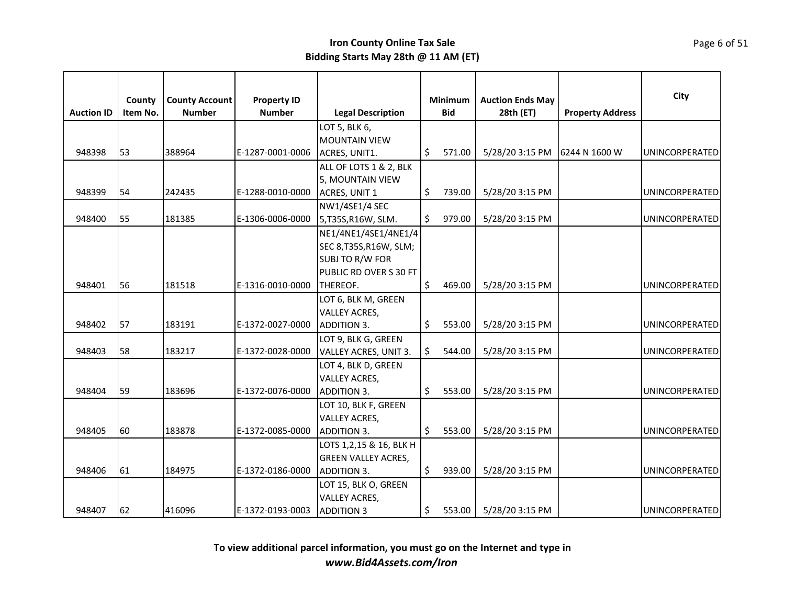|                   | County   | <b>County Account</b> |                                     |                               | Minimum      | <b>Auction Ends May</b> |                         | City                  |
|-------------------|----------|-----------------------|-------------------------------------|-------------------------------|--------------|-------------------------|-------------------------|-----------------------|
| <b>Auction ID</b> | Item No. | <b>Number</b>         | <b>Property ID</b><br><b>Number</b> | <b>Legal Description</b>      | <b>Bid</b>   | 28th (ET)               | <b>Property Address</b> |                       |
|                   |          |                       |                                     | LOT 5, BLK 6,                 |              |                         |                         |                       |
|                   |          |                       |                                     | <b>MOUNTAIN VIEW</b>          |              |                         |                         |                       |
| 948398            | 53       | 388964                | E-1287-0001-0006                    | ACRES, UNIT1.                 | \$<br>571.00 | 5/28/20 3:15 PM         | 6244 N 1600 W           | <b>UNINCORPERATED</b> |
|                   |          |                       |                                     | ALL OF LOTS 1 & 2, BLK        |              |                         |                         |                       |
|                   |          |                       |                                     | 5, MOUNTAIN VIEW              |              |                         |                         |                       |
| 948399            | 54       | 242435                | E-1288-0010-0000                    | ACRES, UNIT 1                 | \$<br>739.00 | 5/28/20 3:15 PM         |                         | <b>UNINCORPERATED</b> |
|                   |          |                       |                                     | NW1/4SE1/4 SEC                |              |                         |                         |                       |
| 948400            | 55       | 181385                | E-1306-0006-0000                    | 5,T35S,R16W, SLM.             | \$<br>979.00 | 5/28/20 3:15 PM         |                         | <b>UNINCORPERATED</b> |
|                   |          |                       |                                     | NE1/4NE1/4SE1/4NE1/4          |              |                         |                         |                       |
|                   |          |                       |                                     | SEC 8, T35S, R16W, SLM;       |              |                         |                         |                       |
|                   |          |                       |                                     | <b>SUBJ TO R/W FOR</b>        |              |                         |                         |                       |
|                   |          |                       |                                     | <b>PUBLIC RD OVER S 30 FT</b> |              |                         |                         |                       |
| 948401            | 56       | 181518                | E-1316-0010-0000                    | THEREOF.                      | \$<br>469.00 | 5/28/20 3:15 PM         |                         | UNINCORPERATED        |
|                   |          |                       |                                     | LOT 6, BLK M, GREEN           |              |                         |                         |                       |
|                   |          |                       |                                     | <b>VALLEY ACRES,</b>          |              |                         |                         |                       |
| 948402            | 57       | 183191                | E-1372-0027-0000                    | <b>ADDITION 3.</b>            | \$<br>553.00 | 5/28/20 3:15 PM         |                         | UNINCORPERATED        |
|                   |          |                       |                                     | LOT 9, BLK G, GREEN           |              |                         |                         |                       |
| 948403            | 58       | 183217                | E-1372-0028-0000                    | VALLEY ACRES, UNIT 3.         | \$<br>544.00 | 5/28/20 3:15 PM         |                         | UNINCORPERATED        |
|                   |          |                       |                                     | LOT 4, BLK D, GREEN           |              |                         |                         |                       |
|                   |          |                       |                                     | <b>VALLEY ACRES,</b>          |              |                         |                         |                       |
| 948404            | 59       | 183696                | E-1372-0076-0000                    | <b>ADDITION 3.</b>            | \$<br>553.00 | 5/28/20 3:15 PM         |                         | <b>UNINCORPERATED</b> |
|                   |          |                       |                                     | LOT 10, BLK F, GREEN          |              |                         |                         |                       |
|                   |          |                       |                                     | <b>VALLEY ACRES,</b>          |              |                         |                         |                       |
| 948405            | 60       | 183878                | E-1372-0085-0000                    | <b>ADDITION 3.</b>            | \$<br>553.00 | 5/28/20 3:15 PM         |                         | UNINCORPERATED        |
|                   |          |                       |                                     | LOTS 1, 2, 15 & 16, BLK H     |              |                         |                         |                       |
|                   |          |                       |                                     | <b>GREEN VALLEY ACRES,</b>    |              |                         |                         |                       |
| 948406            | 61       | 184975                | E-1372-0186-0000                    | <b>ADDITION 3.</b>            | \$<br>939.00 | 5/28/20 3:15 PM         |                         | <b>UNINCORPERATED</b> |
|                   |          |                       |                                     | LOT 15, BLK O, GREEN          |              |                         |                         |                       |
|                   |          |                       |                                     | <b>VALLEY ACRES,</b>          |              |                         |                         |                       |
| 948407            | 62       | 416096                | E-1372-0193-0003                    | <b>ADDITION 3</b>             | \$<br>553.00 | 5/28/20 3:15 PM         |                         | <b>UNINCORPERATED</b> |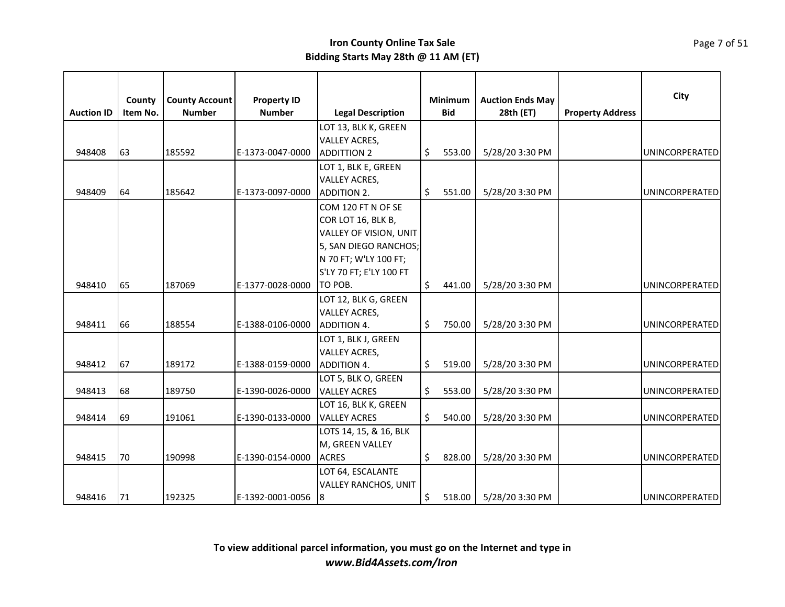|                   | County   | <b>County Account</b> | <b>Property ID</b> |                             |     | <b>Minimum</b> | <b>Auction Ends May</b> |                         | City                  |
|-------------------|----------|-----------------------|--------------------|-----------------------------|-----|----------------|-------------------------|-------------------------|-----------------------|
| <b>Auction ID</b> | Item No. | <b>Number</b>         | <b>Number</b>      | <b>Legal Description</b>    |     | <b>Bid</b>     | 28th (ET)               | <b>Property Address</b> |                       |
|                   |          |                       |                    | LOT 13, BLK K, GREEN        |     |                |                         |                         |                       |
|                   |          |                       |                    | <b>VALLEY ACRES,</b>        |     |                |                         |                         |                       |
| 948408            | 63       | 185592                | E-1373-0047-0000   | <b>ADDITTION 2</b>          | \$  | 553.00         | 5/28/20 3:30 PM         |                         | UNINCORPERATED        |
|                   |          |                       |                    | LOT 1, BLK E, GREEN         |     |                |                         |                         |                       |
|                   |          |                       |                    | <b>VALLEY ACRES,</b>        |     |                |                         |                         |                       |
| 948409            | 64       | 185642                | E-1373-0097-0000   | ADDITION 2.                 | \$. | 551.00         | 5/28/20 3:30 PM         |                         | UNINCORPERATED        |
|                   |          |                       |                    | COM 120 FT N OF SE          |     |                |                         |                         |                       |
|                   |          |                       |                    | COR LOT 16, BLK B,          |     |                |                         |                         |                       |
|                   |          |                       |                    | VALLEY OF VISION, UNIT      |     |                |                         |                         |                       |
|                   |          |                       |                    | 5, SAN DIEGO RANCHOS;       |     |                |                         |                         |                       |
|                   |          |                       |                    | N 70 FT; W'LY 100 FT;       |     |                |                         |                         |                       |
|                   |          |                       |                    | S'LY 70 FT; E'LY 100 FT     |     |                |                         |                         |                       |
| 948410            | 65       | 187069                | E-1377-0028-0000   | TO POB.                     | \$  | 441.00         | 5/28/20 3:30 PM         |                         | UNINCORPERATED        |
|                   |          |                       |                    | LOT 12, BLK G, GREEN        |     |                |                         |                         |                       |
|                   |          |                       |                    | <b>VALLEY ACRES,</b>        |     |                |                         |                         |                       |
| 948411            | 66       | 188554                | E-1388-0106-0000   | ADDITION 4.                 | \$  | 750.00         | 5/28/20 3:30 PM         |                         | UNINCORPERATED        |
|                   |          |                       |                    | LOT 1, BLK J, GREEN         |     |                |                         |                         |                       |
|                   |          |                       |                    | <b>VALLEY ACRES,</b>        |     |                |                         |                         |                       |
| 948412            | 67       | 189172                | E-1388-0159-0000   | <b>ADDITION 4.</b>          | \$  | 519.00         | 5/28/20 3:30 PM         |                         | UNINCORPERATED        |
|                   |          |                       |                    | LOT 5, BLK O, GREEN         |     |                |                         |                         |                       |
| 948413            | 68       | 189750                | E-1390-0026-0000   | <b>VALLEY ACRES</b>         | \$. | 553.00         | 5/28/20 3:30 PM         |                         | UNINCORPERATED        |
|                   |          |                       |                    | LOT 16, BLK K, GREEN        |     |                |                         |                         |                       |
| 948414            | 69       | 191061                | E-1390-0133-0000   | <b>VALLEY ACRES</b>         | \$  | 540.00         | 5/28/20 3:30 PM         |                         | UNINCORPERATED        |
|                   |          |                       |                    | LOTS 14, 15, & 16, BLK      |     |                |                         |                         |                       |
|                   |          |                       |                    | M, GREEN VALLEY             |     |                |                         |                         |                       |
| 948415            | 70       | 190998                | E-1390-0154-0000   | <b>ACRES</b>                | \$  | 828.00         | 5/28/20 3:30 PM         |                         | UNINCORPERATED        |
|                   |          |                       |                    | LOT 64, ESCALANTE           |     |                |                         |                         |                       |
|                   |          |                       |                    | <b>VALLEY RANCHOS, UNIT</b> |     |                |                         |                         |                       |
| 948416            | 71       | 192325                | E-1392-0001-0056   | 8                           | \$  | 518.00         | 5/28/20 3:30 PM         |                         | <b>UNINCORPERATED</b> |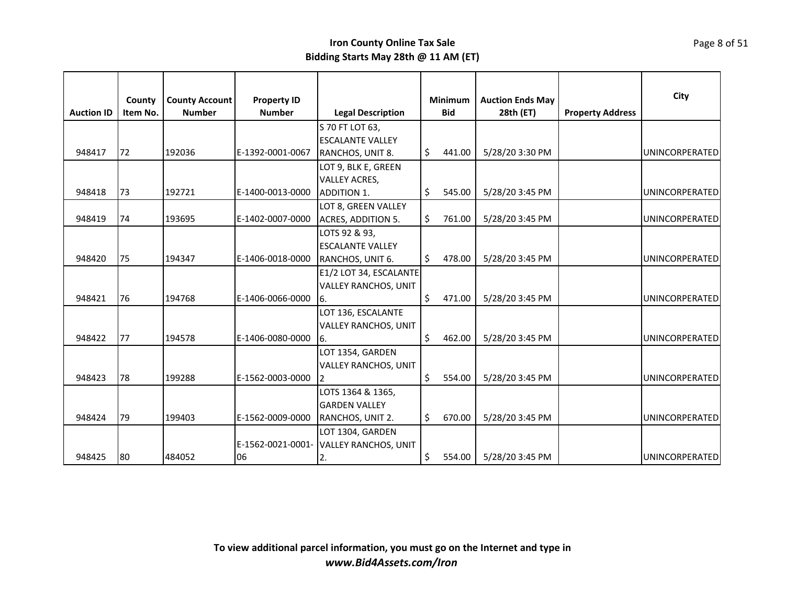|                   | County   | <b>County Account</b> | <b>Property ID</b> |                                        |    | Minimum    | <b>Auction Ends May</b> |                         | City                  |
|-------------------|----------|-----------------------|--------------------|----------------------------------------|----|------------|-------------------------|-------------------------|-----------------------|
| <b>Auction ID</b> | Item No. | <b>Number</b>         | <b>Number</b>      | <b>Legal Description</b>               |    | <b>Bid</b> | 28th (ET)               | <b>Property Address</b> |                       |
|                   |          |                       |                    | S 70 FT LOT 63.                        |    |            |                         |                         |                       |
|                   |          |                       |                    | <b>ESCALANTE VALLEY</b>                |    |            |                         |                         |                       |
| 948417            | 72       | 192036                | E-1392-0001-0067   | RANCHOS, UNIT 8.                       | \$ | 441.00     | 5/28/20 3:30 PM         |                         | <b>UNINCORPERATED</b> |
|                   |          |                       |                    | LOT 9, BLK E, GREEN                    |    |            |                         |                         |                       |
|                   |          |                       |                    | <b>VALLEY ACRES,</b>                   |    |            |                         |                         |                       |
| 948418            | 73       | 192721                | E-1400-0013-0000   | <b>ADDITION 1.</b>                     | \$ | 545.00     | 5/28/20 3:45 PM         |                         | <b>UNINCORPERATED</b> |
|                   |          |                       |                    | LOT 8, GREEN VALLEY                    |    |            |                         |                         |                       |
| 948419            | 74       | 193695                | E-1402-0007-0000   | <b>ACRES, ADDITION 5.</b>              | \$ | 761.00     | 5/28/20 3:45 PM         |                         | <b>UNINCORPERATED</b> |
|                   |          |                       |                    | LOTS 92 & 93,                          |    |            |                         |                         |                       |
|                   |          |                       |                    | <b>ESCALANTE VALLEY</b>                |    |            |                         |                         |                       |
| 948420            | 75       | 194347                | E-1406-0018-0000   | RANCHOS, UNIT 6.                       | Ś. | 478.00     | 5/28/20 3:45 PM         |                         | UNINCORPERATED        |
|                   |          |                       |                    | E1/2 LOT 34, ESCALANTE                 |    |            |                         |                         |                       |
|                   |          |                       |                    | <b>VALLEY RANCHOS, UNIT</b>            |    |            |                         |                         |                       |
| 948421            | 76       | 194768                | E-1406-0066-0000   | 16.                                    | \$ | 471.00     | 5/28/20 3:45 PM         |                         | <b>UNINCORPERATED</b> |
|                   |          |                       |                    | LOT 136, ESCALANTE                     |    |            |                         |                         |                       |
|                   |          |                       |                    | <b>VALLEY RANCHOS, UNIT</b>            |    |            |                         |                         |                       |
| 948422            | 77       | 194578                | E-1406-0080-0000   | 16.                                    | Ś. | 462.00     | 5/28/20 3:45 PM         |                         | UNINCORPERATED        |
|                   |          |                       |                    | LOT 1354, GARDEN                       |    |            |                         |                         |                       |
|                   |          |                       |                    | <b>VALLEY RANCHOS, UNIT</b>            |    |            |                         |                         |                       |
| 948423            | 78       | 199288                | E-1562-0003-0000   | 12                                     | \$ | 554.00     | 5/28/20 3:45 PM         |                         | UNINCORPERATED        |
|                   |          |                       |                    | LOTS 1364 & 1365,                      |    |            |                         |                         |                       |
|                   |          |                       |                    | <b>GARDEN VALLEY</b>                   |    |            |                         |                         |                       |
| 948424            | 79       | 199403                | E-1562-0009-0000   | RANCHOS, UNIT 2.                       | \$ | 670.00     | 5/28/20 3:45 PM         |                         | UNINCORPERATED        |
|                   |          |                       |                    | LOT 1304, GARDEN                       |    |            |                         |                         |                       |
|                   |          |                       |                    | E-1562-0021-0001- VALLEY RANCHOS, UNIT |    |            |                         |                         |                       |
| 948425            | 80       | 484052                | 06                 | 2.                                     | \$ | 554.00     | 5/28/20 3:45 PM         |                         | <b>UNINCORPERATED</b> |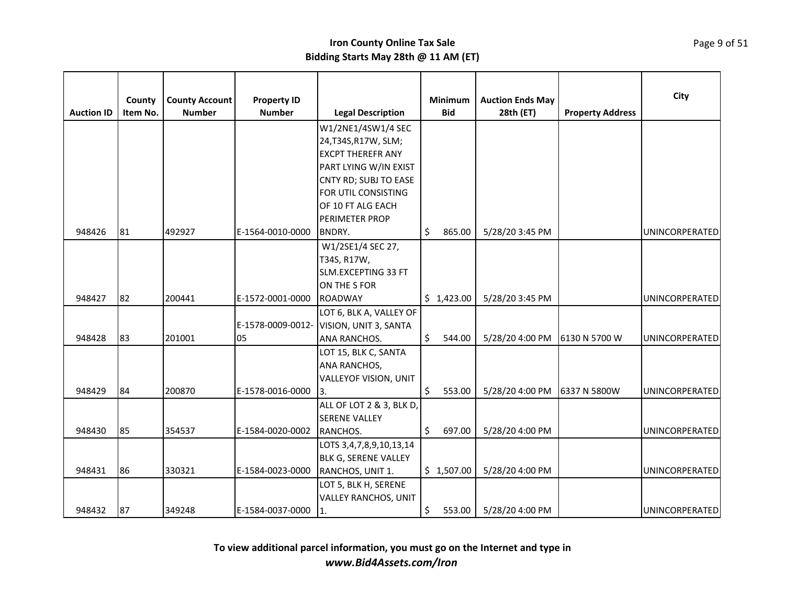|                   | County   | <b>County Account</b> | <b>Property ID</b> |                              | Minimum      | <b>Auction Ends May</b> |                         | City                  |
|-------------------|----------|-----------------------|--------------------|------------------------------|--------------|-------------------------|-------------------------|-----------------------|
| <b>Auction ID</b> | Item No. | <b>Number</b>         | <b>Number</b>      | <b>Legal Description</b>     | <b>Bid</b>   | 28th (ET)               | <b>Property Address</b> |                       |
|                   |          |                       |                    | W1/2NE1/4SW1/4 SEC           |              |                         |                         |                       |
|                   |          |                       |                    | 24, T34S, R17W, SLM;         |              |                         |                         |                       |
|                   |          |                       |                    | <b>EXCPT THEREFR ANY</b>     |              |                         |                         |                       |
|                   |          |                       |                    | PART LYING W/IN EXIST        |              |                         |                         |                       |
|                   |          |                       |                    | CNTY RD; SUBJ TO EASE        |              |                         |                         |                       |
|                   |          |                       |                    | FOR UTIL CONSISTING          |              |                         |                         |                       |
|                   |          |                       |                    | OF 10 FT ALG EACH            |              |                         |                         |                       |
|                   |          |                       |                    | <b>PERIMETER PROP</b>        |              |                         |                         |                       |
| 948426            | 81       | 492927                | E-1564-0010-0000   | BNDRY.                       | \$<br>865.00 | 5/28/20 3:45 PM         |                         | <b>UNINCORPERATED</b> |
|                   |          |                       |                    | W1/2SE1/4 SEC 27,            |              |                         |                         |                       |
|                   |          |                       |                    | T34S, R17W,                  |              |                         |                         |                       |
|                   |          |                       |                    | SLM.EXCEPTING 33 FT          |              |                         |                         |                       |
|                   |          |                       |                    | ON THE S FOR                 |              |                         |                         |                       |
| 948427            | 82       | 200441                | E-1572-0001-0000   | <b>ROADWAY</b>               | \$1,423.00   | 5/28/20 3:45 PM         |                         | <b>UNINCORPERATED</b> |
|                   |          |                       |                    | LOT 6, BLK A, VALLEY OF      |              |                         |                         |                       |
|                   |          |                       | E-1578-0009-0012-  | VISION, UNIT 3, SANTA        |              |                         |                         |                       |
| 948428            | 83       | 201001                | 05                 | <b>ANA RANCHOS.</b>          | \$<br>544.00 | 5/28/20 4:00 PM         | 6130 N 5700 W           | UNINCORPERATED        |
|                   |          |                       |                    | LOT 15, BLK C, SANTA         |              |                         |                         |                       |
|                   |          |                       |                    | ANA RANCHOS,                 |              |                         |                         |                       |
|                   |          |                       |                    | <b>VALLEYOF VISION, UNIT</b> |              |                         |                         |                       |
| 948429            | 84       | 200870                | E-1578-0016-0000   | 13.                          | \$<br>553.00 | 5/28/20 4:00 PM         | 6337 N 5800W            | UNINCORPERATED        |
|                   |          |                       |                    | ALL OF LOT 2 & 3, BLK D,     |              |                         |                         |                       |
|                   |          |                       |                    | <b>SERENE VALLEY</b>         |              |                         |                         |                       |
| 948430            | 85       | 354537                | E-1584-0020-0002   | RANCHOS.                     | \$<br>697.00 | 5/28/20 4:00 PM         |                         | UNINCORPERATED        |
|                   |          |                       |                    | LOTS 3,4,7,8,9,10,13,14      |              |                         |                         |                       |
|                   |          |                       |                    | <b>BLK G, SERENE VALLEY</b>  |              |                         |                         |                       |
| 948431            | 86       | 330321                | E-1584-0023-0000   | RANCHOS, UNIT 1.             | \$1,507.00   | 5/28/20 4:00 PM         |                         | UNINCORPERATED        |
|                   |          |                       |                    | LOT 5, BLK H, SERENE         |              |                         |                         |                       |
|                   |          |                       |                    | <b>VALLEY RANCHOS, UNIT</b>  |              |                         |                         |                       |
| 948432            | 87       | 349248                | E-1584-0037-0000   | $ 1$ .                       | \$<br>553.00 | 5/28/20 4:00 PM         |                         | <b>UNINCORPERATED</b> |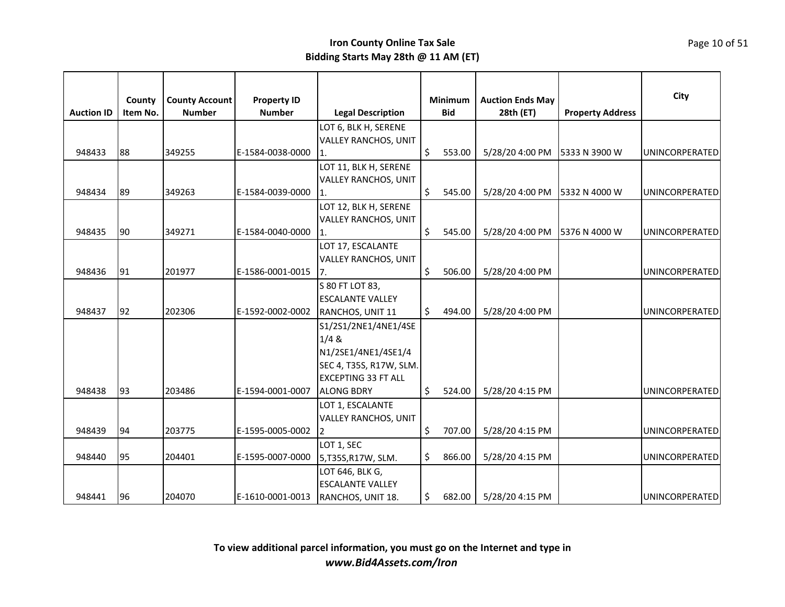|                   | County   | <b>County Account</b> | <b>Property ID</b> |                               |                    | Minimum    | <b>Auction Ends May</b> |                         | City                  |
|-------------------|----------|-----------------------|--------------------|-------------------------------|--------------------|------------|-------------------------|-------------------------|-----------------------|
| <b>Auction ID</b> | Item No. | <b>Number</b>         | <b>Number</b>      | <b>Legal Description</b>      |                    | <b>Bid</b> | 28th (ET)               | <b>Property Address</b> |                       |
|                   |          |                       |                    | LOT 6, BLK H, SERENE          |                    |            |                         |                         |                       |
|                   |          |                       |                    | <b>VALLEY RANCHOS, UNIT</b>   |                    |            |                         |                         |                       |
| 948433            | 88       | 349255                | E-1584-0038-0000   | 1.                            | \$                 | 553.00     | 5/28/20 4:00 PM         | 5333 N 3900 W           | UNINCORPERATED        |
|                   |          |                       |                    | LOT 11, BLK H, SERENE         |                    |            |                         |                         |                       |
|                   |          |                       |                    | VALLEY RANCHOS, UNIT          |                    |            |                         |                         |                       |
| 948434            | 89       | 349263                | E-1584-0039-0000   |                               | \$                 | 545.00     | 5/28/20 4:00 PM         | 5332 N 4000 W           | UNINCORPERATED        |
|                   |          |                       |                    | LOT 12, BLK H, SERENE         |                    |            |                         |                         |                       |
|                   |          |                       |                    | <b>VALLEY RANCHOS, UNIT</b>   |                    |            |                         |                         |                       |
| 948435            | 90       | 349271                | E-1584-0040-0000   | 1.                            | \$                 | 545.00     | 5/28/20 4:00 PM         | 5376 N 4000 W           | UNINCORPERATED        |
|                   |          |                       |                    | LOT 17, ESCALANTE             |                    |            |                         |                         |                       |
|                   |          |                       |                    | <b>VALLEY RANCHOS, UNIT</b>   |                    |            |                         |                         |                       |
| 948436            | 91       | 201977                | E-1586-0001-0015   | 7.                            | \$                 | 506.00     | 5/28/20 4:00 PM         |                         | UNINCORPERATED        |
|                   |          |                       |                    | S 80 FT LOT 83,               |                    |            |                         |                         |                       |
|                   |          |                       |                    | <b>ESCALANTE VALLEY</b>       | $\mathsf{\hat{S}}$ |            |                         |                         |                       |
| 948437            | 92       | 202306                | E-1592-0002-0002   | RANCHOS, UNIT 11              |                    | 494.00     | 5/28/20 4:00 PM         |                         | <b>UNINCORPERATED</b> |
|                   |          |                       |                    | S1/2S1/2NE1/4NE1/4SE<br>1/4 & |                    |            |                         |                         |                       |
|                   |          |                       |                    | N1/2SE1/4NE1/4SE1/4           |                    |            |                         |                         |                       |
|                   |          |                       |                    | SEC 4, T35S, R17W, SLM.       |                    |            |                         |                         |                       |
|                   |          |                       |                    | <b>EXCEPTING 33 FT ALL</b>    |                    |            |                         |                         |                       |
| 948438            | 93       | 203486                | E-1594-0001-0007   | <b>ALONG BDRY</b>             | Ŝ.                 | 524.00     | 5/28/20 4:15 PM         |                         | UNINCORPERATED        |
|                   |          |                       |                    | LOT 1, ESCALANTE              |                    |            |                         |                         |                       |
|                   |          |                       |                    | VALLEY RANCHOS, UNIT          |                    |            |                         |                         |                       |
| 948439            | 94       | 203775                | E-1595-0005-0002   | $\overline{2}$                | \$                 | 707.00     | 5/28/20 4:15 PM         |                         | UNINCORPERATED        |
|                   |          |                       |                    | LOT 1, SEC                    |                    |            |                         |                         |                       |
| 948440            | 95       | 204401                | E-1595-0007-0000   | 5,T35S,R17W, SLM.             | \$                 | 866.00     | 5/28/20 4:15 PM         |                         | UNINCORPERATED        |
|                   |          |                       |                    | LOT 646, BLK G,               |                    |            |                         |                         |                       |
|                   |          |                       |                    | <b>ESCALANTE VALLEY</b>       |                    |            |                         |                         |                       |
| 948441            | 96       | 204070                | E-1610-0001-0013   | RANCHOS, UNIT 18.             | \$                 | 682.00     | 5/28/20 4:15 PM         |                         | <b>UNINCORPERATED</b> |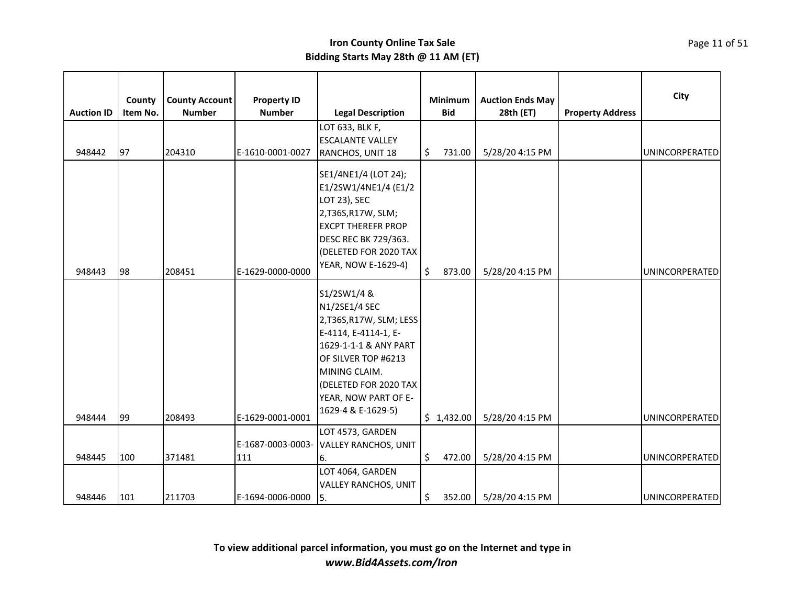| <b>Auction ID</b> | County<br>Item No. | <b>County Account</b><br><b>Number</b> | <b>Property ID</b><br><b>Number</b> | <b>Legal Description</b><br>LOT 633, BLK F,                                                                                                                                                                            | <b>Minimum</b><br><b>Bid</b> | <b>Auction Ends May</b><br>28th (ET) | <b>Property Address</b> | City                  |
|-------------------|--------------------|----------------------------------------|-------------------------------------|------------------------------------------------------------------------------------------------------------------------------------------------------------------------------------------------------------------------|------------------------------|--------------------------------------|-------------------------|-----------------------|
| 948442            | 97                 | 204310                                 | E-1610-0001-0027                    | <b>ESCALANTE VALLEY</b><br>RANCHOS, UNIT 18                                                                                                                                                                            | \$<br>731.00                 | 5/28/20 4:15 PM                      |                         | <b>UNINCORPERATED</b> |
| 948443            | 98                 | 208451                                 | E-1629-0000-0000                    | SE1/4NE1/4 (LOT 24);<br>E1/2SW1/4NE1/4 (E1/2<br>LOT 23), SEC<br>2,T36S,R17W, SLM;<br><b>EXCPT THEREFR PROP</b><br><b>DESC REC BK 729/363.</b><br>(DELETED FOR 2020 TAX<br><b>YEAR, NOW E-1629-4)</b>                   | \$<br>873.00                 | 5/28/20 4:15 PM                      |                         | UNINCORPERATED        |
| 948444            | 99                 | 208493                                 | E-1629-0001-0001                    | S1/2SW1/4 &<br>N1/2SE1/4 SEC<br>2,T36S,R17W, SLM; LESS<br>E-4114, E-4114-1, E-<br>1629-1-1-1 & ANY PART<br>OF SILVER TOP #6213<br>MINING CLAIM.<br>(DELETED FOR 2020 TAX<br>YEAR, NOW PART OF E-<br>1629-4 & E-1629-5) | \$1,432.00                   | 5/28/20 4:15 PM                      |                         | UNINCORPERATED        |
|                   |                    |                                        | E-1687-0003-0003-                   | LOT 4573, GARDEN<br><b>VALLEY RANCHOS, UNIT</b>                                                                                                                                                                        |                              |                                      |                         |                       |
| 948445            | 100                | 371481                                 | 111                                 | 6.                                                                                                                                                                                                                     | \$<br>472.00                 | 5/28/20 4:15 PM                      |                         | UNINCORPERATED        |
| 948446            | 101                | 211703                                 | E-1694-0006-0000                    | LOT 4064, GARDEN<br><b>VALLEY RANCHOS, UNIT</b><br><b>S.</b>                                                                                                                                                           | \$<br>352.00                 | 5/28/20 4:15 PM                      |                         | <b>UNINCORPERATED</b> |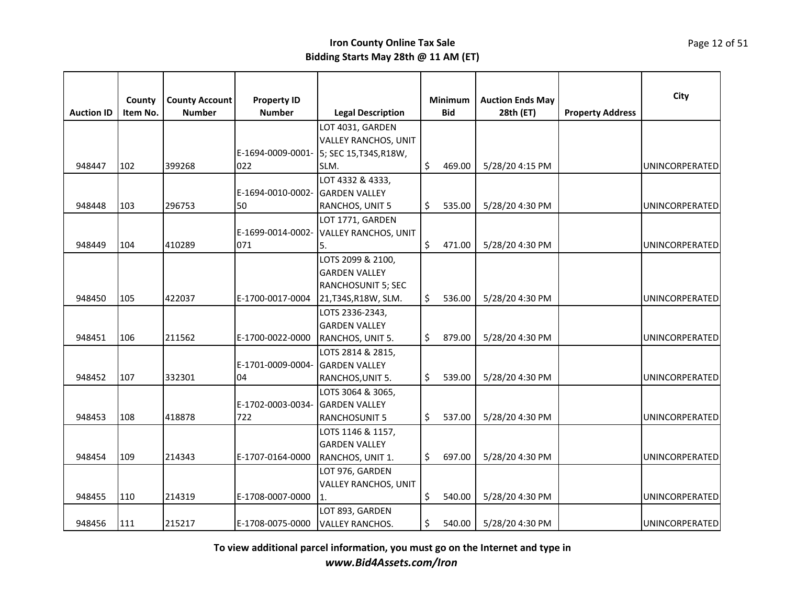| <b>Auction ID</b> | County<br>Item No. | <b>County Account</b><br><b>Number</b> | <b>Property ID</b><br><b>Number</b> | <b>Legal Description</b>                         | Minimum<br><b>Bid</b> | <b>Auction Ends May</b><br>28th (ET) | <b>Property Address</b> | City                  |
|-------------------|--------------------|----------------------------------------|-------------------------------------|--------------------------------------------------|-----------------------|--------------------------------------|-------------------------|-----------------------|
|                   |                    |                                        |                                     | LOT 4031, GARDEN                                 |                       |                                      |                         |                       |
|                   |                    |                                        |                                     | <b>VALLEY RANCHOS, UNIT</b>                      |                       |                                      |                         |                       |
| 948447            | 102                | 399268                                 | 022                                 | E-1694-0009-0001- 5; SEC 15, T34S, R18W,<br>SLM. | \$<br>469.00          | 5/28/20 4:15 PM                      |                         | UNINCORPERATED        |
|                   |                    |                                        |                                     | LOT 4332 & 4333,                                 |                       |                                      |                         |                       |
|                   |                    |                                        | E-1694-0010-0002-                   | <b>GARDEN VALLEY</b>                             |                       |                                      |                         |                       |
| 948448            | 103                | 296753                                 | 50                                  | RANCHOS, UNIT 5                                  | \$<br>535.00          | 5/28/20 4:30 PM                      |                         | UNINCORPERATED        |
|                   |                    |                                        |                                     | LOT 1771, GARDEN                                 |                       |                                      |                         |                       |
|                   |                    |                                        | E-1699-0014-0002-                   | <b>VALLEY RANCHOS, UNIT</b>                      |                       |                                      |                         |                       |
| 948449            | 104                | 410289                                 | 071                                 | 5.                                               | \$<br>471.00          | 5/28/20 4:30 PM                      |                         | <b>UNINCORPERATED</b> |
|                   |                    |                                        |                                     | LOTS 2099 & 2100,                                |                       |                                      |                         |                       |
|                   |                    |                                        |                                     | <b>GARDEN VALLEY</b>                             |                       |                                      |                         |                       |
|                   |                    |                                        |                                     | <b>RANCHOSUNIT 5; SEC</b>                        |                       |                                      |                         |                       |
| 948450            | 105                | 422037                                 | E-1700-0017-0004                    | 21, T34S, R18W, SLM.                             | \$<br>536.00          | 5/28/20 4:30 PM                      |                         | UNINCORPERATED        |
|                   |                    |                                        |                                     | LOTS 2336-2343,                                  |                       |                                      |                         |                       |
|                   |                    |                                        |                                     | <b>GARDEN VALLEY</b>                             |                       |                                      |                         |                       |
| 948451            | 106                | 211562                                 | E-1700-0022-0000                    | RANCHOS, UNIT 5.                                 | \$<br>879.00          | 5/28/20 4:30 PM                      |                         | UNINCORPERATED        |
|                   |                    |                                        |                                     | LOTS 2814 & 2815,                                |                       |                                      |                         |                       |
|                   |                    |                                        | E-1701-0009-0004-                   | <b>IGARDEN VALLEY</b>                            |                       |                                      |                         |                       |
| 948452            | 107                | 332301                                 | 04                                  | RANCHOS, UNIT 5.                                 | \$<br>539.00          | 5/28/20 4:30 PM                      |                         | UNINCORPERATED        |
|                   |                    |                                        |                                     | LOTS 3064 & 3065,                                |                       |                                      |                         |                       |
|                   |                    |                                        | E-1702-0003-0034-                   | <b>GARDEN VALLEY</b>                             |                       |                                      |                         |                       |
| 948453            | 108                | 418878                                 | 722                                 | <b>RANCHOSUNIT 5</b>                             | \$<br>537.00          | 5/28/20 4:30 PM                      |                         | UNINCORPERATED        |
|                   |                    |                                        |                                     | LOTS 1146 & 1157,                                |                       |                                      |                         |                       |
|                   |                    |                                        |                                     | <b>GARDEN VALLEY</b>                             |                       |                                      |                         |                       |
| 948454            | 109                | 214343                                 | E-1707-0164-0000                    | RANCHOS, UNIT 1.                                 | \$<br>697.00          | 5/28/20 4:30 PM                      |                         | UNINCORPERATED        |
|                   |                    |                                        |                                     | LOT 976, GARDEN                                  |                       |                                      |                         |                       |
| 948455            | 110                | 214319                                 | E-1708-0007-0000                    | <b>VALLEY RANCHOS, UNIT</b>                      | \$<br>540.00          | 5/28/20 4:30 PM                      |                         | UNINCORPERATED        |
|                   |                    |                                        |                                     | LOT 893, GARDEN                                  |                       |                                      |                         |                       |
| 948456            | 111                | 215217                                 | E-1708-0075-0000                    | <b>VALLEY RANCHOS.</b>                           | \$<br>540.00          | 5/28/20 4:30 PM                      |                         | UNINCORPERATED        |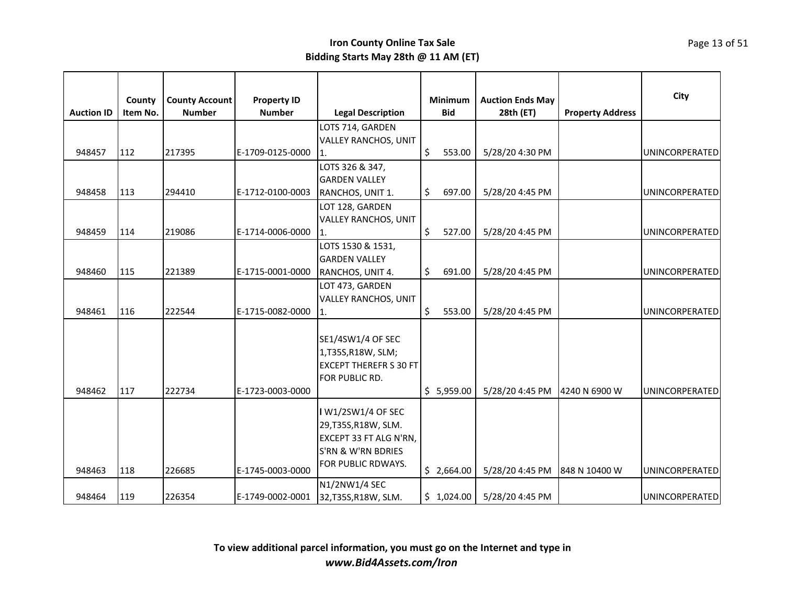|                   | County   | <b>County Account</b> | <b>Property ID</b> |                                                                                                                  | Minimum      | <b>Auction Ends May</b> |                         | City                  |
|-------------------|----------|-----------------------|--------------------|------------------------------------------------------------------------------------------------------------------|--------------|-------------------------|-------------------------|-----------------------|
| <b>Auction ID</b> | Item No. | <b>Number</b>         | <b>Number</b>      | <b>Legal Description</b>                                                                                         | <b>Bid</b>   | 28th (ET)               | <b>Property Address</b> |                       |
| 948457            | 112      | 217395                | E-1709-0125-0000   | LOTS 714, GARDEN<br><b>VALLEY RANCHOS, UNIT</b><br>11.                                                           | \$<br>553.00 | 5/28/20 4:30 PM         |                         | UNINCORPERATED        |
| 948458            | 113      | 294410                | E-1712-0100-0003   | LOTS 326 & 347,<br><b>GARDEN VALLEY</b><br>RANCHOS, UNIT 1.                                                      | \$<br>697.00 | 5/28/20 4:45 PM         |                         | <b>UNINCORPERATED</b> |
| 948459            | 114      | 219086                | E-1714-0006-0000   | LOT 128, GARDEN<br><b>VALLEY RANCHOS, UNIT</b><br>11.                                                            | \$<br>527.00 | 5/28/20 4:45 PM         |                         | UNINCORPERATED        |
| 948460            | 115      | 221389                | E-1715-0001-0000   | LOTS 1530 & 1531,<br><b>GARDEN VALLEY</b><br>RANCHOS, UNIT 4.                                                    | \$<br>691.00 | 5/28/20 4:45 PM         |                         | <b>UNINCORPERATED</b> |
| 948461            | 116      | 222544                | E-1715-0082-0000   | LOT 473, GARDEN<br><b>VALLEY RANCHOS, UNIT</b><br>1.                                                             | \$<br>553.00 | 5/28/20 4:45 PM         |                         | UNINCORPERATED        |
| 948462            | 117      | 222734                | E-1723-0003-0000   | SE1/4SW1/4 OF SEC<br>1,T35S,R18W, SLM;<br><b>EXCEPT THEREFR S 30 FT</b><br>FOR PUBLIC RD.                        | \$5,959.00   | 5/28/20 4:45 PM         | 4240 N 6900 W           | UNINCORPERATED        |
| 948463            | 118      | 226685                | E-1745-0003-0000   | I W1/2SW1/4 OF SEC<br>29, T35S, R18W, SLM.<br>EXCEPT 33 FT ALG N'RN,<br>S'RN & W'RN BDRIES<br>FOR PUBLIC RDWAYS. | \$2,664.00   | 5/28/20 4:45 PM         | 848 N 10400 W           | <b>UNINCORPERATED</b> |
| 948464            | 119      | 226354                | E-1749-0002-0001   | N1/2NW1/4 SEC<br>32, T35S, R18W, SLM.                                                                            | \$1,024.00   | 5/28/20 4:45 PM         |                         | <b>UNINCORPERATED</b> |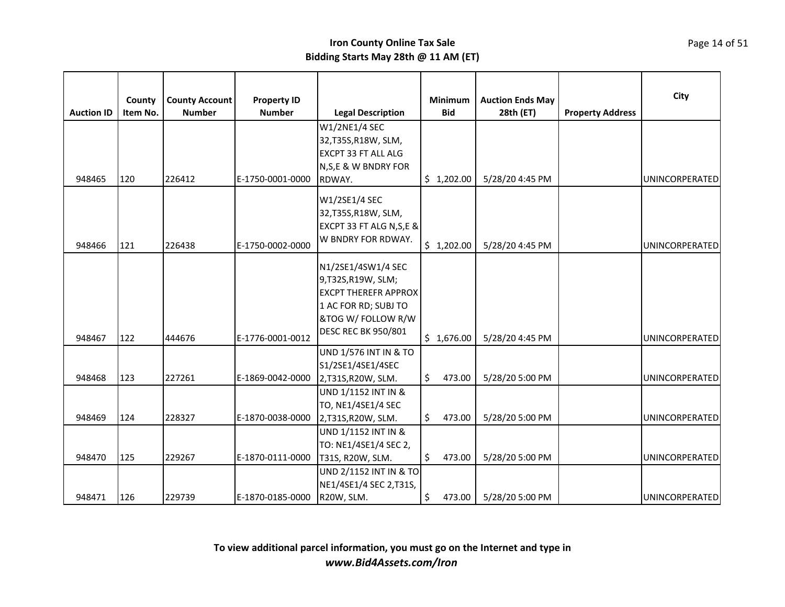|                   | County   | <b>County Account</b> | <b>Property ID</b> |                                                                                                                                                    | <b>Minimum</b> | <b>Auction Ends May</b> |                         | City                  |
|-------------------|----------|-----------------------|--------------------|----------------------------------------------------------------------------------------------------------------------------------------------------|----------------|-------------------------|-------------------------|-----------------------|
| <b>Auction ID</b> | Item No. | <b>Number</b>         | <b>Number</b>      | <b>Legal Description</b>                                                                                                                           | <b>Bid</b>     | 28th (ET)               | <b>Property Address</b> |                       |
|                   |          |                       |                    | W1/2NE1/4 SEC<br>32, T35S, R18W, SLM,<br>EXCPT 33 FT ALL ALG<br>N, S, E & W BNDRY FOR                                                              |                |                         |                         |                       |
| 948465            | 120      | 226412                | E-1750-0001-0000   | RDWAY.                                                                                                                                             | \$1,202.00     | 5/28/20 4:45 PM         |                         | UNINCORPERATED        |
| 948466            | 121      | 226438                | E-1750-0002-0000   | W1/2SE1/4 SEC<br>32, T35S, R18W, SLM,<br>EXCPT 33 FT ALG N, S, E &<br>W BNDRY FOR RDWAY.                                                           | \$1,202.00     | 5/28/20 4:45 PM         |                         | UNINCORPERATED        |
| 948467            | 122      | 444676                | E-1776-0001-0012   | N1/2SE1/4SW1/4 SEC<br>9,T32S,R19W, SLM;<br><b>EXCPT THEREFR APPROX</b><br>1 AC FOR RD; SUBJ TO<br>&TOG W/ FOLLOW R/W<br><b>DESC REC BK 950/801</b> | \$1,676.00     | 5/28/20 4:45 PM         |                         | UNINCORPERATED        |
| 948468            | 123      | 227261                | E-1869-0042-0000   | <b>UND 1/576 INT IN &amp; TO</b><br>S1/2SE1/4SE1/4SEC<br>2,T31S,R20W, SLM.                                                                         | \$<br>473.00   | 5/28/20 5:00 PM         |                         | <b>UNINCORPERATED</b> |
| 948469            | 124      | 228327                | E-1870-0038-0000   | UND 1/1152 INT IN &<br>TO, NE1/4SE1/4 SEC<br>2,T31S,R20W, SLM.                                                                                     | \$<br>473.00   | 5/28/20 5:00 PM         |                         | UNINCORPERATED        |
| 948470            | 125      | 229267                | E-1870-0111-0000   | UND 1/1152 INT IN &<br>TO: NE1/4SE1/4 SEC 2,<br>T31S, R20W, SLM.                                                                                   | \$<br>473.00   | 5/28/20 5:00 PM         |                         | UNINCORPERATED        |
| 948471            | 126      | 229739                | E-1870-0185-0000   | UND 2/1152 INT IN & TO<br>NE1/4SE1/4 SEC 2, T31S,<br>R20W, SLM.                                                                                    | \$<br>473.00   | 5/28/20 5:00 PM         |                         | <b>UNINCORPERATED</b> |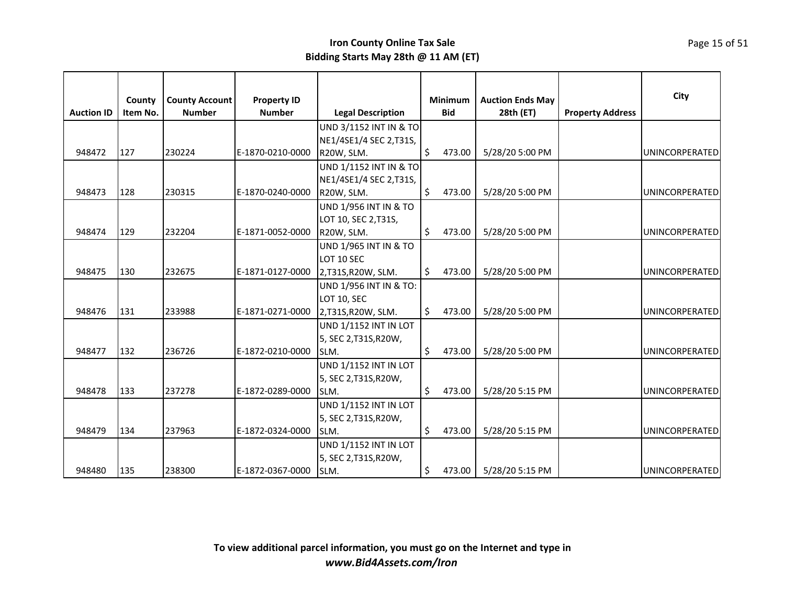|                   |          |                       |                    |                                  |              |                         |                         | City                  |
|-------------------|----------|-----------------------|--------------------|----------------------------------|--------------|-------------------------|-------------------------|-----------------------|
|                   | County   | <b>County Account</b> | <b>Property ID</b> |                                  | Minimum      | <b>Auction Ends May</b> |                         |                       |
| <b>Auction ID</b> | Item No. | <b>Number</b>         | <b>Number</b>      | <b>Legal Description</b>         | <b>Bid</b>   | 28th (ET)               | <b>Property Address</b> |                       |
|                   |          |                       |                    | UND 3/1152 INT IN & TO           |              |                         |                         |                       |
|                   |          |                       |                    | NE1/4SE1/4 SEC 2, T31S,          |              |                         |                         |                       |
| 948472            | 127      | 230224                | E-1870-0210-0000   | R20W, SLM.                       | \$<br>473.00 | 5/28/20 5:00 PM         |                         | UNINCORPERATED        |
|                   |          |                       |                    | UND 1/1152 INT IN & TO           |              |                         |                         |                       |
|                   |          |                       |                    | NE1/4SE1/4 SEC 2, T31S,          |              |                         |                         |                       |
| 948473            | 128      | 230315                | E-1870-0240-0000   | R20W, SLM.                       | \$<br>473.00 | 5/28/20 5:00 PM         |                         | <b>UNINCORPERATED</b> |
|                   |          |                       |                    | <b>UND 1/956 INT IN &amp; TO</b> |              |                         |                         |                       |
|                   |          |                       |                    | LOT 10, SEC 2, T31S,             |              |                         |                         |                       |
| 948474            | 129      | 232204                | E-1871-0052-0000   | R20W, SLM.                       | \$<br>473.00 | 5/28/20 5:00 PM         |                         | UNINCORPERATED        |
|                   |          |                       |                    | <b>UND 1/965 INT IN &amp; TO</b> |              |                         |                         |                       |
|                   |          |                       |                    | LOT 10 SEC                       |              |                         |                         |                       |
| 948475            | 130      | 232675                | E-1871-0127-0000   | 2,T31S,R20W, SLM.                | \$<br>473.00 | 5/28/20 5:00 PM         |                         | UNINCORPERATED        |
|                   |          |                       |                    | UND 1/956 INT IN & TO:           |              |                         |                         |                       |
|                   |          |                       |                    | LOT 10, SEC                      |              |                         |                         |                       |
| 948476            | 131      | 233988                | E-1871-0271-0000   | 2,T31S,R20W, SLM.                | \$<br>473.00 | 5/28/20 5:00 PM         |                         | UNINCORPERATED        |
|                   |          |                       |                    | UND 1/1152 INT IN LOT            |              |                         |                         |                       |
|                   |          |                       |                    | 5, SEC 2, T31S, R20W,            |              |                         |                         |                       |
| 948477            | 132      | 236726                | E-1872-0210-0000   | SLM.                             | \$<br>473.00 | 5/28/20 5:00 PM         |                         | UNINCORPERATED        |
|                   |          |                       |                    | <b>UND 1/1152 INT IN LOT</b>     |              |                         |                         |                       |
|                   |          |                       |                    | 5, SEC 2, T31S, R20W,            |              |                         |                         |                       |
| 948478            | 133      | 237278                | E-1872-0289-0000   | SLM.                             | \$<br>473.00 | 5/28/20 5:15 PM         |                         | UNINCORPERATED        |
|                   |          |                       |                    | <b>UND 1/1152 INT IN LOT</b>     |              |                         |                         |                       |
|                   |          |                       |                    | 5, SEC 2, T31S, R20W,            |              |                         |                         |                       |
| 948479            | 134      | 237963                | E-1872-0324-0000   | SLM.                             | \$<br>473.00 | 5/28/20 5:15 PM         |                         | UNINCORPERATED        |
|                   |          |                       |                    | <b>UND 1/1152 INT IN LOT</b>     |              |                         |                         |                       |
|                   |          |                       |                    | 5, SEC 2, T31S, R20W,            |              |                         |                         |                       |
| 948480            | 135      | 238300                | E-1872-0367-0000   | <b>SLM.</b>                      | \$<br>473.00 | 5/28/20 5:15 PM         |                         | UNINCORPERATED        |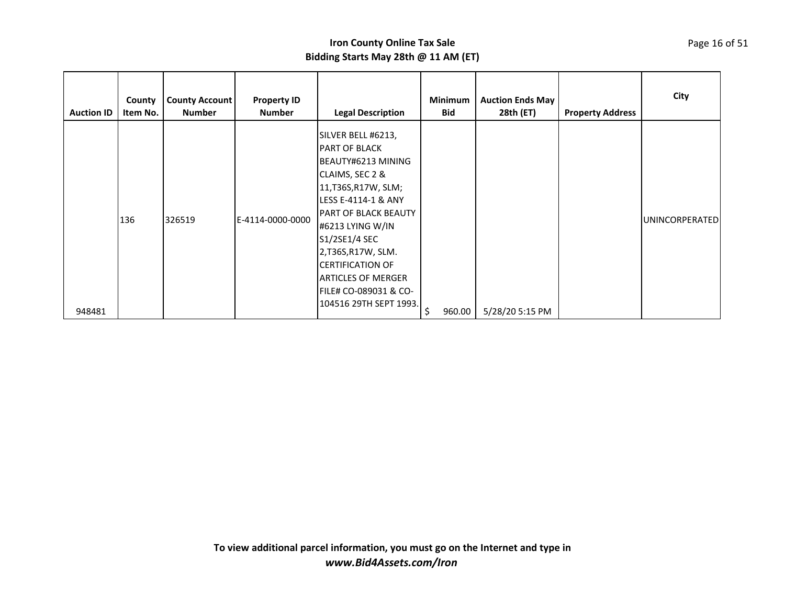| <b>Auction ID</b> | County<br>Item No. | <b>County Account</b><br><b>Number</b> | <b>Property ID</b><br><b>Number</b> | <b>Legal Description</b>                                                                                                                                                                                                                                                                                                               | <b>Minimum</b><br><b>Bid</b> | <b>Auction Ends May</b><br>28th (ET) | <b>Property Address</b> | City                  |
|-------------------|--------------------|----------------------------------------|-------------------------------------|----------------------------------------------------------------------------------------------------------------------------------------------------------------------------------------------------------------------------------------------------------------------------------------------------------------------------------------|------------------------------|--------------------------------------|-------------------------|-----------------------|
| 948481            | 136                | 326519                                 | E-4114-0000-0000                    | SILVER BELL #6213,<br><b>PART OF BLACK</b><br>BEAUTY#6213 MINING<br>CLAIMS, SEC 2 &<br>11, T36S, R17W, SLM;<br>LESS E-4114-1 & ANY<br><b>PART OF BLACK BEAUTY</b><br>#6213 LYING W/IN<br>S1/2SE1/4 SEC<br>2,T36S,R17W, SLM.<br><b>CERTIFICATION OF</b><br><b>ARTICLES OF MERGER</b><br>FILE# CO-089031 & CO-<br>104516 29TH SEPT 1993. | \$<br>960.00                 | 5/28/20 5:15 PM                      |                         | <b>UNINCORPERATED</b> |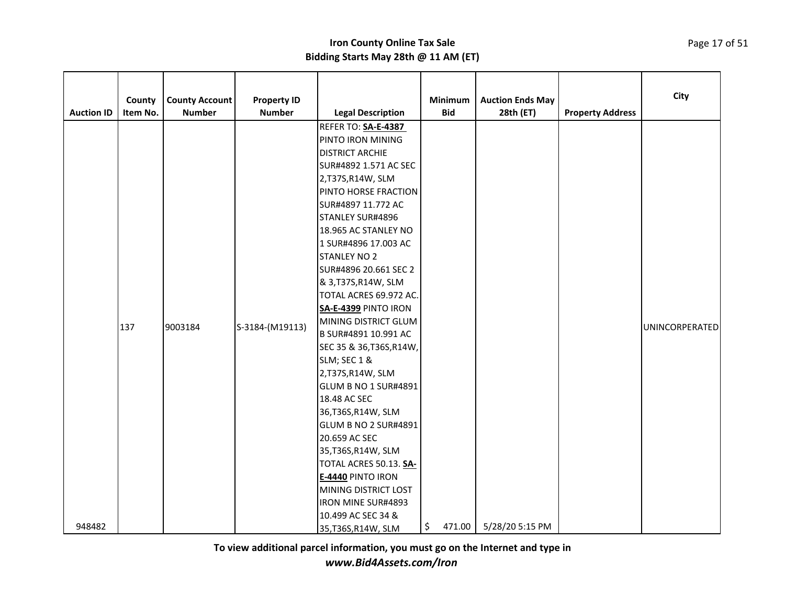| <b>Auction ID</b> | County<br>Item No. | <b>County Account</b><br><b>Number</b> | <b>Property ID</b><br><b>Number</b> | <b>Legal Description</b>                                                                                                                                                                                                                                                                                                                                                                                                                                                                                                                                                                                                                                                                                                                           | Minimum<br><b>Bid</b> | <b>Auction Ends May</b><br>28th (ET) | <b>Property Address</b> | City           |
|-------------------|--------------------|----------------------------------------|-------------------------------------|----------------------------------------------------------------------------------------------------------------------------------------------------------------------------------------------------------------------------------------------------------------------------------------------------------------------------------------------------------------------------------------------------------------------------------------------------------------------------------------------------------------------------------------------------------------------------------------------------------------------------------------------------------------------------------------------------------------------------------------------------|-----------------------|--------------------------------------|-------------------------|----------------|
|                   | 137                | 9003184                                | S-3184-(M19113)                     | REFER TO: SA-E-4387<br>PINTO IRON MINING<br><b>DISTRICT ARCHIE</b><br>SUR#4892 1.571 AC SEC<br>2,T37S,R14W, SLM<br>PINTO HORSE FRACTION<br>SUR#4897 11.772 AC<br>STANLEY SUR#4896<br>18.965 AC STANLEY NO<br>1 SUR#4896 17.003 AC<br><b>STANLEY NO 2</b><br>SUR#4896 20.661 SEC 2<br>& 3, T37S, R14W, SLM<br>TOTAL ACRES 69.972 AC.<br>SA-E-4399 PINTO IRON<br>MINING DISTRICT GLUM<br>B SUR#4891 10.991 AC<br>SEC 35 & 36, T36S, R14W,<br>SLM; SEC 1 &<br>2,T37S,R14W, SLM<br><b>GLUM B NO 1 SUR#4891</b><br>18.48 AC SEC<br>36, T36S, R14W, SLM<br><b>GLUM B NO 2 SUR#4891</b><br>20.659 AC SEC<br>35, T36S, R14W, SLM<br>TOTAL ACRES 50.13. SA-<br>E-4440 PINTO IRON<br>MINING DISTRICT LOST<br><b>IRON MINE SUR#4893</b><br>10.499 AC SEC 34 & |                       |                                      |                         | UNINCORPERATED |
| 948482            |                    |                                        |                                     | 35, T36S, R14W, SLM                                                                                                                                                                                                                                                                                                                                                                                                                                                                                                                                                                                                                                                                                                                                | \$<br>471.00          | 5/28/20 5:15 PM                      |                         |                |

**To view additional parcel information, you must go on the Internet and type in**

*www.Bid4Assets.com/Iron*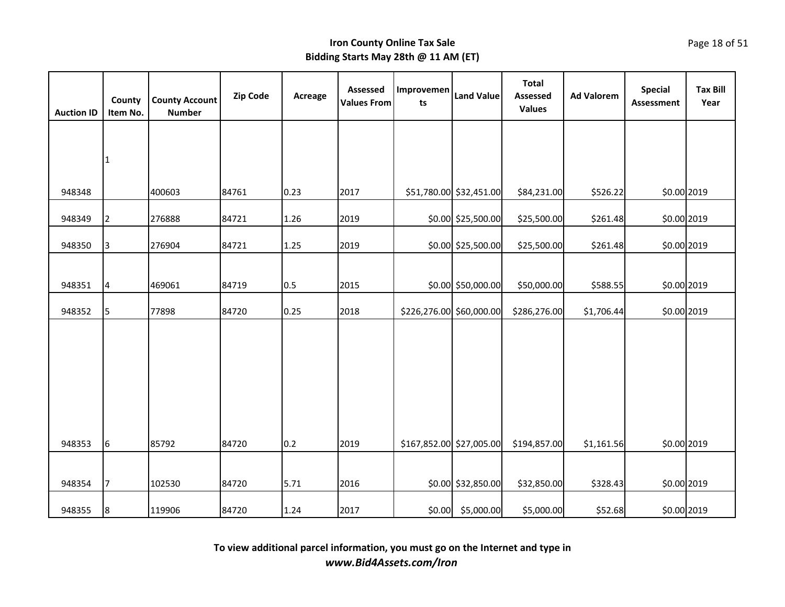| <b>Auction ID</b> | County<br>Item No. | <b>County Account</b><br><b>Number</b> | <b>Zip Code</b> | Acreage | Assessed<br><b>Values From</b> | Improvemen<br>ts         | <b>Land Value</b>       | <b>Total</b><br><b>Assessed</b><br><b>Values</b> | <b>Ad Valorem</b> | <b>Special</b><br>Assessment | <b>Tax Bill</b><br>Year |
|-------------------|--------------------|----------------------------------------|-----------------|---------|--------------------------------|--------------------------|-------------------------|--------------------------------------------------|-------------------|------------------------------|-------------------------|
|                   |                    |                                        |                 |         |                                |                          |                         |                                                  |                   |                              |                         |
|                   | $\mathbf{1}$       |                                        |                 |         |                                |                          |                         |                                                  |                   |                              |                         |
|                   |                    |                                        |                 |         |                                |                          |                         |                                                  |                   |                              |                         |
| 948348            |                    | 400603                                 | 84761           | 0.23    | 2017                           |                          | \$51,780.00 \$32,451.00 | \$84,231.00                                      | \$526.22          | \$0.00 2019                  |                         |
| 948349            | 2                  | 276888                                 | 84721           | 1.26    | 2019                           |                          | \$0.00 \$25,500.00      | \$25,500.00                                      | \$261.48          | \$0.00 2019                  |                         |
| 948350            | 3                  | 276904                                 | 84721           | 1.25    | 2019                           |                          | \$0.00 \$25,500.00      | \$25,500.00                                      | \$261.48          | \$0.00 2019                  |                         |
|                   |                    |                                        |                 |         |                                |                          |                         |                                                  |                   |                              |                         |
| 948351            | $\overline{4}$     | 469061                                 | 84719           | 0.5     | 2015                           |                          | \$0.00 \$50,000.00      | \$50,000.00                                      | \$588.55          | \$0.00 2019                  |                         |
| 948352            | 5                  | 77898                                  | 84720           | 0.25    | 2018                           | \$226,276.00 \$60,000.00 |                         | \$286,276.00                                     | \$1,706.44        | \$0.00 2019                  |                         |
|                   |                    |                                        |                 |         |                                |                          |                         |                                                  |                   |                              |                         |
|                   |                    |                                        |                 |         |                                |                          |                         |                                                  |                   |                              |                         |
|                   |                    |                                        |                 |         |                                |                          |                         |                                                  |                   |                              |                         |
|                   |                    |                                        |                 |         |                                |                          |                         |                                                  |                   |                              |                         |
|                   |                    |                                        |                 |         |                                |                          |                         |                                                  |                   |                              |                         |
| 948353            | 6                  | 85792                                  | 84720           | 0.2     | 2019                           | \$167,852.00 \$27,005.00 |                         | \$194,857.00                                     | \$1,161.56        | \$0.00 2019                  |                         |
|                   |                    |                                        |                 |         |                                |                          |                         |                                                  |                   |                              |                         |
| 948354            | 7                  | 102530                                 | 84720           | 5.71    | 2016                           |                          | \$0.00 \$32,850.00      | \$32,850.00                                      | \$328.43          | \$0.00 2019                  |                         |
| 948355            | 8                  | 119906                                 | 84720           | 1.24    | 2017                           | \$0.00                   | \$5,000.00              | \$5,000.00                                       | \$52.68           | \$0.00 2019                  |                         |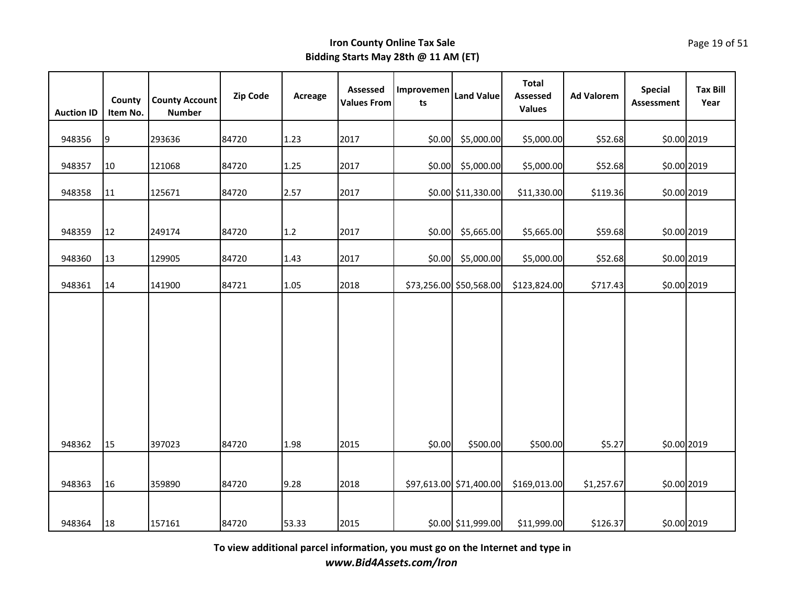| <b>Auction ID</b> | County<br>Item No. | <b>County Account</b><br><b>Number</b> | Zip Code | Acreage | Assessed<br><b>Values From</b> | Improvemen<br>ts | <b>Land Value</b>       | <b>Total</b><br><b>Assessed</b><br><b>Values</b> | <b>Ad Valorem</b> | <b>Special</b><br><b>Assessment</b> | <b>Tax Bill</b><br>Year |
|-------------------|--------------------|----------------------------------------|----------|---------|--------------------------------|------------------|-------------------------|--------------------------------------------------|-------------------|-------------------------------------|-------------------------|
| 948356            | 9                  | 293636                                 | 84720    | 1.23    | 2017                           | \$0.00           | \$5,000.00              | \$5,000.00                                       | \$52.68           | \$0.00 2019                         |                         |
| 948357            | 10                 | 121068                                 | 84720    | 1.25    | 2017                           | \$0.00           | \$5,000.00              | \$5,000.00                                       | \$52.68           | \$0.00 2019                         |                         |
| 948358            | 11                 | 125671                                 | 84720    | 2.57    | 2017                           |                  | \$0.00 \$11,330.00      | \$11,330.00                                      | \$119.36          | \$0.00 2019                         |                         |
| 948359            | 12                 | 249174                                 | 84720    | 1.2     | 2017                           | \$0.00           | \$5,665.00              | \$5,665.00                                       | \$59.68           | \$0.00 2019                         |                         |
| 948360            | 13                 | 129905                                 | 84720    | 1.43    | 2017                           | \$0.00           | \$5,000.00              | \$5,000.00                                       | \$52.68           | \$0.00 2019                         |                         |
| 948361            | 14                 | 141900                                 | 84721    | 1.05    | 2018                           |                  | \$73,256.00 \$50,568.00 | \$123,824.00                                     | \$717.43          | \$0.00 2019                         |                         |
| 948362            | 15                 | 397023                                 | 84720    | 1.98    | 2015                           | \$0.00           | \$500.00                | \$500.00                                         | \$5.27            | \$0.00 2019                         |                         |
| 948363            | 16                 | 359890                                 | 84720    | 9.28    | 2018                           |                  | \$97,613.00 \$71,400.00 | \$169,013.00                                     | \$1,257.67        | \$0.00 2019                         |                         |
| 948364            | 18                 | 157161                                 | 84720    | 53.33   | 2015                           |                  | \$0.00 \$11,999.00      | \$11,999.00                                      | \$126.37          | \$0.00 2019                         |                         |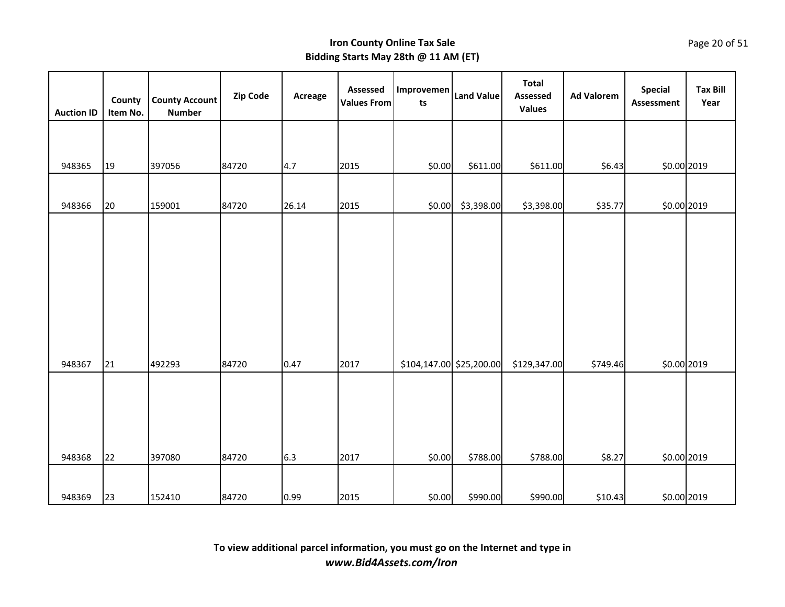| <b>Auction ID</b> | County<br>Item No. | <b>County Account</b><br><b>Number</b> | Zip Code | Acreage | Assessed<br><b>Values From</b> | Improvemen<br>ts         | <b>Land Value</b> | <b>Total</b><br>Assessed<br><b>Values</b> | <b>Ad Valorem</b> | <b>Special</b><br><b>Assessment</b> | <b>Tax Bill</b><br>Year |
|-------------------|--------------------|----------------------------------------|----------|---------|--------------------------------|--------------------------|-------------------|-------------------------------------------|-------------------|-------------------------------------|-------------------------|
|                   |                    |                                        |          |         |                                |                          |                   |                                           |                   |                                     |                         |
| 948365            | 19                 | 397056                                 | 84720    | 4.7     | 2015                           | \$0.00                   | \$611.00          | \$611.00                                  | \$6.43            | \$0.00 2019                         |                         |
| 948366            | 20                 | 159001                                 | 84720    | 26.14   | 2015                           | \$0.00                   | \$3,398.00        | \$3,398.00                                | \$35.77           | \$0.00 2019                         |                         |
|                   |                    |                                        |          |         |                                |                          |                   |                                           |                   |                                     |                         |
|                   |                    |                                        |          |         |                                |                          |                   |                                           |                   |                                     |                         |
|                   |                    |                                        |          |         |                                |                          |                   |                                           |                   |                                     |                         |
|                   |                    |                                        |          |         |                                |                          |                   |                                           |                   |                                     |                         |
| 948367            | 21                 | 492293                                 | 84720    | 0.47    | 2017                           | \$104,147.00 \$25,200.00 |                   | \$129,347.00                              | \$749.46          | \$0.00 2019                         |                         |
|                   |                    |                                        |          |         |                                |                          |                   |                                           |                   |                                     |                         |
|                   |                    |                                        |          |         |                                |                          |                   |                                           |                   |                                     |                         |
| 948368            | 22                 | 397080                                 | 84720    | 6.3     | 2017                           | \$0.00                   | \$788.00          | \$788.00                                  | \$8.27            | \$0.00 2019                         |                         |
|                   |                    |                                        |          |         |                                |                          |                   |                                           |                   |                                     |                         |
| 948369            | 23                 | 152410                                 | 84720    | 0.99    | 2015                           | \$0.00                   | \$990.00          | \$990.00                                  | \$10.43           | \$0.00 2019                         |                         |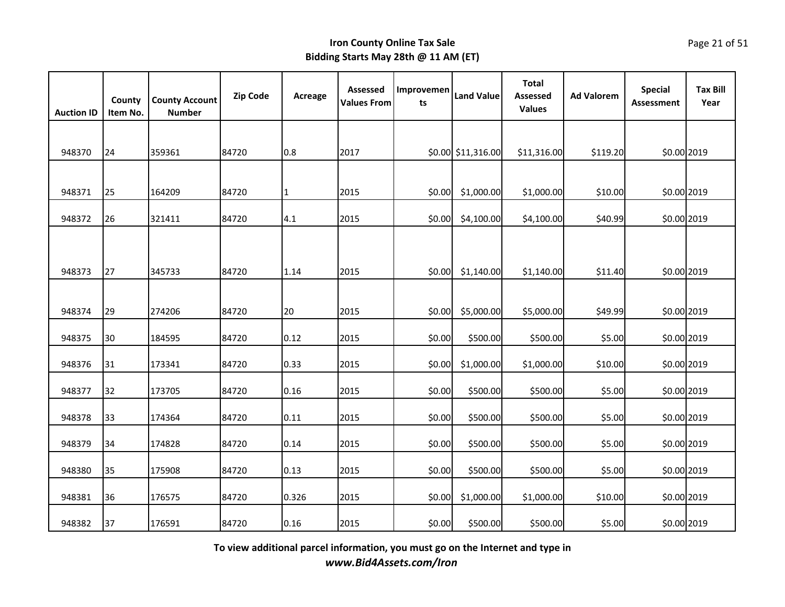| <b>Auction ID</b> | County<br>Item No. | <b>County Account</b><br><b>Number</b> | Zip Code | Acreage      | Assessed<br><b>Values From</b> | Improvemen<br>ts | <b>Land Value</b>  | <b>Total</b><br><b>Assessed</b><br><b>Values</b> | <b>Ad Valorem</b> | <b>Special</b><br><b>Assessment</b> | <b>Tax Bill</b><br>Year |
|-------------------|--------------------|----------------------------------------|----------|--------------|--------------------------------|------------------|--------------------|--------------------------------------------------|-------------------|-------------------------------------|-------------------------|
|                   |                    |                                        |          |              |                                |                  |                    |                                                  |                   |                                     |                         |
| 948370            | 24                 | 359361                                 | 84720    | 0.8          | 2017                           |                  | \$0.00 \$11,316.00 | \$11,316.00                                      | \$119.20          | \$0.00 2019                         |                         |
|                   |                    |                                        |          |              |                                |                  |                    |                                                  |                   |                                     |                         |
| 948371            | 25                 | 164209                                 | 84720    | $\mathbf{1}$ | 2015                           | \$0.00           | \$1,000.00         | \$1,000.00                                       | \$10.00           | \$0.00 2019                         |                         |
| 948372            | 26                 | 321411                                 | 84720    | 4.1          | 2015                           | \$0.00           | \$4,100.00         | \$4,100.00                                       | \$40.99           | \$0.00 2019                         |                         |
|                   |                    |                                        |          |              |                                |                  |                    |                                                  |                   |                                     |                         |
| 948373            | 27                 | 345733                                 | 84720    | 1.14         | 2015                           | \$0.00           | \$1,140.00         | \$1,140.00                                       | \$11.40           | \$0.00 2019                         |                         |
|                   |                    |                                        |          |              |                                |                  |                    |                                                  |                   |                                     |                         |
| 948374            | 29                 | 274206                                 | 84720    | 20           | 2015                           | \$0.00           | \$5,000.00         | \$5,000.00                                       | \$49.99           | \$0.00 2019                         |                         |
| 948375            | 30                 | 184595                                 | 84720    | 0.12         | 2015                           | \$0.00           | \$500.00           | \$500.00                                         | \$5.00            | \$0.00 2019                         |                         |
| 948376            | 31                 | 173341                                 | 84720    | 0.33         | 2015                           | \$0.00           | \$1,000.00         | \$1,000.00                                       | \$10.00           | \$0.00 2019                         |                         |
| 948377            | 32                 | 173705                                 | 84720    | 0.16         | 2015                           | \$0.00           | \$500.00           | \$500.00                                         | \$5.00            | \$0.00 2019                         |                         |
| 948378            | 33                 | 174364                                 | 84720    | 0.11         | 2015                           | \$0.00           | \$500.00           | \$500.00                                         | \$5.00            | \$0.00 2019                         |                         |
| 948379            | 34                 | 174828                                 | 84720    | 0.14         | 2015                           | \$0.00           | \$500.00           | \$500.00                                         | \$5.00            | \$0.00 2019                         |                         |
| 948380            | 35                 | 175908                                 | 84720    | 0.13         | 2015                           | \$0.00           | \$500.00           | \$500.00                                         | \$5.00            | \$0.00 2019                         |                         |
| 948381            | 36                 | 176575                                 | 84720    | 0.326        | 2015                           | \$0.00           | \$1,000.00         | \$1,000.00                                       | \$10.00           | \$0.00 2019                         |                         |
| 948382            | 37                 | 176591                                 | 84720    | 0.16         | 2015                           | \$0.00           | \$500.00           | \$500.00                                         | \$5.00            | \$0.00 2019                         |                         |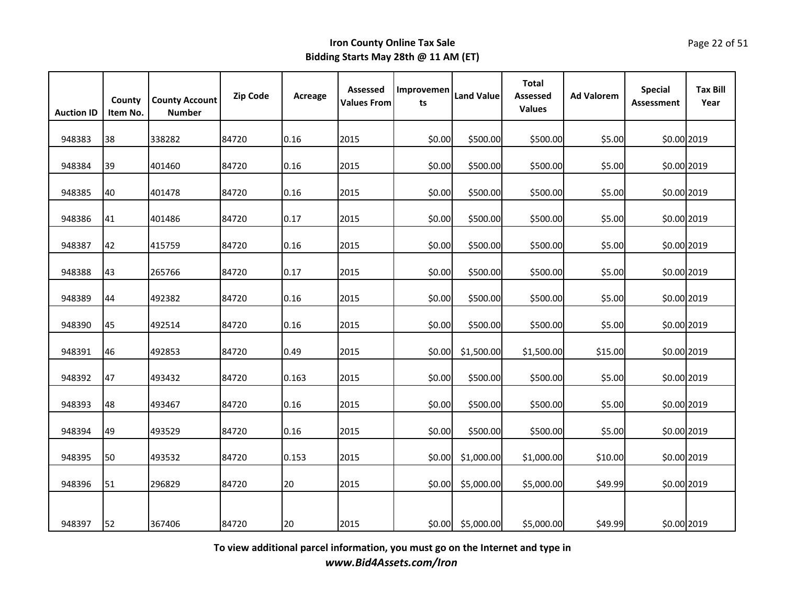| <b>Auction ID</b> | County<br>Item No. | <b>County Account</b><br><b>Number</b> | <b>Zip Code</b> | Acreage | Assessed<br><b>Values From</b> | Improvemen<br>ts | <b>Land Value</b> | <b>Total</b><br><b>Assessed</b><br><b>Values</b> | <b>Ad Valorem</b> | <b>Special</b><br><b>Assessment</b> | <b>Tax Bill</b><br>Year |
|-------------------|--------------------|----------------------------------------|-----------------|---------|--------------------------------|------------------|-------------------|--------------------------------------------------|-------------------|-------------------------------------|-------------------------|
| 948383            | 38                 | 338282                                 | 84720           | 0.16    | 2015                           | \$0.00           | \$500.00          | \$500.00                                         | \$5.00            | \$0.00 2019                         |                         |
| 948384            | 39                 | 401460                                 | 84720           | 0.16    | 2015                           | \$0.00           | \$500.00          | \$500.00                                         | \$5.00            | \$0.00 2019                         |                         |
| 948385            | 40                 | 401478                                 | 84720           | 0.16    | 2015                           | \$0.00           | \$500.00          | \$500.00                                         | \$5.00            | \$0.00 2019                         |                         |
| 948386            | 41                 | 401486                                 | 84720           | 0.17    | 2015                           | \$0.00           | \$500.00          | \$500.00                                         | \$5.00            | \$0.00 2019                         |                         |
| 948387            | 42                 | 415759                                 | 84720           | 0.16    | 2015                           | \$0.00           | \$500.00          | \$500.00                                         | \$5.00            | \$0.00 2019                         |                         |
| 948388            | 43                 | 265766                                 | 84720           | 0.17    | 2015                           | \$0.00           | \$500.00          | \$500.00                                         | \$5.00            | \$0.00 2019                         |                         |
| 948389            | 44                 | 492382                                 | 84720           | 0.16    | 2015                           | \$0.00           | \$500.00          | \$500.00                                         | \$5.00            | \$0.00 2019                         |                         |
| 948390            | 45                 | 492514                                 | 84720           | 0.16    | 2015                           | \$0.00           | \$500.00          | \$500.00                                         | \$5.00            | \$0.00 2019                         |                         |
| 948391            | 46                 | 492853                                 | 84720           | 0.49    | 2015                           | \$0.00           | \$1,500.00        | \$1,500.00                                       | \$15.00           | \$0.00 2019                         |                         |
| 948392            | 47                 | 493432                                 | 84720           | 0.163   | 2015                           | \$0.00           | \$500.00          | \$500.00                                         | \$5.00            | \$0.00 2019                         |                         |
| 948393            | 48                 | 493467                                 | 84720           | 0.16    | 2015                           | \$0.00           | \$500.00          | \$500.00                                         | \$5.00            | \$0.00 2019                         |                         |
| 948394            | 49                 | 493529                                 | 84720           | 0.16    | 2015                           | \$0.00           | \$500.00          | \$500.00                                         | \$5.00            | \$0.00 2019                         |                         |
| 948395            | 50                 | 493532                                 | 84720           | 0.153   | 2015                           | \$0.00           | \$1,000.00        | \$1,000.00                                       | \$10.00           | \$0.00 2019                         |                         |
| 948396            | 51                 | 296829                                 | 84720           | 20      | 2015                           | \$0.00           | \$5,000.00        | \$5,000.00                                       | \$49.99           | \$0.00 2019                         |                         |
| 948397            | 52                 | 367406                                 | 84720           | 20      | 2015                           | \$0.00           | \$5,000.00        | \$5,000.00                                       | \$49.99           | \$0.00 2019                         |                         |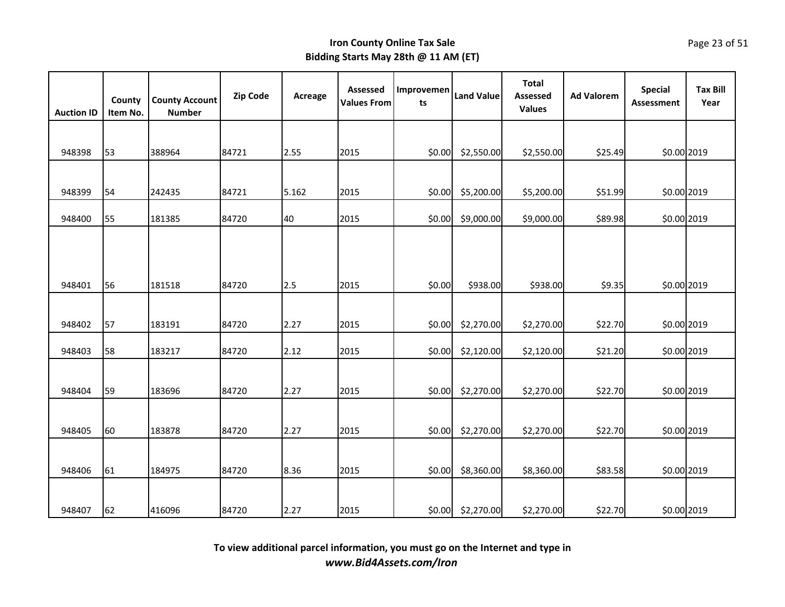| <b>Auction ID</b> | County<br>Item No. | <b>County Account</b><br><b>Number</b> | <b>Zip Code</b> | Acreage | Assessed<br><b>Values From</b> | Improvemen<br>ts | <b>Land Value</b> | <b>Total</b><br>Assessed<br><b>Values</b> | <b>Ad Valorem</b> | <b>Special</b><br><b>Assessment</b> | <b>Tax Bill</b><br>Year |
|-------------------|--------------------|----------------------------------------|-----------------|---------|--------------------------------|------------------|-------------------|-------------------------------------------|-------------------|-------------------------------------|-------------------------|
|                   |                    |                                        |                 |         |                                |                  |                   |                                           |                   |                                     |                         |
| 948398            | 53                 | 388964                                 | 84721           | 2.55    | 2015                           | \$0.00           | \$2,550.00        | \$2,550.00                                | \$25.49           | \$0.00 2019                         |                         |
|                   |                    |                                        |                 |         |                                |                  |                   |                                           |                   |                                     |                         |
| 948399            | 54                 | 242435                                 | 84721           | 5.162   | 2015                           | \$0.00           | \$5,200.00        | \$5,200.00                                | \$51.99           | \$0.00 2019                         |                         |
| 948400            | 55                 | 181385                                 | 84720           | 40      | 2015                           | \$0.00           | \$9,000.00        | \$9,000.00                                | \$89.98           | \$0.00 2019                         |                         |
|                   |                    |                                        |                 |         |                                |                  |                   |                                           |                   |                                     |                         |
| 948401            | 56                 | 181518                                 | 84720           | 2.5     | 2015                           | \$0.00           | \$938.00          | \$938.00                                  | \$9.35            | \$0.00 2019                         |                         |
|                   |                    |                                        |                 |         |                                |                  |                   |                                           |                   |                                     |                         |
| 948402            | 57                 | 183191                                 | 84720           | 2.27    | 2015                           | \$0.00           | \$2,270.00        | \$2,270.00                                | \$22.70           | \$0.00 2019                         |                         |
| 948403            | 58                 | 183217                                 | 84720           | 2.12    | 2015                           | \$0.00           | \$2,120.00        | \$2,120.00                                | \$21.20           | \$0.00 2019                         |                         |
|                   |                    |                                        |                 |         |                                |                  |                   |                                           |                   |                                     |                         |
| 948404            | 59                 | 183696                                 | 84720           | 2.27    | 2015                           | \$0.00           | \$2,270.00        | \$2,270.00                                | \$22.70           | \$0.00 2019                         |                         |
|                   |                    |                                        |                 |         |                                |                  |                   |                                           |                   |                                     |                         |
| 948405            | 60                 | 183878                                 | 84720           | 2.27    | 2015                           | \$0.00           | \$2,270.00        | \$2,270.00                                | \$22.70           | \$0.00 2019                         |                         |
|                   |                    |                                        |                 |         |                                |                  |                   |                                           |                   |                                     |                         |
| 948406            | 61                 | 184975                                 | 84720           | 8.36    | 2015                           | \$0.00           | \$8,360.00        | \$8,360.00                                | \$83.58           | \$0.00 2019                         |                         |
|                   |                    |                                        |                 |         |                                |                  |                   |                                           |                   |                                     |                         |
| 948407            | 62                 | 416096                                 | 84720           | 2.27    | 2015                           | \$0.00           | \$2,270.00        | \$2,270.00                                | \$22.70           | \$0.00 2019                         |                         |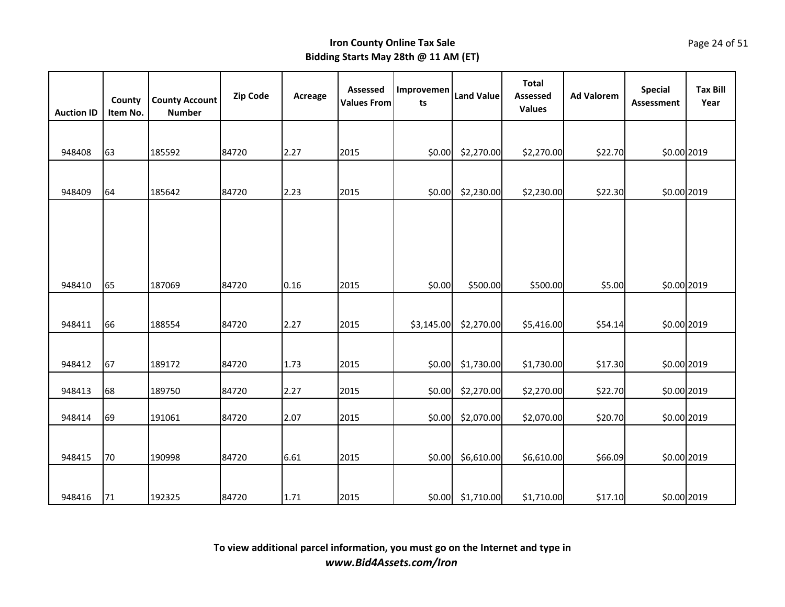| <b>Auction ID</b> | County<br>Item No. | <b>County Account</b><br><b>Number</b> | Zip Code | Acreage | Assessed<br><b>Values From</b> | Improvemen<br>ts | <b>Land Value</b> | <b>Total</b><br>Assessed<br><b>Values</b> | <b>Ad Valorem</b> | <b>Special</b><br><b>Assessment</b> | <b>Tax Bill</b><br>Year |
|-------------------|--------------------|----------------------------------------|----------|---------|--------------------------------|------------------|-------------------|-------------------------------------------|-------------------|-------------------------------------|-------------------------|
|                   |                    |                                        |          |         |                                |                  |                   |                                           |                   |                                     |                         |
| 948408            | 63                 | 185592                                 | 84720    | 2.27    | 2015                           | \$0.00           | \$2,270.00        | \$2,270.00                                | \$22.70           | \$0.00 2019                         |                         |
|                   |                    |                                        |          |         |                                |                  |                   |                                           |                   |                                     |                         |
| 948409            | 64                 | 185642                                 | 84720    | 2.23    | 2015                           | \$0.00           | \$2,230.00        | \$2,230.00                                | \$22.30           | \$0.00 2019                         |                         |
|                   |                    |                                        |          |         |                                |                  |                   |                                           |                   |                                     |                         |
|                   |                    |                                        |          |         |                                |                  |                   |                                           |                   |                                     |                         |
|                   |                    |                                        |          |         |                                |                  |                   |                                           |                   |                                     |                         |
| 948410            | 65                 | 187069                                 | 84720    | 0.16    | 2015                           | \$0.00           | \$500.00          | \$500.00                                  | \$5.00            | \$0.00 2019                         |                         |
|                   |                    |                                        |          |         |                                |                  |                   |                                           |                   |                                     |                         |
| 948411            | 66                 | 188554                                 | 84720    | 2.27    | 2015                           | \$3,145.00       | \$2,270.00        | \$5,416.00                                | \$54.14           | \$0.00 2019                         |                         |
|                   |                    |                                        |          |         |                                |                  |                   |                                           |                   |                                     |                         |
|                   |                    |                                        |          |         |                                |                  |                   |                                           |                   |                                     |                         |
| 948412            | 67                 | 189172                                 | 84720    | 1.73    | 2015                           | \$0.00           | \$1,730.00        | \$1,730.00                                | \$17.30           | \$0.00 2019                         |                         |
| 948413            | 68                 | 189750                                 | 84720    | 2.27    | 2015                           | \$0.00           | \$2,270.00        | \$2,270.00                                | \$22.70           | \$0.00 2019                         |                         |
| 948414            | 69                 | 191061                                 | 84720    | 2.07    | 2015                           | \$0.00           | \$2,070.00        | \$2,070.00                                | \$20.70           | \$0.00 2019                         |                         |
|                   |                    |                                        |          |         |                                |                  |                   |                                           |                   |                                     |                         |
| 948415            | 70                 | 190998                                 | 84720    | 6.61    | 2015                           | \$0.00           | \$6,610.00        | \$6,610.00                                | \$66.09           | \$0.00 2019                         |                         |
|                   |                    |                                        |          |         |                                |                  |                   |                                           |                   |                                     |                         |
|                   |                    |                                        |          |         |                                |                  |                   |                                           |                   |                                     |                         |
| 948416            | 71                 | 192325                                 | 84720    | 1.71    | 2015                           | \$0.00           | \$1,710.00        | \$1,710.00                                | \$17.10           | \$0.00 2019                         |                         |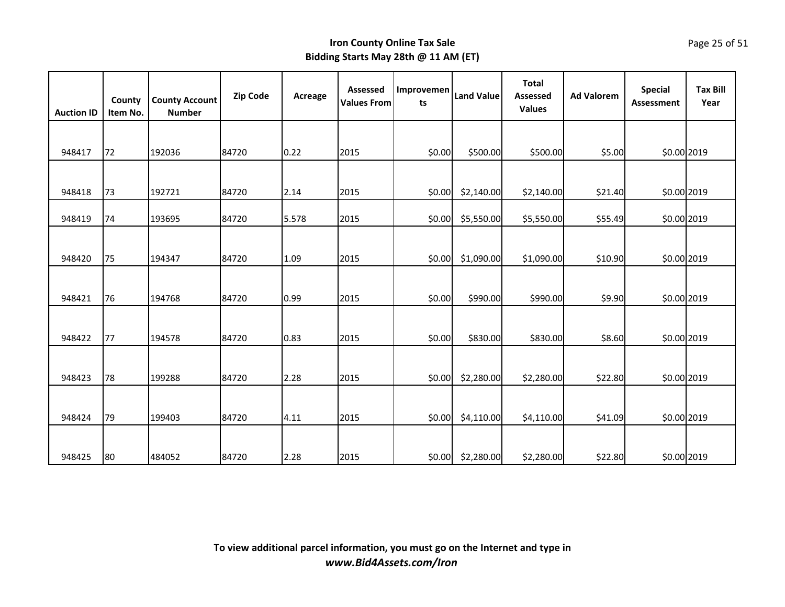| <b>Auction ID</b> | County<br>Item No. | <b>County Account</b><br><b>Number</b> | <b>Zip Code</b> | Acreage | Assessed<br><b>Values From</b> | Improvemen<br>ts | <b>Land Value</b> | <b>Total</b><br>Assessed<br><b>Values</b> | <b>Ad Valorem</b> | <b>Special</b><br><b>Assessment</b> | <b>Tax Bill</b><br>Year |
|-------------------|--------------------|----------------------------------------|-----------------|---------|--------------------------------|------------------|-------------------|-------------------------------------------|-------------------|-------------------------------------|-------------------------|
|                   |                    |                                        |                 |         |                                |                  |                   |                                           |                   |                                     |                         |
| 948417            | 72                 | 192036                                 | 84720           | 0.22    | 2015                           | \$0.00           | \$500.00          | \$500.00                                  | \$5.00            | \$0.00 2019                         |                         |
|                   |                    |                                        |                 |         |                                |                  |                   |                                           |                   |                                     |                         |
| 948418            | 73                 | 192721                                 | 84720           | 2.14    | 2015                           | \$0.00           | \$2,140.00        | \$2,140.00                                | \$21.40           | \$0.00 2019                         |                         |
| 948419            | 74                 | 193695                                 | 84720           | 5.578   | 2015                           | \$0.00           | \$5,550.00        | \$5,550.00                                | \$55.49           | \$0.00 2019                         |                         |
|                   |                    |                                        |                 |         |                                |                  |                   |                                           |                   |                                     |                         |
| 948420            | 75                 | 194347                                 | 84720           | 1.09    | 2015                           | \$0.00           | \$1,090.00        | \$1,090.00                                | \$10.90           | \$0.00 2019                         |                         |
|                   |                    |                                        |                 |         |                                |                  |                   |                                           |                   |                                     |                         |
| 948421            | 76                 | 194768                                 | 84720           | 0.99    | 2015                           | \$0.00           | \$990.00          | \$990.00                                  | \$9.90            | \$0.00 2019                         |                         |
|                   |                    |                                        |                 |         |                                |                  |                   |                                           |                   |                                     |                         |
| 948422            | 77                 | 194578                                 | 84720           | 0.83    | 2015                           | \$0.00           | \$830.00          | \$830.00                                  | \$8.60            | \$0.00 2019                         |                         |
|                   |                    |                                        |                 |         |                                |                  |                   |                                           |                   |                                     |                         |
| 948423            | 78                 | 199288                                 | 84720           | 2.28    | 2015                           | \$0.00           | \$2,280.00        | \$2,280.00                                | \$22.80           | \$0.00 2019                         |                         |
|                   |                    |                                        |                 |         |                                |                  |                   |                                           |                   |                                     |                         |
| 948424            | 79                 | 199403                                 | 84720           | 4.11    | 2015                           | \$0.00           | \$4,110.00        | \$4,110.00                                | \$41.09           | \$0.00 2019                         |                         |
|                   |                    |                                        |                 |         |                                |                  |                   |                                           |                   |                                     |                         |
| 948425            | 80                 | 484052                                 | 84720           | 2.28    | 2015                           | \$0.00           | \$2,280.00        | \$2,280.00                                | \$22.80           | \$0.00 2019                         |                         |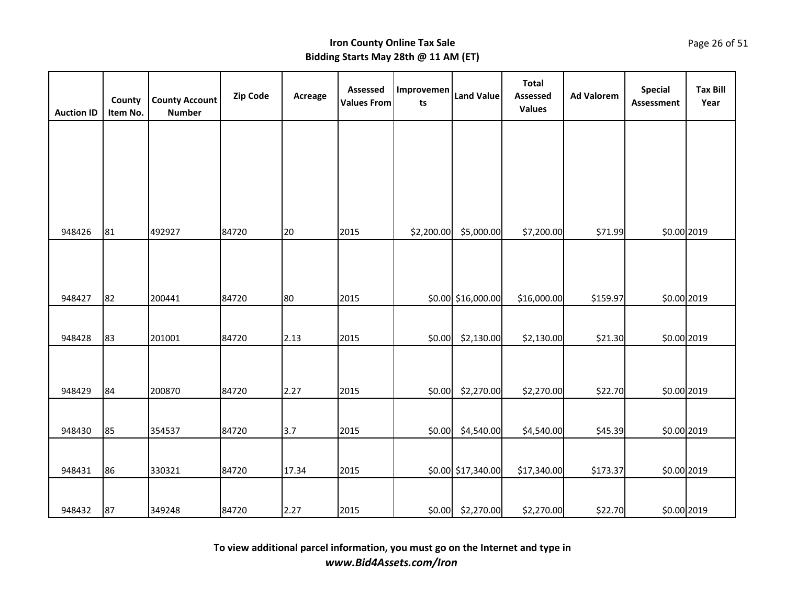| <b>Auction ID</b> | County<br>Item No. | <b>County Account</b><br><b>Number</b> | Zip Code | Acreage | Assessed<br><b>Values From</b> | Improvemen<br>ts | <b>Land Value</b>  | <b>Total</b><br>Assessed<br><b>Values</b> | <b>Ad Valorem</b> | <b>Special</b><br>Assessment | <b>Tax Bill</b><br>Year |
|-------------------|--------------------|----------------------------------------|----------|---------|--------------------------------|------------------|--------------------|-------------------------------------------|-------------------|------------------------------|-------------------------|
|                   |                    |                                        |          |         |                                |                  |                    |                                           |                   |                              |                         |
|                   |                    |                                        |          |         |                                |                  |                    |                                           |                   |                              |                         |
|                   |                    |                                        |          |         |                                |                  |                    |                                           |                   |                              |                         |
|                   |                    |                                        |          |         |                                |                  |                    |                                           |                   |                              |                         |
| 948426            | 81                 | 492927                                 | 84720    | 20      | 2015                           | \$2,200.00       | \$5,000.00         | \$7,200.00                                | \$71.99           | \$0.00 2019                  |                         |
| 948427            | 82                 | 200441                                 | 84720    | 80      | 2015                           |                  | \$0.00 \$16,000.00 | \$16,000.00                               | \$159.97          | \$0.00 2019                  |                         |
|                   |                    |                                        |          |         |                                |                  |                    |                                           |                   |                              |                         |
| 948428            | 83                 | 201001                                 | 84720    | 2.13    | 2015                           | \$0.00           | \$2,130.00         | \$2,130.00                                | \$21.30           | \$0.00 2019                  |                         |
| 948429            | 84                 | 200870                                 | 84720    | 2.27    | 2015                           | \$0.00           | \$2,270.00         | \$2,270.00                                | \$22.70           | \$0.00 2019                  |                         |
|                   |                    |                                        |          |         |                                |                  |                    |                                           |                   |                              |                         |
| 948430            | 85                 | 354537                                 | 84720    | 3.7     | 2015                           | \$0.00           | \$4,540.00         | \$4,540.00                                | \$45.39           | \$0.00 2019                  |                         |
|                   |                    |                                        |          |         |                                |                  |                    |                                           |                   |                              |                         |
| 948431            | 86                 | 330321                                 | 84720    | 17.34   | 2015                           |                  | \$0.00 \$17,340.00 | \$17,340.00                               | \$173.37          | \$0.00 2019                  |                         |
| 948432            | 87                 | 349248                                 | 84720    | 2.27    | 2015                           |                  | \$0.00 \$2,270.00  | \$2,270.00                                | \$22.70           | \$0.00 2019                  |                         |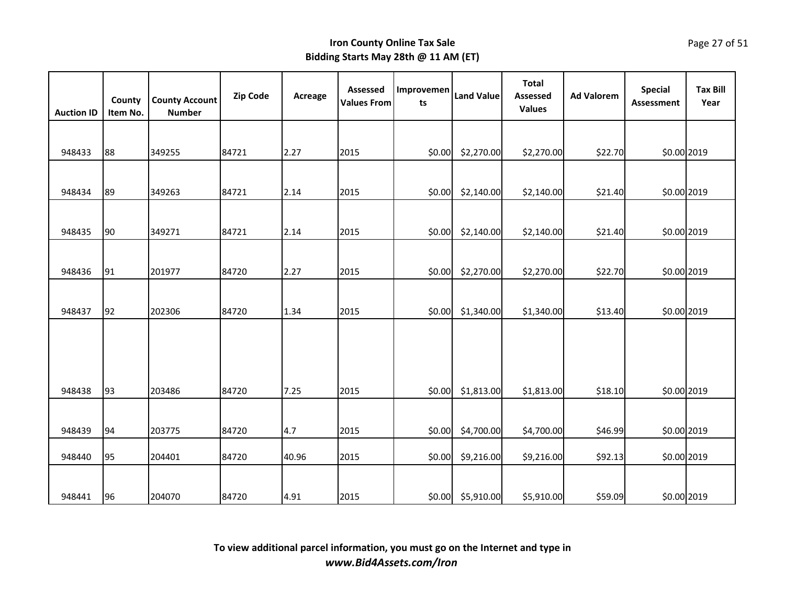|                   | County   | <b>County Account</b> | <b>Zip Code</b> | Acreage | Assessed<br><b>Values From</b> | Improvemen<br>ts | <b>Land Value</b> | <b>Total</b><br><b>Assessed</b> | <b>Ad Valorem</b> | <b>Special</b><br><b>Assessment</b> | <b>Tax Bill</b><br>Year |
|-------------------|----------|-----------------------|-----------------|---------|--------------------------------|------------------|-------------------|---------------------------------|-------------------|-------------------------------------|-------------------------|
| <b>Auction ID</b> | Item No. | <b>Number</b>         |                 |         |                                |                  |                   | <b>Values</b>                   |                   |                                     |                         |
|                   |          |                       |                 |         |                                |                  |                   |                                 |                   |                                     |                         |
| 948433            | 88       | 349255                | 84721           | 2.27    | 2015                           | \$0.00           | \$2,270.00        | \$2,270.00                      | \$22.70           | \$0.00 2019                         |                         |
|                   |          |                       |                 |         |                                |                  |                   |                                 |                   |                                     |                         |
| 948434            | 89       | 349263                | 84721           | 2.14    | 2015                           | \$0.00           | \$2,140.00        | \$2,140.00                      | \$21.40           | \$0.00 2019                         |                         |
|                   |          |                       |                 |         |                                |                  |                   |                                 |                   |                                     |                         |
| 948435            | 90       | 349271                | 84721           | 2.14    | 2015                           | \$0.00           | \$2,140.00        | \$2,140.00                      | \$21.40           | \$0.00 2019                         |                         |
| 948436            |          |                       |                 |         |                                |                  |                   |                                 |                   |                                     |                         |
|                   | 91       | 201977                | 84720           | 2.27    | 2015                           | \$0.00           | \$2,270.00        | \$2,270.00                      | \$22.70           | \$0.00 2019                         |                         |
| 948437            | 92       | 202306                | 84720           | 1.34    | 2015                           | \$0.00           | \$1,340.00        | \$1,340.00                      | \$13.40           | \$0.00 2019                         |                         |
|                   |          |                       |                 |         |                                |                  |                   |                                 |                   |                                     |                         |
|                   |          |                       |                 |         |                                |                  |                   |                                 |                   |                                     |                         |
| 948438            | 93       | 203486                | 84720           | 7.25    | 2015                           | \$0.00           | \$1,813.00        | \$1,813.00                      | \$18.10           | \$0.00 2019                         |                         |
|                   |          |                       |                 |         |                                |                  |                   |                                 |                   |                                     |                         |
| 948439            | 94       | 203775                | 84720           | 4.7     | 2015                           | \$0.00           | \$4,700.00        | \$4,700.00                      | \$46.99           | \$0.00 2019                         |                         |
| 948440            | 95       | 204401                | 84720           | 40.96   | 2015                           | \$0.00           | \$9,216.00        | \$9,216.00                      | \$92.13           | \$0.00 2019                         |                         |
|                   |          |                       |                 |         |                                |                  |                   |                                 |                   |                                     |                         |
| 948441            | 96       | 204070                | 84720           | 4.91    | 2015                           |                  | \$0.00 \$5,910.00 | \$5,910.00                      | \$59.09           | \$0.00 2019                         |                         |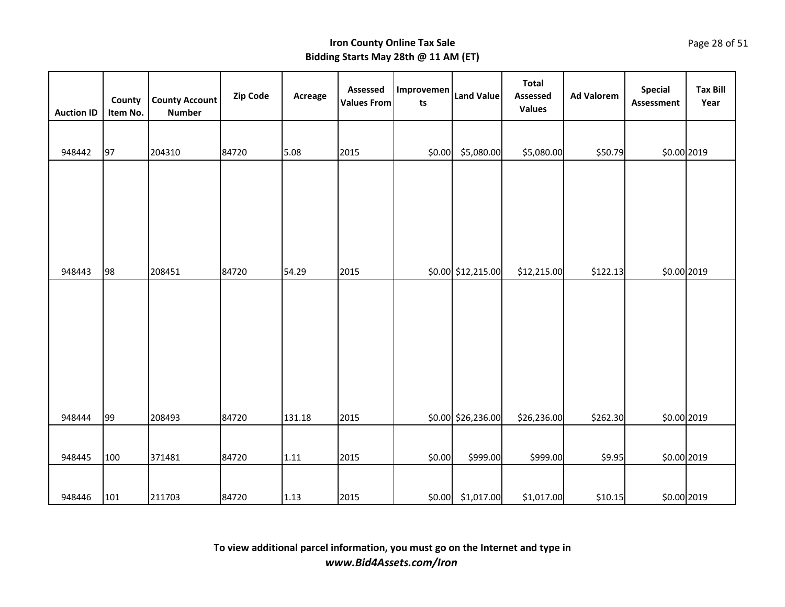| <b>Auction ID</b> | County<br>Item No. | <b>County Account</b><br><b>Number</b> | Zip Code | Acreage | Assessed<br><b>Values From</b> | Improvemen<br>ts | <b>Land Value</b>  | <b>Total</b><br><b>Assessed</b><br><b>Values</b> | <b>Ad Valorem</b> | <b>Special</b><br><b>Assessment</b> | <b>Tax Bill</b><br>Year |
|-------------------|--------------------|----------------------------------------|----------|---------|--------------------------------|------------------|--------------------|--------------------------------------------------|-------------------|-------------------------------------|-------------------------|
|                   |                    |                                        |          |         |                                |                  |                    |                                                  |                   |                                     |                         |
| 948442            | 97                 | 204310                                 | 84720    | 5.08    | 2015                           | \$0.00           | \$5,080.00         | \$5,080.00                                       | \$50.79           | \$0.00 2019                         |                         |
| 948443            | 98                 | 208451                                 | 84720    | 54.29   | 2015                           |                  | \$0.00 \$12,215.00 | \$12,215.00                                      | \$122.13          | \$0.00 2019                         |                         |
|                   |                    |                                        |          |         |                                |                  |                    |                                                  |                   |                                     |                         |
| 948444            | 99                 | 208493                                 | 84720    | 131.18  | 2015                           |                  | \$0.00 \$26,236.00 | \$26,236.00                                      | \$262.30          | \$0.00 2019                         |                         |
|                   |                    |                                        |          |         |                                |                  |                    |                                                  |                   |                                     |                         |
| 948445            | 100                | 371481                                 | 84720    | 1.11    | 2015                           | \$0.00           | \$999.00           | \$999.00                                         | \$9.95            | \$0.00 2019                         |                         |
| 948446            | 101                | 211703                                 | 84720    | 1.13    | 2015                           | \$0.00           | \$1,017.00         | \$1,017.00                                       | \$10.15           | \$0.00 2019                         |                         |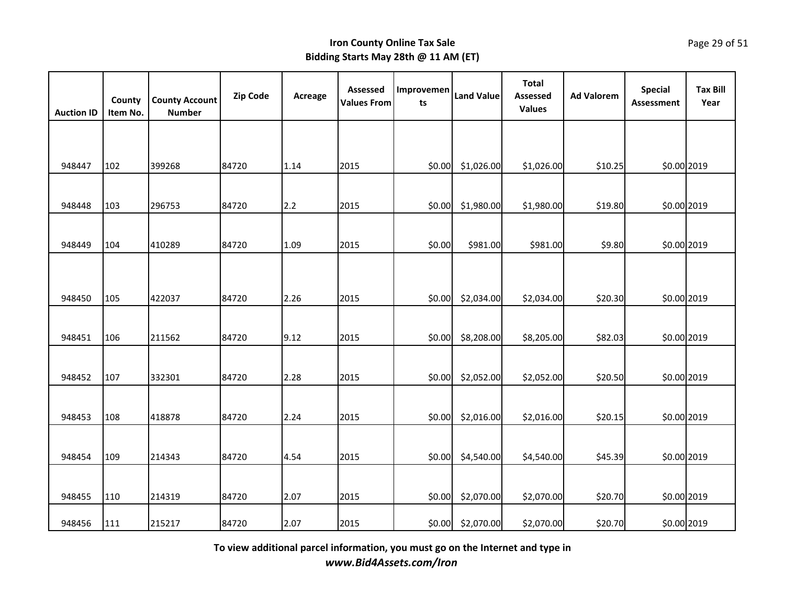| <b>Auction ID</b> | County<br>Item No. | <b>County Account</b><br><b>Number</b> | Zip Code | Acreage | Assessed<br><b>Values From</b> | Improvemen<br>ts | <b>Land Value</b> | <b>Total</b><br>Assessed<br><b>Values</b> | <b>Ad Valorem</b> | <b>Special</b><br>Assessment | <b>Tax Bill</b><br>Year |
|-------------------|--------------------|----------------------------------------|----------|---------|--------------------------------|------------------|-------------------|-------------------------------------------|-------------------|------------------------------|-------------------------|
|                   |                    |                                        |          |         |                                |                  |                   |                                           |                   |                              |                         |
| 948447            | 102                | 399268                                 | 84720    | 1.14    | 2015                           | \$0.00           | \$1,026.00        | \$1,026.00                                | \$10.25           | \$0.00 2019                  |                         |
| 948448            | 103                | 296753                                 | 84720    | 2.2     | 2015                           | \$0.00           | \$1,980.00        | \$1,980.00                                | \$19.80           | \$0.00 2019                  |                         |
| 948449            | 104                | 410289                                 | 84720    | 1.09    | 2015                           | \$0.00           | \$981.00          | \$981.00                                  | \$9.80            | \$0.00 2019                  |                         |
|                   |                    |                                        |          |         |                                |                  |                   |                                           |                   |                              |                         |
| 948450            | 105                | 422037                                 | 84720    | 2.26    | 2015                           | \$0.00           | \$2,034.00        | \$2,034.00                                | \$20.30           | \$0.00 2019                  |                         |
| 948451            | 106                | 211562                                 | 84720    | 9.12    | 2015                           | \$0.00           | \$8,208.00        | \$8,205.00                                | \$82.03           | \$0.00 2019                  |                         |
| 948452            | 107                | 332301                                 | 84720    | 2.28    | 2015                           | \$0.00           | \$2,052.00        | \$2,052.00                                | \$20.50           | \$0.00 2019                  |                         |
| 948453            | 108                | 418878                                 | 84720    | 2.24    | 2015                           | \$0.00           | \$2,016.00        | \$2,016.00                                | \$20.15           | \$0.00 2019                  |                         |
| 948454            | 109                | 214343                                 | 84720    | 4.54    | 2015                           | \$0.00           | \$4,540.00        | \$4,540.00                                | \$45.39           | \$0.00 2019                  |                         |
| 948455            | 110                | 214319                                 | 84720    | 2.07    | 2015                           | \$0.00           | \$2,070.00        | \$2,070.00                                | \$20.70           | \$0.00 2019                  |                         |
| 948456            | 111                | 215217                                 | 84720    | 2.07    | 2015                           | \$0.00           | \$2,070.00        | \$2,070.00                                | \$20.70           | \$0.00 2019                  |                         |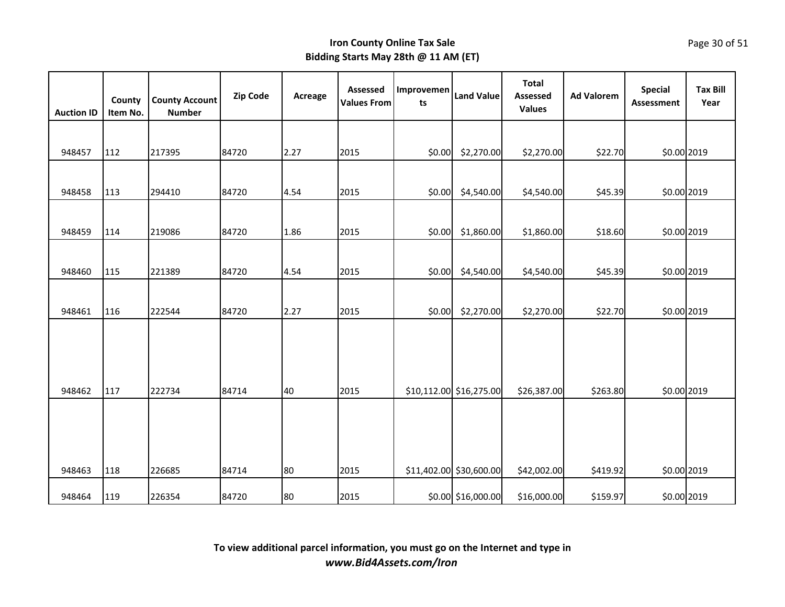| <b>Auction ID</b> | County<br>Item No. | <b>County Account</b><br><b>Number</b> | <b>Zip Code</b> | Acreage | Assessed<br><b>Values From</b> | Improvemen<br>ts | <b>Land Value</b>       | <b>Total</b><br>Assessed<br><b>Values</b> | <b>Ad Valorem</b> | <b>Special</b><br>Assessment | <b>Tax Bill</b><br>Year |
|-------------------|--------------------|----------------------------------------|-----------------|---------|--------------------------------|------------------|-------------------------|-------------------------------------------|-------------------|------------------------------|-------------------------|
|                   |                    |                                        |                 |         |                                |                  |                         |                                           |                   |                              |                         |
| 948457            | 112                | 217395                                 | 84720           | 2.27    | 2015                           | \$0.00           | \$2,270.00              | \$2,270.00                                | \$22.70           | \$0.00 2019                  |                         |
| 948458            | 113                | 294410                                 | 84720           | 4.54    | 2015                           | \$0.00           | \$4,540.00              | \$4,540.00                                | \$45.39           | \$0.00 2019                  |                         |
|                   |                    |                                        |                 |         |                                |                  |                         |                                           |                   |                              |                         |
| 948459            | 114                | 219086                                 | 84720           | 1.86    | 2015                           | \$0.00           | \$1,860.00              | \$1,860.00                                | \$18.60           | \$0.00 2019                  |                         |
| 948460            | 115                | 221389                                 | 84720           | 4.54    | 2015                           | \$0.00           | \$4,540.00              | \$4,540.00                                | \$45.39           | \$0.00 2019                  |                         |
| 948461            | 116                | 222544                                 | 84720           | 2.27    | 2015                           | \$0.00           | \$2,270.00              | \$2,270.00                                | \$22.70           | \$0.00 2019                  |                         |
| 948462            | 117                | 222734                                 | 84714           | 40      | 2015                           |                  | \$10,112.00 \$16,275.00 | \$26,387.00                               | \$263.80          | \$0.00 2019                  |                         |
| 948463            | 118                | 226685                                 | 84714           | 80      | 2015                           |                  | \$11,402.00 \$30,600.00 | \$42,002.00                               | \$419.92          | \$0.00 2019                  |                         |
| 948464            | 119                | 226354                                 | 84720           | 80      | 2015                           |                  | \$0.00 \$16,000.00      | \$16,000.00                               | \$159.97          | \$0.00 2019                  |                         |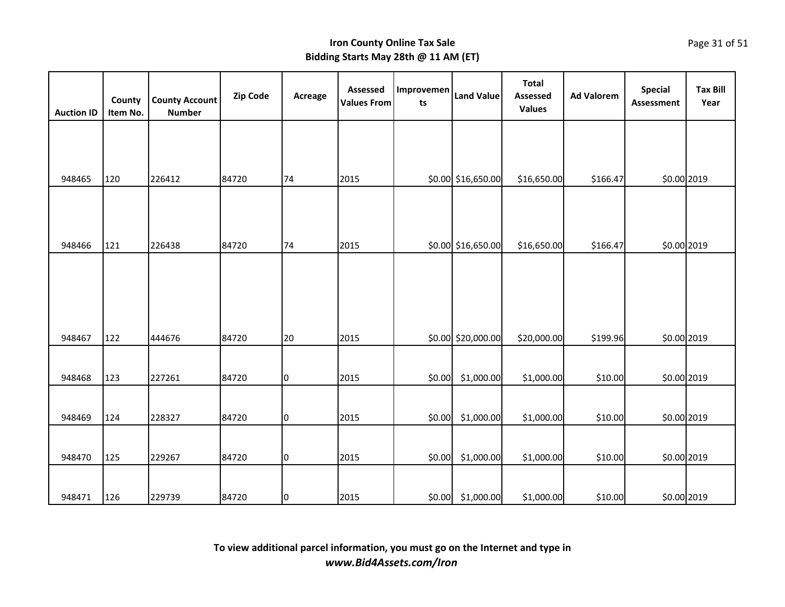| <b>Auction ID</b> | County<br>Item No. | <b>County Account</b><br><b>Number</b> | <b>Zip Code</b> | Acreage        | <b>Assessed</b><br><b>Values From</b> | Improvemen<br>ts | <b>Land Value</b>  | <b>Total</b><br><b>Assessed</b><br><b>Values</b> | <b>Ad Valorem</b> | <b>Special</b><br><b>Assessment</b> | <b>Tax Bill</b><br>Year |
|-------------------|--------------------|----------------------------------------|-----------------|----------------|---------------------------------------|------------------|--------------------|--------------------------------------------------|-------------------|-------------------------------------|-------------------------|
|                   |                    |                                        |                 |                |                                       |                  |                    |                                                  |                   |                                     |                         |
|                   |                    |                                        |                 |                |                                       |                  |                    |                                                  |                   |                                     |                         |
| 948465            | 120                | 226412                                 | 84720           | 74             | 2015                                  |                  | \$0.00 \$16,650.00 | \$16,650.00                                      | \$166.47          | \$0.00 2019                         |                         |
|                   |                    |                                        |                 |                |                                       |                  |                    |                                                  |                   |                                     |                         |
|                   |                    |                                        |                 |                |                                       |                  |                    |                                                  |                   |                                     |                         |
| 948466            | 121                | 226438                                 | 84720           | 74             | 2015                                  |                  | \$0.00 \$16,650.00 | \$16,650.00                                      | \$166.47          | \$0.00 2019                         |                         |
|                   |                    |                                        |                 |                |                                       |                  |                    |                                                  |                   |                                     |                         |
|                   |                    |                                        |                 |                |                                       |                  |                    |                                                  |                   |                                     |                         |
|                   |                    |                                        |                 |                |                                       |                  |                    |                                                  |                   |                                     |                         |
| 948467            | 122                | 444676                                 | 84720           | 20             | 2015                                  |                  | \$0.00 \$20,000.00 | \$20,000.00                                      | \$199.96          | \$0.00 2019                         |                         |
|                   |                    |                                        |                 |                |                                       |                  |                    |                                                  |                   |                                     |                         |
| 948468            | 123                | 227261                                 | 84720           | 0              | 2015                                  | \$0.00           | \$1,000.00         | \$1,000.00                                       | \$10.00           | \$0.00 2019                         |                         |
|                   |                    |                                        |                 |                |                                       |                  |                    |                                                  |                   |                                     |                         |
| 948469            | 124                | 228327                                 | 84720           | 0              | 2015                                  | \$0.00           | \$1,000.00         | \$1,000.00                                       | \$10.00           | \$0.00 2019                         |                         |
|                   |                    |                                        |                 |                |                                       |                  |                    |                                                  |                   |                                     |                         |
| 948470            | 125                | 229267                                 | 84720           | $\overline{0}$ | 2015                                  | \$0.00           | \$1,000.00         | \$1,000.00                                       | \$10.00           | \$0.00 2019                         |                         |
|                   |                    |                                        |                 |                |                                       |                  |                    |                                                  |                   |                                     |                         |
| 948471            | 126                | 229739                                 | 84720           | O              | 2015                                  | \$0.00           | \$1,000.00         | \$1,000.00                                       | \$10.00           | \$0.00 2019                         |                         |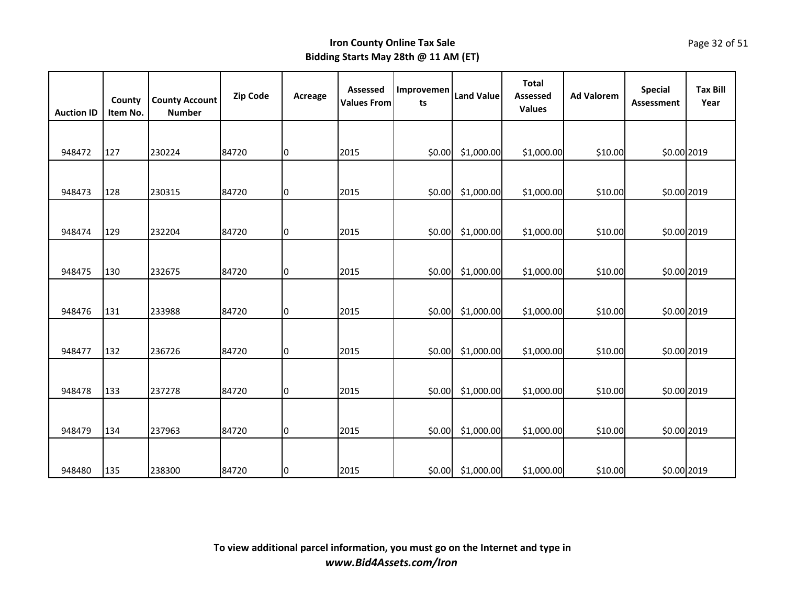| <b>Auction ID</b> | County<br>Item No. | <b>County Account</b><br><b>Number</b> | <b>Zip Code</b> | Acreage | <b>Assessed</b><br><b>Values From</b> | Improvemen<br>ts | <b>Land Value</b> | <b>Total</b><br>Assessed<br><b>Values</b> | <b>Ad Valorem</b> | <b>Special</b><br><b>Assessment</b> | <b>Tax Bill</b><br>Year |
|-------------------|--------------------|----------------------------------------|-----------------|---------|---------------------------------------|------------------|-------------------|-------------------------------------------|-------------------|-------------------------------------|-------------------------|
|                   |                    |                                        |                 |         |                                       |                  |                   |                                           |                   |                                     |                         |
| 948472            | 127                | 230224                                 | 84720           | 0       | 2015                                  | \$0.00           | \$1,000.00        | \$1,000.00                                | \$10.00           | \$0.00 2019                         |                         |
|                   |                    |                                        |                 |         |                                       |                  |                   |                                           |                   |                                     |                         |
| 948473            | 128                | 230315                                 | 84720           | 10      | 2015                                  | \$0.00           | \$1,000.00        | \$1,000.00                                | \$10.00           | \$0.00 2019                         |                         |
|                   |                    |                                        |                 |         |                                       |                  |                   |                                           |                   |                                     |                         |
| 948474            | 129                | 232204                                 | 84720           | 0       | 2015                                  | \$0.00           | \$1,000.00        | \$1,000.00                                | \$10.00           | \$0.00 2019                         |                         |
|                   |                    |                                        |                 |         |                                       |                  |                   |                                           |                   |                                     |                         |
| 948475            | 130                | 232675                                 | 84720           | 10      | 2015                                  | \$0.00           | \$1,000.00        | \$1,000.00                                | \$10.00           | \$0.00 2019                         |                         |
|                   |                    |                                        |                 |         |                                       |                  |                   |                                           |                   |                                     |                         |
| 948476            | 131                | 233988                                 | 84720           | 0       | 2015                                  | \$0.00           | \$1,000.00        | \$1,000.00                                | \$10.00           | \$0.00 2019                         |                         |
|                   |                    |                                        |                 |         |                                       |                  |                   |                                           |                   |                                     |                         |
| 948477            | 132                | 236726                                 | 84720           | Iо      | 2015                                  | \$0.00           | \$1,000.00        | \$1,000.00                                | \$10.00           | \$0.00 2019                         |                         |
|                   |                    |                                        |                 |         |                                       |                  |                   |                                           |                   |                                     |                         |
| 948478            | 133                | 237278                                 | 84720           | 10      | 2015                                  | \$0.00           | \$1,000.00        | \$1,000.00                                | \$10.00           | \$0.00 2019                         |                         |
|                   |                    |                                        |                 |         |                                       |                  |                   |                                           |                   |                                     |                         |
| 948479            | 134                | 237963                                 | 84720           | 10      | 2015                                  | \$0.00           | \$1,000.00        | \$1,000.00                                | \$10.00           | \$0.00 2019                         |                         |
|                   |                    |                                        |                 |         |                                       |                  |                   |                                           |                   |                                     |                         |
| 948480            | 135                | 238300                                 | 84720           | Iо      | 2015                                  | \$0.00           | \$1,000.00        | \$1,000.00                                | \$10.00           | \$0.00 2019                         |                         |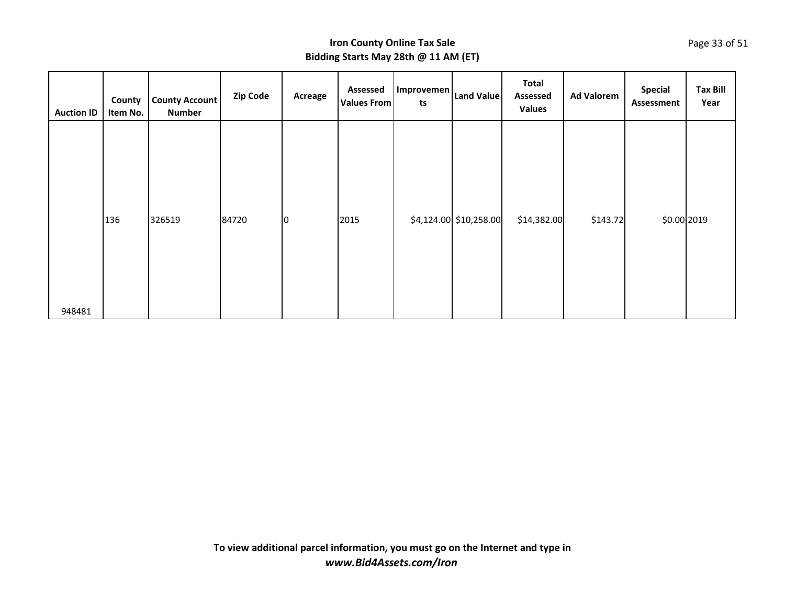| <b>Auction ID</b> | County<br>Item No. | <b>County Account</b><br><b>Number</b> | Zip Code | Acreage     | <b>Assessed</b><br><b>Values From</b> | Improvemen<br>ts | <b>Land Value</b>      | <b>Total</b><br>Assessed<br><b>Values</b> | <b>Ad Valorem</b> | <b>Special</b><br>Assessment | <b>Tax Bill</b><br>Year |
|-------------------|--------------------|----------------------------------------|----------|-------------|---------------------------------------|------------------|------------------------|-------------------------------------------|-------------------|------------------------------|-------------------------|
|                   | 136                | 326519                                 | 84720    | $ 0\rangle$ | 2015                                  |                  | \$4,124.00 \$10,258.00 | \$14,382.00                               | \$143.72          | \$0.00 2019                  |                         |
| 948481            |                    |                                        |          |             |                                       |                  |                        |                                           |                   |                              |                         |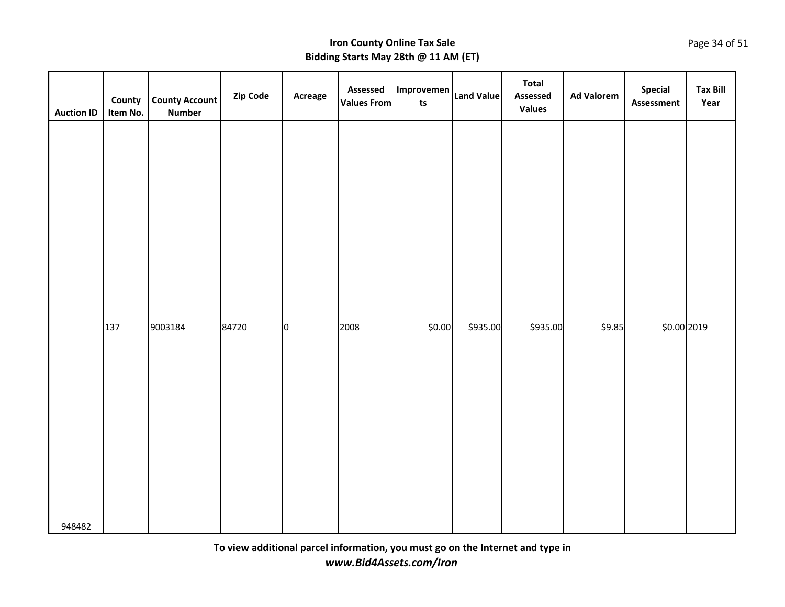| <b>Auction ID</b> | County<br>Item No. | <b>County Account</b><br><b>Number</b> | Zip Code | Acreage     | Assessed<br><b>Values From</b> | Improvemen<br>t <sub>s</sub> | <b>Land Value</b> | <b>Total</b><br>Assessed<br><b>Values</b> | <b>Ad Valorem</b> | Special<br>Assessment | <b>Tax Bill</b><br>Year |
|-------------------|--------------------|----------------------------------------|----------|-------------|--------------------------------|------------------------------|-------------------|-------------------------------------------|-------------------|-----------------------|-------------------------|
|                   | 137                | 9003184                                | 84720    | $ 0\rangle$ | 2008                           | \$0.00                       | \$935.00          | \$935.00                                  | \$9.85            | \$0.00 2019           |                         |
| 948482            |                    |                                        |          |             |                                |                              |                   |                                           |                   |                       |                         |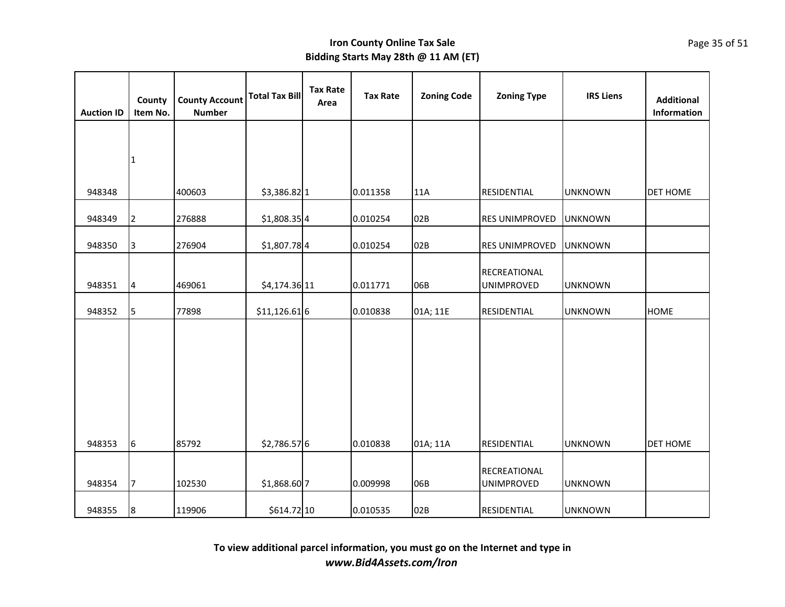| <b>Auction ID</b> | County<br>Item No. | <b>County Account</b><br><b>Number</b> | <b>Total Tax Bill</b> | <b>Tax Rate</b><br>Area | <b>Tax Rate</b> | <b>Zoning Code</b> | <b>Zoning Type</b>                | <b>IRS Liens</b> | <b>Additional</b><br>Information |
|-------------------|--------------------|----------------------------------------|-----------------------|-------------------------|-----------------|--------------------|-----------------------------------|------------------|----------------------------------|
|                   |                    |                                        |                       |                         |                 |                    |                                   |                  |                                  |
|                   | 11                 |                                        |                       |                         |                 |                    |                                   |                  |                                  |
| 948348            |                    | 400603                                 | $$3,386.82$ 1         |                         | 0.011358        | 11A                | RESIDENTIAL                       |                  | <b>DET HOME</b>                  |
|                   |                    |                                        |                       |                         |                 |                    |                                   | <b>UNKNOWN</b>   |                                  |
| 948349            | 2                  | 276888                                 | $$1,808.35$ 4         |                         | 0.010254        | 02B                | RES UNIMPROVED                    | <b>UNKNOWN</b>   |                                  |
| 948350            | 3                  | 276904                                 | $$1,807.78$ 4         |                         | 0.010254        | 02B                | <b>RES UNIMPROVED</b>             | <b>UNKNOWN</b>   |                                  |
| 948351            | 4                  | 469061                                 | \$4,174.36 11         |                         | 0.011771        | 06B                | RECREATIONAL<br><b>UNIMPROVED</b> | <b>UNKNOWN</b>   |                                  |
| 948352            | 5                  | 77898                                  | $$11,126.61$ 6        |                         | 0.010838        | 01A; 11E           | RESIDENTIAL                       | <b>UNKNOWN</b>   | <b>HOME</b>                      |
| 948353            | 6                  | 85792                                  | \$2,786.57 6          |                         | 0.010838        | 01A; 11A           | RESIDENTIAL                       | <b>UNKNOWN</b>   | <b>DET HOME</b>                  |
| 948354            | 17                 | 102530                                 | \$1,868.60 7          |                         | 0.009998        | 06B                | RECREATIONAL<br><b>UNIMPROVED</b> | <b>UNKNOWN</b>   |                                  |
| 948355            | 8                  | 119906                                 | \$614.72 10           |                         | 0.010535        | 02B                | <b>RESIDENTIAL</b>                | <b>UNKNOWN</b>   |                                  |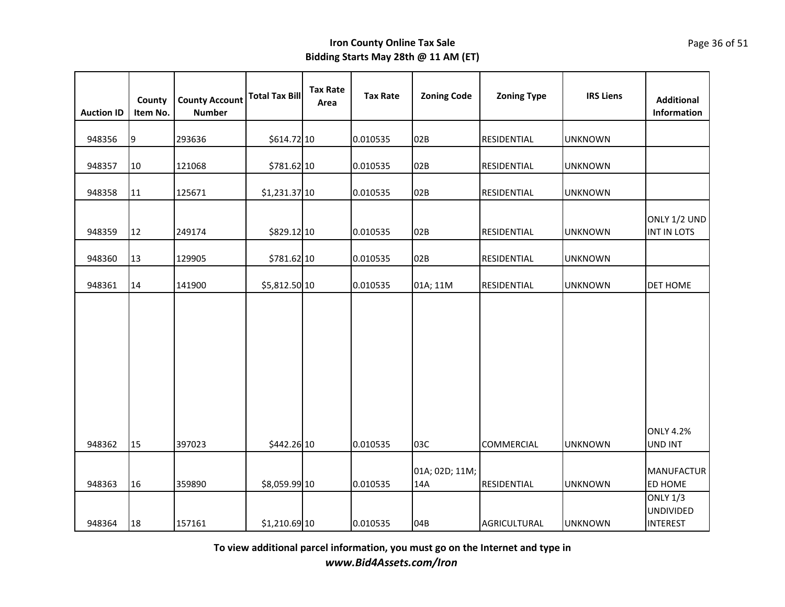| <b>Auction ID</b> | County<br>Item No. | <b>County Account</b><br><b>Number</b> | <b>Total Tax Bill</b> | <b>Tax Rate</b><br>Area | <b>Tax Rate</b> | <b>Zoning Code</b>    | <b>Zoning Type</b> | <b>IRS Liens</b> | <b>Additional</b><br>Information                       |
|-------------------|--------------------|----------------------------------------|-----------------------|-------------------------|-----------------|-----------------------|--------------------|------------------|--------------------------------------------------------|
| 948356            | 9                  | 293636                                 | \$614.72 10           |                         | 0.010535        | 02B                   | <b>RESIDENTIAL</b> | <b>UNKNOWN</b>   |                                                        |
| 948357            | 10                 | 121068                                 | \$781.62 10           |                         | 0.010535        | 02B                   | RESIDENTIAL        | <b>UNKNOWN</b>   |                                                        |
| 948358            | 11                 | 125671                                 | \$1,231.37 10         |                         | 0.010535        | 02B                   | RESIDENTIAL        | <b>UNKNOWN</b>   |                                                        |
| 948359            | 12                 | 249174                                 | \$829.12 10           |                         | 0.010535        | 02B                   | RESIDENTIAL        | <b>UNKNOWN</b>   | ONLY 1/2 UND<br>INT IN LOTS                            |
| 948360            | 13                 | 129905                                 | \$781.62 10           |                         | 0.010535        | 02B                   | RESIDENTIAL        | <b>UNKNOWN</b>   |                                                        |
| 948361            | 14                 | 141900                                 | \$5,812.50 10         |                         | 0.010535        | 01A; 11M              | RESIDENTIAL        | <b>UNKNOWN</b>   | <b>DET HOME</b>                                        |
| 948362            | 15                 | 397023                                 | \$442.26 10           |                         | 0.010535        | 03C                   | <b>COMMERCIAL</b>  | <b>UNKNOWN</b>   | <b>ONLY 4.2%</b><br><b>UND INT</b>                     |
| 948363            | 16                 | 359890                                 | \$8,059.99 10         |                         | 0.010535        | 01A; 02D; 11M;<br>14A | RESIDENTIAL        | <b>UNKNOWN</b>   | <b>MANUFACTUR</b><br>ED HOME                           |
| 948364            | 18                 | 157161                                 | \$1,210.69 10         |                         | 0.010535        | 04B                   | AGRICULTURAL       | <b>UNKNOWN</b>   | <b>ONLY 1/3</b><br><b>UNDIVIDED</b><br><b>INTEREST</b> |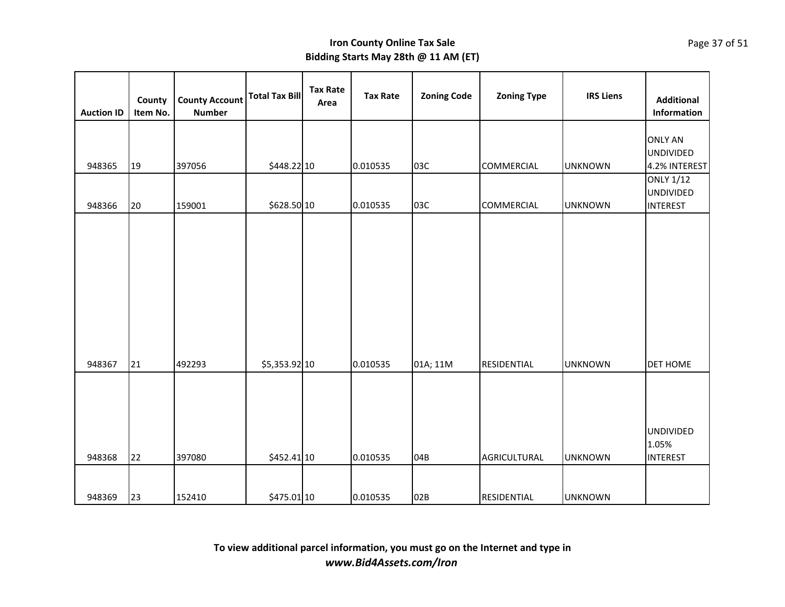| <b>Auction ID</b> | County<br>Item No. | <b>County Account</b><br><b>Number</b> | <b>Total Tax Bill</b> | <b>Tax Rate</b><br>Area | <b>Tax Rate</b> | <b>Zoning Code</b> | <b>Zoning Type</b> | <b>IRS Liens</b> | <b>Additional</b><br>Information                                        |
|-------------------|--------------------|----------------------------------------|-----------------------|-------------------------|-----------------|--------------------|--------------------|------------------|-------------------------------------------------------------------------|
| 948365            | 19                 | 397056                                 | \$448.22 10           |                         | 0.010535        | 03C                | <b>COMMERCIAL</b>  | <b>UNKNOWN</b>   | <b>ONLY AN</b><br><b>UNDIVIDED</b><br>4.2% INTEREST<br><b>ONLY 1/12</b> |
| 948366            | 20                 | 159001                                 | \$628.50 10           |                         | 0.010535        | 03C                | <b>COMMERCIAL</b>  | <b>UNKNOWN</b>   | <b>UNDIVIDED</b><br><b>INTEREST</b>                                     |
| 948367            | 21                 | 492293                                 | \$5,353.92 10         |                         | 0.010535        | 01A; 11M           | RESIDENTIAL        | <b>UNKNOWN</b>   | <b>DET HOME</b>                                                         |
| 948368            | 22                 | 397080                                 | \$452.41 10           |                         | 0.010535        | 04B                | AGRICULTURAL       | <b>UNKNOWN</b>   | <b>UNDIVIDED</b><br>1.05%<br><b>INTEREST</b>                            |
| 948369            | 23                 | 152410                                 | \$475.01 10           |                         | 0.010535        | 02B                | RESIDENTIAL        | <b>UNKNOWN</b>   |                                                                         |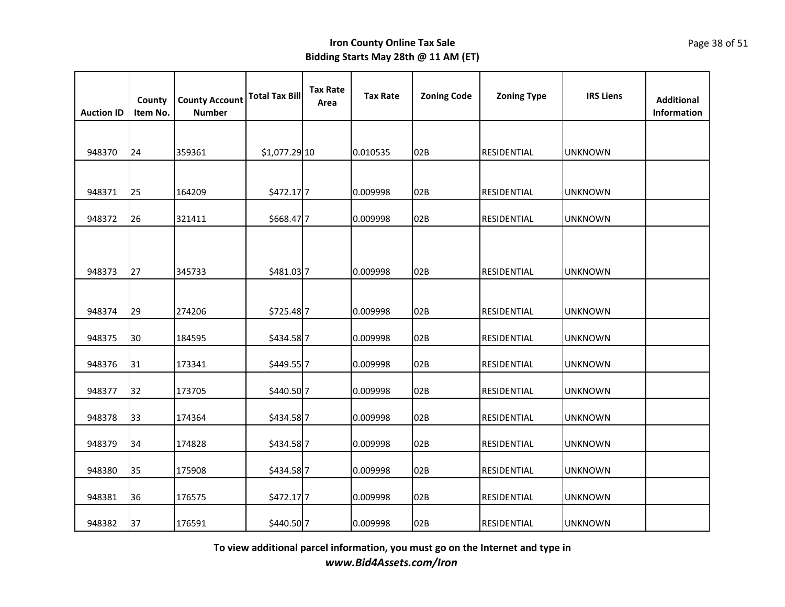| <b>Auction ID</b> | County<br>Item No. | <b>County Account</b><br><b>Number</b> | <b>Total Tax Bill</b> | <b>Tax Rate</b><br>Area | <b>Tax Rate</b> | <b>Zoning Code</b> | <b>Zoning Type</b> | <b>IRS Liens</b> | <b>Additional</b><br>Information |
|-------------------|--------------------|----------------------------------------|-----------------------|-------------------------|-----------------|--------------------|--------------------|------------------|----------------------------------|
|                   |                    |                                        |                       |                         |                 |                    |                    |                  |                                  |
| 948370            | 24                 | 359361                                 | \$1,077.29 10         |                         | 0.010535        | 02B                | RESIDENTIAL        | <b>UNKNOWN</b>   |                                  |
|                   |                    |                                        |                       |                         |                 |                    |                    |                  |                                  |
| 948371            | 25                 | 164209                                 | \$472.17 7            |                         | 0.009998        | 02B                | RESIDENTIAL        | <b>UNKNOWN</b>   |                                  |
| 948372            | 26                 | 321411                                 | \$668.477             |                         | 0.009998        | 02B                | RESIDENTIAL        | <b>UNKNOWN</b>   |                                  |
|                   |                    |                                        |                       |                         |                 |                    |                    |                  |                                  |
|                   |                    |                                        |                       |                         |                 |                    |                    |                  |                                  |
| 948373            | 27                 | 345733                                 | \$481.03 7            |                         | 0.009998        | 02B                | RESIDENTIAL        | <b>UNKNOWN</b>   |                                  |
|                   |                    |                                        |                       |                         |                 |                    |                    |                  |                                  |
| 948374            | 29                 | 274206                                 | \$725.48 7            |                         | 0.009998        | 02B                | <b>RESIDENTIAL</b> | <b>UNKNOWN</b>   |                                  |
| 948375            | 30                 | 184595                                 | \$434.58 7            |                         | 0.009998        | 02B                | RESIDENTIAL        | <b>UNKNOWN</b>   |                                  |
| 948376            | 31                 | 173341                                 | \$449.55 7            |                         | 0.009998        | 02B                | RESIDENTIAL        | <b>UNKNOWN</b>   |                                  |
|                   |                    |                                        |                       |                         |                 |                    |                    |                  |                                  |
| 948377            | 32                 | 173705                                 | \$440.50 7            |                         | 0.009998        | 02B                | RESIDENTIAL        | <b>UNKNOWN</b>   |                                  |
| 948378            | 33                 | 174364                                 | \$434.58 7            |                         | 0.009998        | 02B                | RESIDENTIAL        | <b>UNKNOWN</b>   |                                  |
| 948379            | 34                 | 174828                                 | \$434.58 7            |                         | 0.009998        | 02B                | RESIDENTIAL        | <b>UNKNOWN</b>   |                                  |
|                   |                    |                                        |                       |                         |                 |                    |                    |                  |                                  |
| 948380            | 35                 | 175908                                 | \$434.587             |                         | 0.009998        | 02B                | RESIDENTIAL        | <b>UNKNOWN</b>   |                                  |
| 948381            | 36                 | 176575                                 | \$472.177             |                         | 0.009998        | 02B                | RESIDENTIAL        | <b>UNKNOWN</b>   |                                  |
| 948382            | 37                 | 176591                                 | \$440.50 7            |                         | 0.009998        | 02B                | RESIDENTIAL        | <b>UNKNOWN</b>   |                                  |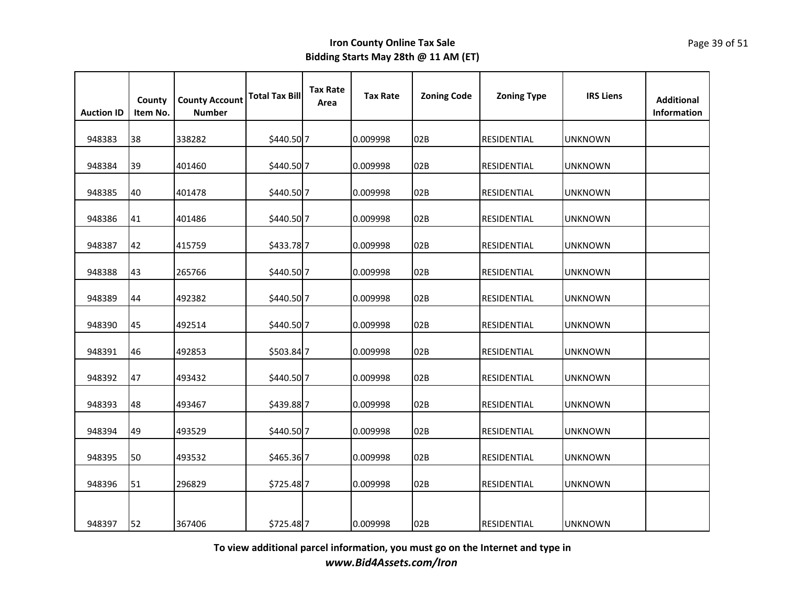| <b>Auction ID</b> | County<br>Item No. | <b>County Account</b><br><b>Number</b> | <b>Total Tax Bill</b> | <b>Tax Rate</b><br>Area | <b>Tax Rate</b> | <b>Zoning Code</b> | <b>Zoning Type</b> | <b>IRS Liens</b> | <b>Additional</b><br><b>Information</b> |
|-------------------|--------------------|----------------------------------------|-----------------------|-------------------------|-----------------|--------------------|--------------------|------------------|-----------------------------------------|
| 948383            | 38                 | 338282                                 | \$440.50 7            |                         | 0.009998        | 02B                | <b>RESIDENTIAL</b> | <b>UNKNOWN</b>   |                                         |
| 948384            | 39                 | 401460                                 | \$440.50 7            |                         | 0.009998        | 02B                | <b>RESIDENTIAL</b> | <b>UNKNOWN</b>   |                                         |
| 948385            | 40                 | 401478                                 | \$440.50 7            |                         | 0.009998        | 02B                | RESIDENTIAL        | <b>UNKNOWN</b>   |                                         |
| 948386            | 41                 | 401486                                 | \$440.50 7            |                         | 0.009998        | 02B                | <b>RESIDENTIAL</b> | <b>UNKNOWN</b>   |                                         |
| 948387            | 42                 | 415759                                 | \$433.787             |                         | 0.009998        | 02B                | <b>RESIDENTIAL</b> | <b>UNKNOWN</b>   |                                         |
| 948388            | 43                 | 265766                                 | \$440.50 7            |                         | 0.009998        | 02B                | RESIDENTIAL        | <b>UNKNOWN</b>   |                                         |
| 948389            | 44                 | 492382                                 | \$440.50 7            |                         | 0.009998        | 02B                | RESIDENTIAL        | <b>UNKNOWN</b>   |                                         |
| 948390            | 45                 | 492514                                 | \$440.50 7            |                         | 0.009998        | 02B                | RESIDENTIAL        | <b>UNKNOWN</b>   |                                         |
| 948391            | 46                 | 492853                                 | \$503.84 7            |                         | 0.009998        | 02B                | RESIDENTIAL        | <b>UNKNOWN</b>   |                                         |
| 948392            | 47                 | 493432                                 | \$440.50 7            |                         | 0.009998        | 02B                | <b>RESIDENTIAL</b> | <b>UNKNOWN</b>   |                                         |
| 948393            | 48                 | 493467                                 | \$439.887             |                         | 0.009998        | 02B                | <b>RESIDENTIAL</b> | UNKNOWN          |                                         |
| 948394            | 49                 | 493529                                 | \$440.50 7            |                         | 0.009998        | 02B                | RESIDENTIAL        | <b>UNKNOWN</b>   |                                         |
| 948395            | 50                 | 493532                                 | \$465.36 7            |                         | 0.009998        | 02B                | RESIDENTIAL        | <b>UNKNOWN</b>   |                                         |
| 948396            | 51                 | 296829                                 | \$725.48 7            |                         | 0.009998        | 02B                | <b>RESIDENTIAL</b> | <b>UNKNOWN</b>   |                                         |
|                   |                    |                                        |                       |                         |                 |                    |                    |                  |                                         |
| 948397            | 52                 | 367406                                 | \$725.48 7            |                         | 0.009998        | 02B                | <b>RESIDENTIAL</b> | <b>UNKNOWN</b>   |                                         |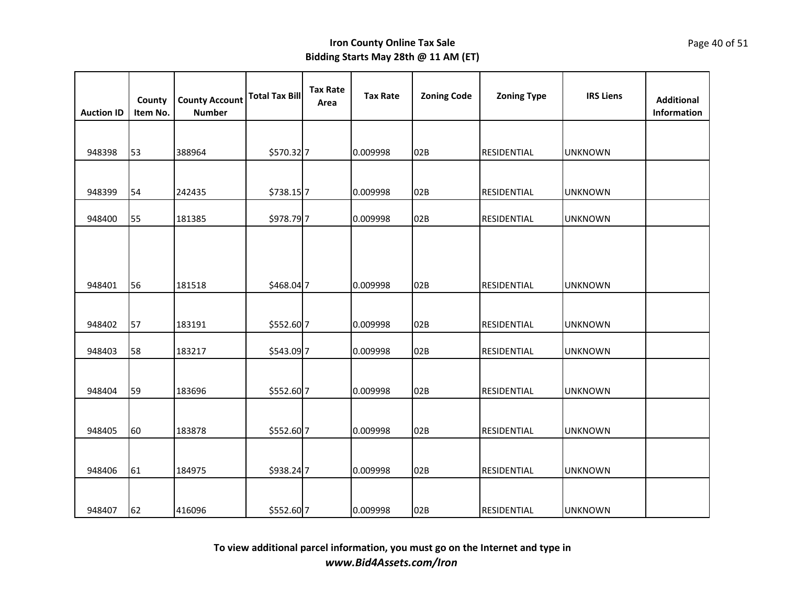| <b>Auction ID</b> | County<br>Item No. | <b>County Account</b><br><b>Number</b> | <b>Total Tax Bill</b> | <b>Tax Rate</b><br>Area | <b>Tax Rate</b> | <b>Zoning Code</b> | <b>Zoning Type</b> | <b>IRS Liens</b> | <b>Additional</b><br>Information |
|-------------------|--------------------|----------------------------------------|-----------------------|-------------------------|-----------------|--------------------|--------------------|------------------|----------------------------------|
|                   |                    |                                        |                       |                         |                 |                    |                    |                  |                                  |
| 948398            | 53                 | 388964                                 | \$570.32 7            |                         | 0.009998        | 02B                | RESIDENTIAL        | <b>UNKNOWN</b>   |                                  |
|                   |                    |                                        |                       |                         |                 |                    |                    |                  |                                  |
| 948399            | 54                 | 242435                                 | \$738.157             |                         | 0.009998        | 02B                | RESIDENTIAL        | <b>UNKNOWN</b>   |                                  |
| 948400            | 55                 | 181385                                 | \$978.797             |                         | 0.009998        | 02B                | <b>RESIDENTIAL</b> | <b>UNKNOWN</b>   |                                  |
|                   |                    |                                        |                       |                         |                 |                    |                    |                  |                                  |
|                   |                    |                                        |                       |                         |                 |                    |                    |                  |                                  |
| 948401            | 56                 | 181518                                 | \$468.047             |                         | 0.009998        | 02B                | <b>RESIDENTIAL</b> | <b>UNKNOWN</b>   |                                  |
|                   |                    |                                        |                       |                         |                 |                    |                    |                  |                                  |
| 948402            | 57                 | 183191                                 | \$552.60 7            |                         | 0.009998        | 02B                | RESIDENTIAL        | <b>UNKNOWN</b>   |                                  |
| 948403            | 58                 | 183217                                 | \$543.09 7            |                         | 0.009998        | 02B                | RESIDENTIAL        | <b>UNKNOWN</b>   |                                  |
|                   |                    |                                        |                       |                         |                 |                    |                    |                  |                                  |
| 948404            | 59                 | 183696                                 | \$552.60 7            |                         | 0.009998        | 02B                | RESIDENTIAL        | <b>UNKNOWN</b>   |                                  |
|                   |                    |                                        |                       |                         |                 |                    |                    |                  |                                  |
| 948405            | 60                 | 183878                                 | \$552.60 7            |                         | 0.009998        | 02B                | RESIDENTIAL        | <b>UNKNOWN</b>   |                                  |
|                   |                    |                                        |                       |                         |                 |                    |                    |                  |                                  |
| 948406            | 61                 | 184975                                 | \$938.24 7            |                         | 0.009998        | 02B                | RESIDENTIAL        | <b>UNKNOWN</b>   |                                  |
|                   |                    |                                        |                       |                         |                 |                    |                    |                  |                                  |
| 948407            | 62                 | 416096                                 | \$552.60 7            |                         | 0.009998        | 02B                | <b>RESIDENTIAL</b> | <b>UNKNOWN</b>   |                                  |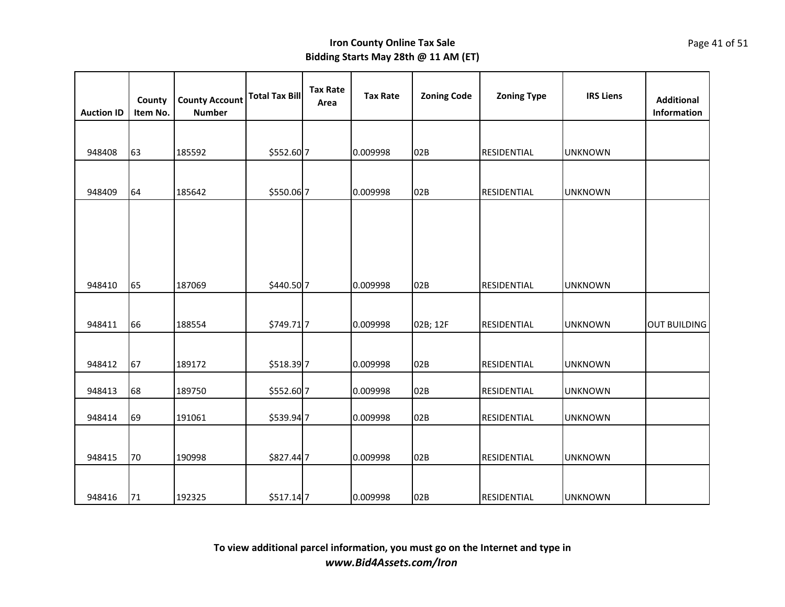| <b>Auction ID</b> | County<br>Item No. | <b>County Account</b><br><b>Number</b> | <b>Total Tax Bill</b> | <b>Tax Rate</b><br>Area | <b>Tax Rate</b> | <b>Zoning Code</b> | <b>Zoning Type</b> | <b>IRS Liens</b> | <b>Additional</b><br>Information |
|-------------------|--------------------|----------------------------------------|-----------------------|-------------------------|-----------------|--------------------|--------------------|------------------|----------------------------------|
|                   |                    |                                        |                       |                         |                 |                    |                    |                  |                                  |
| 948408            | 63                 | 185592                                 | \$552.60 7            |                         | 0.009998        | 02B                | <b>RESIDENTIAL</b> | <b>UNKNOWN</b>   |                                  |
|                   |                    |                                        |                       |                         |                 |                    |                    |                  |                                  |
| 948409            | 64                 | 185642                                 | \$550.06 7            |                         | 0.009998        | 02B                | RESIDENTIAL        | <b>UNKNOWN</b>   |                                  |
|                   |                    |                                        |                       |                         |                 |                    |                    |                  |                                  |
|                   |                    |                                        |                       |                         |                 |                    |                    |                  |                                  |
|                   |                    |                                        |                       |                         |                 |                    |                    |                  |                                  |
|                   |                    |                                        |                       |                         |                 |                    |                    |                  |                                  |
| 948410            | 65                 | 187069                                 | \$440.50 7            |                         | 0.009998        | 02B                | RESIDENTIAL        | <b>UNKNOWN</b>   |                                  |
|                   |                    |                                        |                       |                         |                 |                    |                    |                  |                                  |
| 948411            | 66                 | 188554                                 | \$749.717             |                         | 0.009998        | 02B; 12F           | RESIDENTIAL        | <b>UNKNOWN</b>   | <b>OUT BUILDING</b>              |
|                   |                    |                                        |                       |                         |                 |                    |                    |                  |                                  |
| 948412            | 67                 | 189172                                 | \$518.39 7            |                         | 0.009998        | 02B                | RESIDENTIAL        | <b>UNKNOWN</b>   |                                  |
| 948413            | 68                 | 189750                                 | \$552.60 7            |                         | 0.009998        | 02B                | RESIDENTIAL        | <b>UNKNOWN</b>   |                                  |
|                   |                    |                                        |                       |                         |                 |                    |                    |                  |                                  |
| 948414            | 69                 | 191061                                 | \$539.94 7            |                         | 0.009998        | 02B                | RESIDENTIAL        | <b>UNKNOWN</b>   |                                  |
|                   |                    |                                        |                       |                         |                 |                    |                    |                  |                                  |
| 948415            | 70                 | 190998                                 | \$827.44 7            |                         | 0.009998        | 02B                | RESIDENTIAL        | <b>UNKNOWN</b>   |                                  |
|                   |                    |                                        |                       |                         |                 |                    |                    |                  |                                  |
| 948416            | 71                 | 192325                                 | \$517.14 7            |                         | 0.009998        | 02B                | RESIDENTIAL        | <b>UNKNOWN</b>   |                                  |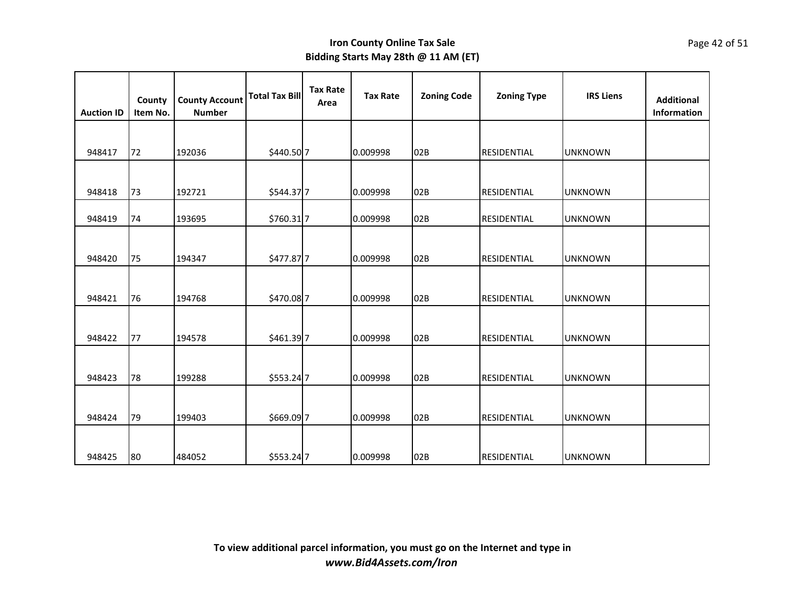| <b>Auction ID</b> | County<br>Item No. | <b>County Account</b><br><b>Number</b> | <b>Total Tax Bill</b> | <b>Tax Rate</b><br>Area | <b>Tax Rate</b> | <b>Zoning Code</b> | <b>Zoning Type</b> | <b>IRS Liens</b> | <b>Additional</b><br>Information |
|-------------------|--------------------|----------------------------------------|-----------------------|-------------------------|-----------------|--------------------|--------------------|------------------|----------------------------------|
|                   |                    |                                        |                       |                         |                 |                    |                    |                  |                                  |
| 948417            | 72                 | 192036                                 | \$440.50 7            |                         | 0.009998        | 02B                | RESIDENTIAL        | <b>UNKNOWN</b>   |                                  |
|                   |                    |                                        |                       |                         |                 |                    |                    |                  |                                  |
| 948418            | 73                 | 192721                                 | \$544.37 7            |                         | 0.009998        | 02B                | <b>RESIDENTIAL</b> | <b>UNKNOWN</b>   |                                  |
| 948419            | 74                 | 193695                                 | \$760.317             |                         | 0.009998        | 02B                | RESIDENTIAL        | <b>UNKNOWN</b>   |                                  |
|                   |                    |                                        |                       |                         |                 |                    |                    |                  |                                  |
| 948420            | 75                 | 194347                                 | \$477.877             |                         | 0.009998        | 02B                | RESIDENTIAL        | <b>UNKNOWN</b>   |                                  |
|                   |                    |                                        |                       |                         |                 |                    |                    |                  |                                  |
| 948421            | 76                 | 194768                                 | \$470.087             |                         | 0.009998        | 02B                | RESIDENTIAL        | <b>UNKNOWN</b>   |                                  |
|                   |                    |                                        |                       |                         |                 |                    |                    |                  |                                  |
| 948422            | 77                 | 194578                                 | \$461.39 7            |                         | 0.009998        | 02B                | RESIDENTIAL        | <b>UNKNOWN</b>   |                                  |
|                   |                    |                                        |                       |                         |                 |                    |                    |                  |                                  |
| 948423            | 78                 | 199288                                 | \$553.24 7            |                         | 0.009998        | 02B                | RESIDENTIAL        | <b>UNKNOWN</b>   |                                  |
|                   |                    |                                        |                       |                         |                 |                    |                    |                  |                                  |
| 948424            | 79                 | 199403                                 | \$669.097             |                         | 0.009998        | 02B                | RESIDENTIAL        | <b>UNKNOWN</b>   |                                  |
|                   |                    |                                        |                       |                         |                 |                    |                    |                  |                                  |
| 948425            | 80                 | 484052                                 | \$553.24 7            |                         | 0.009998        | 02B                | <b>RESIDENTIAL</b> | <b>UNKNOWN</b>   |                                  |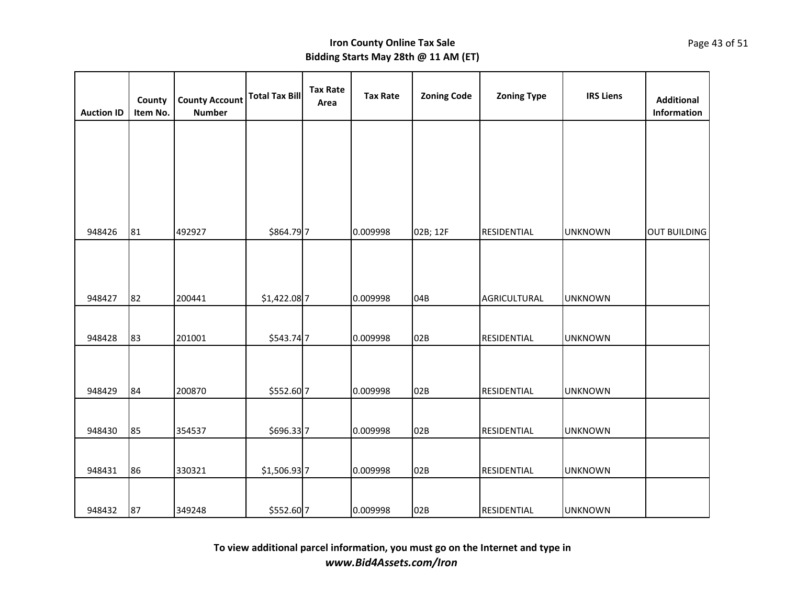| <b>Auction ID</b> | County<br>Item No. | <b>County Account</b><br><b>Number</b> | <b>Total Tax Bill</b> | <b>Tax Rate</b><br>Area | <b>Tax Rate</b> | <b>Zoning Code</b> | <b>Zoning Type</b> | <b>IRS Liens</b> | <b>Additional</b><br>Information |
|-------------------|--------------------|----------------------------------------|-----------------------|-------------------------|-----------------|--------------------|--------------------|------------------|----------------------------------|
|                   |                    |                                        |                       |                         |                 |                    |                    |                  |                                  |
|                   |                    |                                        |                       |                         |                 |                    |                    |                  |                                  |
|                   |                    |                                        |                       |                         |                 |                    |                    |                  |                                  |
| 948426            | 81                 | 492927                                 | \$864.797             |                         | 0.009998        | 02B; 12F           | RESIDENTIAL        | <b>UNKNOWN</b>   | <b>OUT BUILDING</b>              |
|                   |                    |                                        |                       |                         |                 |                    |                    |                  |                                  |
| 948427            | 82                 | 200441                                 | \$1,422.08 7          |                         | 0.009998        | 04B                | AGRICULTURAL       | <b>UNKNOWN</b>   |                                  |
|                   |                    |                                        |                       |                         |                 |                    |                    |                  |                                  |
| 948428            | 83                 | 201001                                 | \$543.74 7            |                         | 0.009998        | 02B                | RESIDENTIAL        | <b>UNKNOWN</b>   |                                  |
|                   |                    |                                        |                       |                         |                 |                    |                    |                  |                                  |
| 948429            | 84                 | 200870                                 | \$552.60 7            |                         | 0.009998        | 02B                | RESIDENTIAL        | <b>UNKNOWN</b>   |                                  |
|                   |                    |                                        |                       |                         |                 |                    |                    |                  |                                  |
| 948430            | 85                 | 354537                                 | \$696.337             |                         | 0.009998        | 02B                | RESIDENTIAL        | <b>UNKNOWN</b>   |                                  |
|                   |                    |                                        |                       |                         |                 |                    |                    |                  |                                  |
| 948431            | 86                 | 330321                                 | \$1,506.93 7          |                         | 0.009998        | 02B                | RESIDENTIAL        | <b>UNKNOWN</b>   |                                  |
|                   |                    |                                        |                       |                         |                 |                    |                    |                  |                                  |
| 948432            | 87                 | 349248                                 | \$552.60 7            |                         | 0.009998        | 02B                | RESIDENTIAL        | <b>UNKNOWN</b>   |                                  |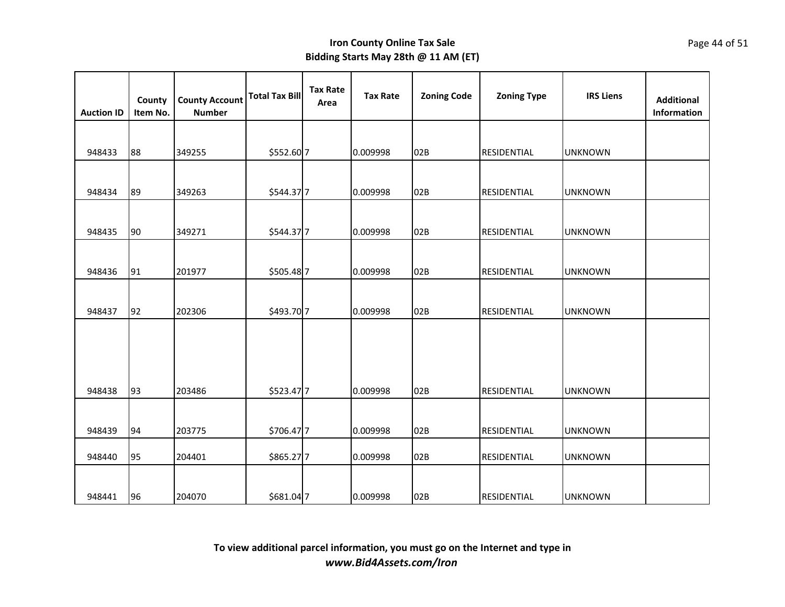| <b>Auction ID</b> | County<br>Item No. | <b>County Account</b><br><b>Number</b> | <b>Total Tax Bill</b> | <b>Tax Rate</b><br>Area | <b>Tax Rate</b> | <b>Zoning Code</b> | <b>Zoning Type</b> | <b>IRS Liens</b> | <b>Additional</b><br>Information |
|-------------------|--------------------|----------------------------------------|-----------------------|-------------------------|-----------------|--------------------|--------------------|------------------|----------------------------------|
|                   |                    |                                        |                       |                         |                 |                    |                    |                  |                                  |
| 948433            | 88                 | 349255                                 | \$552.60 7            |                         | 0.009998        | 02B                | <b>RESIDENTIAL</b> | <b>UNKNOWN</b>   |                                  |
|                   |                    |                                        |                       |                         |                 |                    |                    |                  |                                  |
| 948434            | 89                 | 349263                                 | \$544.37 7            |                         | 0.009998        | 02B                | RESIDENTIAL        | <b>UNKNOWN</b>   |                                  |
|                   |                    |                                        |                       |                         |                 |                    |                    |                  |                                  |
| 948435            | 90                 | 349271                                 | \$544.37 7            |                         | 0.009998        | 02B                | RESIDENTIAL        | <b>UNKNOWN</b>   |                                  |
|                   |                    |                                        |                       |                         |                 |                    |                    |                  |                                  |
| 948436            | 91                 | 201977                                 | \$505.48 7            |                         | 0.009998        | 02B                | RESIDENTIAL        | <b>UNKNOWN</b>   |                                  |
|                   |                    |                                        |                       |                         |                 |                    |                    |                  |                                  |
| 948437            | 92                 | 202306                                 | \$493.70 7            |                         | 0.009998        | 02B                | RESIDENTIAL        | <b>UNKNOWN</b>   |                                  |
|                   |                    |                                        |                       |                         |                 |                    |                    |                  |                                  |
|                   |                    |                                        |                       |                         |                 |                    |                    |                  |                                  |
|                   |                    |                                        |                       |                         |                 |                    |                    |                  |                                  |
| 948438            | 93                 | 203486                                 | \$523.47 7            |                         | 0.009998        | 02B                | RESIDENTIAL        | <b>UNKNOWN</b>   |                                  |
|                   |                    |                                        |                       |                         |                 |                    |                    |                  |                                  |
| 948439            | 94                 | 203775                                 | \$706.477             |                         | 0.009998        | 02B                | RESIDENTIAL        | <b>UNKNOWN</b>   |                                  |
| 948440            | 95                 | 204401                                 | \$865.27 7            |                         | 0.009998        | 02B                | RESIDENTIAL        | <b>UNKNOWN</b>   |                                  |
|                   |                    |                                        |                       |                         |                 |                    |                    |                  |                                  |
| 948441            | 96                 | 204070                                 | \$681.04 7            |                         | 0.009998        | 02B                | RESIDENTIAL        | <b>UNKNOWN</b>   |                                  |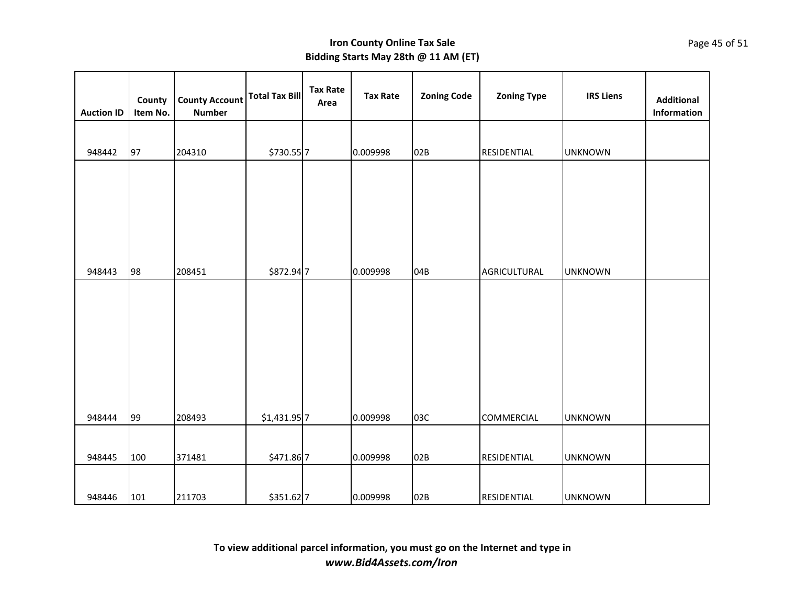| <b>Auction ID</b> | County<br>Item No. | <b>County Account</b><br><b>Number</b> | <b>Total Tax Bill</b> | <b>Tax Rate</b><br>Area | <b>Tax Rate</b> | <b>Zoning Code</b> | <b>Zoning Type</b> | <b>IRS Liens</b> | <b>Additional</b><br>Information |
|-------------------|--------------------|----------------------------------------|-----------------------|-------------------------|-----------------|--------------------|--------------------|------------------|----------------------------------|
|                   |                    |                                        |                       |                         |                 |                    |                    |                  |                                  |
| 948442            | 97                 | 204310                                 | \$730.55 7            |                         | 0.009998        | 02B                | RESIDENTIAL        | <b>UNKNOWN</b>   |                                  |
|                   |                    |                                        |                       |                         |                 |                    |                    |                  |                                  |
| 948443            | 98                 | 208451                                 | \$872.94 7            |                         | 0.009998        | 04B                | AGRICULTURAL       | <b>UNKNOWN</b>   |                                  |
| 948444            | 99                 | 208493                                 | \$1,431.95 7          |                         | 0.009998        | 03C                | COMMERCIAL         | <b>UNKNOWN</b>   |                                  |
| 948445            | 100                | 371481                                 | \$471.86 7            |                         | 0.009998        | 02B                | RESIDENTIAL        | <b>UNKNOWN</b>   |                                  |
| 948446            | 101                | 211703                                 | \$351.62 7            |                         | 0.009998        | 02B                | RESIDENTIAL        | <b>UNKNOWN</b>   |                                  |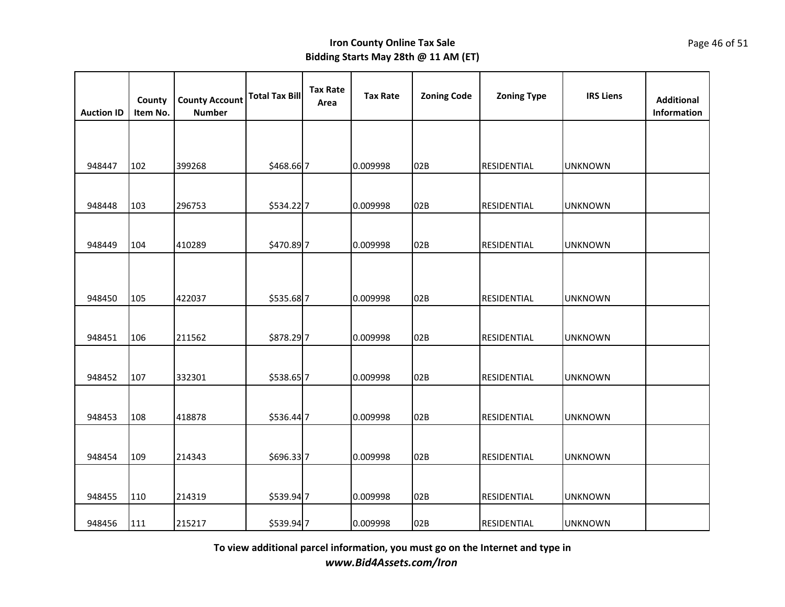| <b>Auction ID</b> | County<br>Item No. | <b>County Account</b><br><b>Number</b> | <b>Total Tax Bill</b> | <b>Tax Rate</b><br>Area | <b>Tax Rate</b> | <b>Zoning Code</b> | <b>Zoning Type</b> | <b>IRS Liens</b> | <b>Additional</b><br>Information |
|-------------------|--------------------|----------------------------------------|-----------------------|-------------------------|-----------------|--------------------|--------------------|------------------|----------------------------------|
|                   |                    |                                        |                       |                         |                 |                    |                    |                  |                                  |
| 948447            | 102                | 399268                                 | \$468.66 7            |                         | 0.009998        | 02B                | <b>RESIDENTIAL</b> | <b>UNKNOWN</b>   |                                  |
| 948448            | 103                | 296753                                 | \$534.22 7            |                         | 0.009998        | 02B                | <b>RESIDENTIAL</b> | <b>UNKNOWN</b>   |                                  |
| 948449            | 104                | 410289                                 | \$470.89 7            |                         | 0.009998        | 02B                | <b>RESIDENTIAL</b> | <b>UNKNOWN</b>   |                                  |
|                   |                    |                                        |                       |                         |                 |                    |                    |                  |                                  |
| 948450            | 105                | 422037                                 | \$535.68 7            |                         | 0.009998        | 02B                | RESIDENTIAL        | <b>UNKNOWN</b>   |                                  |
| 948451            | 106                | 211562                                 | \$878.297             |                         | 0.009998        | 02B                | RESIDENTIAL        | <b>UNKNOWN</b>   |                                  |
| 948452            | 107                | 332301                                 | \$538.65 7            |                         | 0.009998        | 02B                | RESIDENTIAL        | <b>UNKNOWN</b>   |                                  |
|                   |                    |                                        |                       |                         |                 |                    |                    |                  |                                  |
| 948453            | 108                | 418878                                 | \$536.44 7            |                         | 0.009998        | 02B                | RESIDENTIAL        | <b>UNKNOWN</b>   |                                  |
|                   |                    |                                        |                       |                         |                 |                    |                    |                  |                                  |
| 948454            | 109                | 214343                                 | \$696.337             |                         | 0.009998        | 02B                | <b>RESIDENTIAL</b> | <b>UNKNOWN</b>   |                                  |
| 948455            | 110                | 214319                                 | \$539.94 7            |                         | 0.009998        | 02B                | RESIDENTIAL        | <b>UNKNOWN</b>   |                                  |
| 948456            | 111                | 215217                                 | \$539.94 7            |                         | 0.009998        | 02B                | <b>RESIDENTIAL</b> | <b>UNKNOWN</b>   |                                  |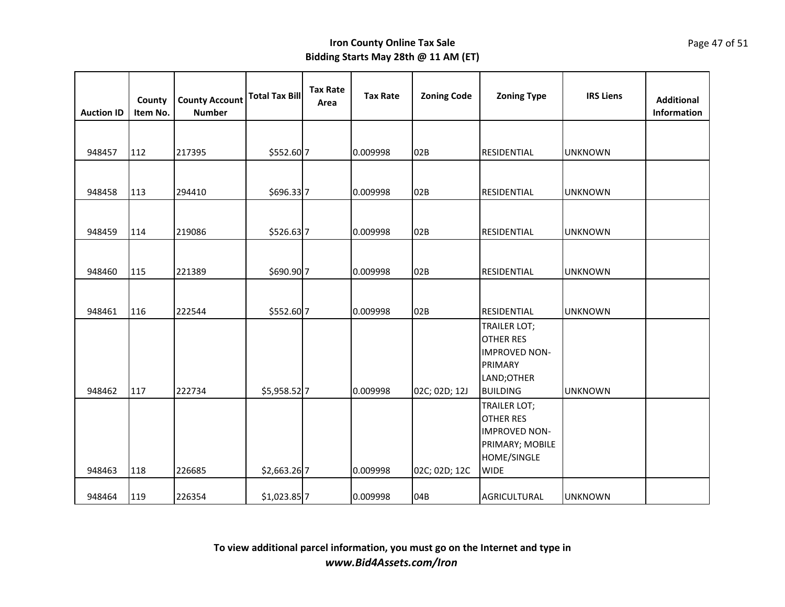| <b>Auction ID</b> | County<br>Item No. | <b>County Account</b><br><b>Number</b> | <b>Total Tax Bill</b> | <b>Tax Rate</b><br>Area | <b>Tax Rate</b> | <b>Zoning Code</b> | <b>Zoning Type</b>                                                                                               | <b>IRS Liens</b> | <b>Additional</b><br>Information |
|-------------------|--------------------|----------------------------------------|-----------------------|-------------------------|-----------------|--------------------|------------------------------------------------------------------------------------------------------------------|------------------|----------------------------------|
|                   |                    |                                        |                       |                         |                 |                    |                                                                                                                  |                  |                                  |
| 948457            | 112                | 217395                                 | \$552.60 7            |                         | 0.009998        | 02B                | <b>RESIDENTIAL</b>                                                                                               | <b>UNKNOWN</b>   |                                  |
|                   |                    |                                        |                       |                         |                 |                    |                                                                                                                  |                  |                                  |
| 948458            | 113                | 294410                                 | \$696.337             |                         | 0.009998        | 02B                | RESIDENTIAL                                                                                                      | <b>UNKNOWN</b>   |                                  |
|                   |                    |                                        |                       |                         |                 |                    |                                                                                                                  |                  |                                  |
| 948459            | 114                | 219086                                 | \$526.637             |                         | 0.009998        | 02B                | RESIDENTIAL                                                                                                      | <b>UNKNOWN</b>   |                                  |
|                   |                    |                                        |                       |                         |                 |                    |                                                                                                                  |                  |                                  |
| 948460            | 115                | 221389                                 | \$690.90 7            |                         | 0.009998        | 02B                | RESIDENTIAL                                                                                                      | <b>UNKNOWN</b>   |                                  |
|                   |                    |                                        |                       |                         |                 |                    |                                                                                                                  |                  |                                  |
| 948461            | 116                | 222544                                 | \$552.60 7            |                         | 0.009998        | 02B                | RESIDENTIAL                                                                                                      | <b>UNKNOWN</b>   |                                  |
| 948462            | 117                | 222734                                 | \$5,958.52 7          |                         | 0.009998        | 02C; 02D; 12J      | TRAILER LOT;<br><b>OTHER RES</b><br><b>IMPROVED NON-</b><br>PRIMARY<br>LAND;OTHER<br><b>BUILDING</b>             | <b>UNKNOWN</b>   |                                  |
| 948463            | 118                | 226685                                 | \$2,663.26 7          |                         | 0.009998        | 02C; 02D; 12C      | <b>TRAILER LOT;</b><br><b>OTHER RES</b><br><b>IMPROVED NON-</b><br>PRIMARY; MOBILE<br>HOME/SINGLE<br><b>WIDE</b> |                  |                                  |
| 948464            | 119                | 226354                                 | \$1,023.85 7          |                         | 0.009998        | 04B                | AGRICULTURAL                                                                                                     | <b>UNKNOWN</b>   |                                  |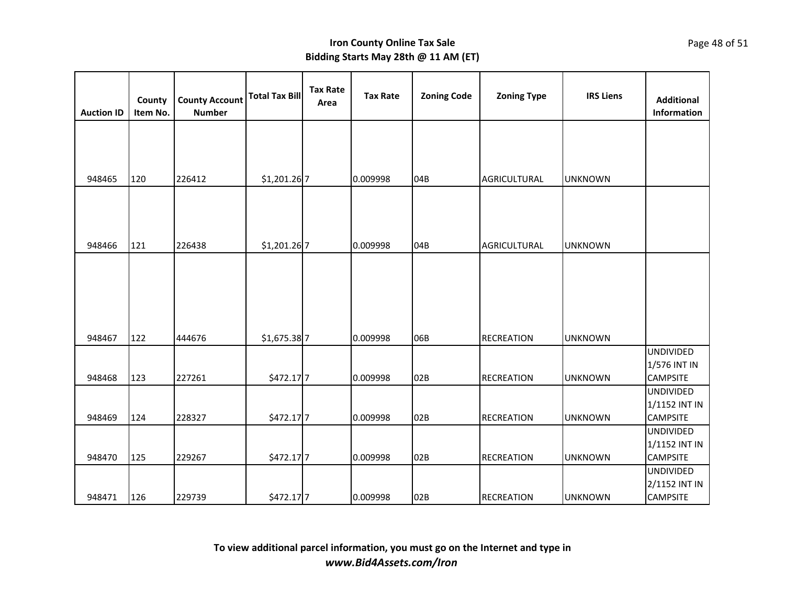| <b>Auction ID</b> | County<br>Item No. | <b>County Account</b><br><b>Number</b> | <b>Total Tax Bill</b> | <b>Tax Rate</b><br>Area | <b>Tax Rate</b> | <b>Zoning Code</b> | <b>Zoning Type</b>  | <b>IRS Liens</b> | <b>Additional</b><br>Information  |
|-------------------|--------------------|----------------------------------------|-----------------------|-------------------------|-----------------|--------------------|---------------------|------------------|-----------------------------------|
|                   |                    |                                        |                       |                         |                 |                    |                     |                  |                                   |
|                   |                    |                                        |                       |                         |                 |                    |                     |                  |                                   |
| 948465            | 120                | 226412                                 | \$1,201.26 7          |                         | 0.009998        | 04B                | <b>AGRICULTURAL</b> | <b>UNKNOWN</b>   |                                   |
|                   |                    |                                        |                       |                         |                 |                    |                     |                  |                                   |
|                   |                    |                                        |                       |                         |                 |                    |                     |                  |                                   |
|                   |                    |                                        |                       |                         |                 |                    |                     |                  |                                   |
| 948466            | 121                | 226438                                 | \$1,201.26 7          |                         | 0.009998        | 04B                | <b>AGRICULTURAL</b> | <b>UNKNOWN</b>   |                                   |
|                   |                    |                                        |                       |                         |                 |                    |                     |                  |                                   |
|                   |                    |                                        |                       |                         |                 |                    |                     |                  |                                   |
|                   |                    |                                        |                       |                         |                 |                    |                     |                  |                                   |
|                   |                    |                                        |                       |                         |                 |                    |                     |                  |                                   |
|                   |                    |                                        |                       |                         |                 |                    |                     |                  |                                   |
| 948467            | 122                | 444676                                 | \$1,675.38 7          |                         | 0.009998        | 06B                | <b>RECREATION</b>   | <b>UNKNOWN</b>   | <b>UNDIVIDED</b>                  |
|                   |                    |                                        |                       |                         |                 |                    |                     |                  | 1/576 INT IN                      |
| 948468            | 123                | 227261                                 | \$472.17 7            |                         | 0.009998        | 02B                | <b>RECREATION</b>   | <b>UNKNOWN</b>   | <b>CAMPSITE</b>                   |
|                   |                    |                                        |                       |                         |                 |                    |                     |                  | <b>UNDIVIDED</b>                  |
|                   |                    |                                        |                       |                         |                 |                    |                     |                  | 1/1152 INT IN                     |
| 948469            | 124                | 228327                                 | \$472.17 7            |                         | 0.009998        | 02B                | <b>RECREATION</b>   | <b>UNKNOWN</b>   | <b>CAMPSITE</b>                   |
|                   |                    |                                        |                       |                         |                 |                    |                     |                  | <b>UNDIVIDED</b><br>1/1152 INT IN |
| 948470            | 125                | 229267                                 | \$472.17 7            |                         | 0.009998        | 02B                | <b>RECREATION</b>   | <b>UNKNOWN</b>   | <b>CAMPSITE</b>                   |
|                   |                    |                                        |                       |                         |                 |                    |                     |                  | <b>UNDIVIDED</b>                  |
|                   |                    |                                        |                       |                         |                 |                    |                     |                  | 2/1152 INT IN                     |
| 948471            | 126                | 229739                                 | \$472.17 7            |                         | 0.009998        | 02B                | <b>RECREATION</b>   | <b>UNKNOWN</b>   | <b>CAMPSITE</b>                   |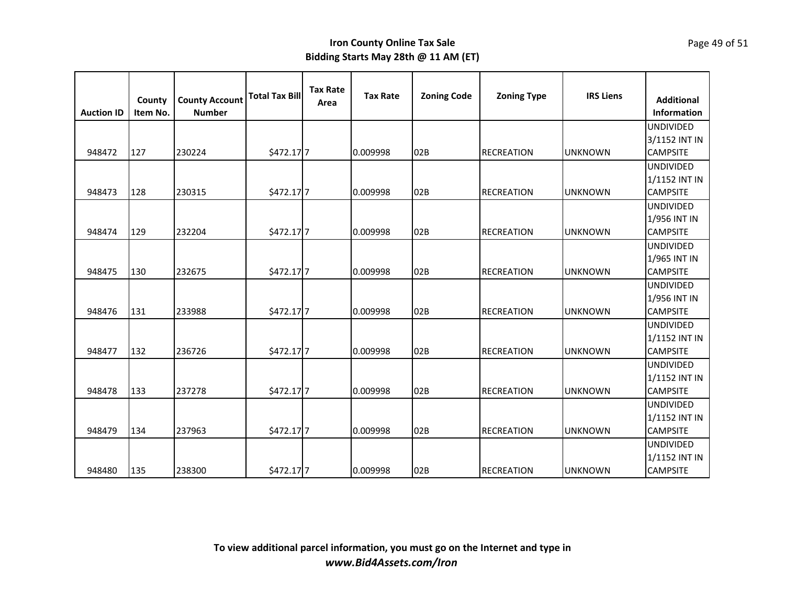| <b>Auction ID</b> | County<br>Item No. | <b>County Account</b><br><b>Number</b> | <b>Total Tax Bill</b> | <b>Tax Rate</b><br>Area | <b>Tax Rate</b> | <b>Zoning Code</b> | <b>Zoning Type</b> | <b>IRS Liens</b> | <b>Additional</b><br><b>Information</b> |
|-------------------|--------------------|----------------------------------------|-----------------------|-------------------------|-----------------|--------------------|--------------------|------------------|-----------------------------------------|
|                   |                    |                                        |                       |                         |                 |                    |                    |                  | <b>UNDIVIDED</b>                        |
|                   |                    |                                        |                       |                         |                 |                    |                    |                  | 3/1152 INT IN                           |
| 948472            | 127                | 230224                                 | \$472.17 7            |                         | 0.009998        | 02B                | <b>RECREATION</b>  | <b>UNKNOWN</b>   | <b>CAMPSITE</b>                         |
|                   |                    |                                        |                       |                         |                 |                    |                    |                  | <b>UNDIVIDED</b>                        |
|                   |                    |                                        |                       |                         |                 |                    |                    |                  | 1/1152 INT IN                           |
| 948473            | 128                | 230315                                 | \$472.177             |                         | 0.009998        | 02B                | <b>RECREATION</b>  | <b>UNKNOWN</b>   | <b>CAMPSITE</b>                         |
|                   |                    |                                        |                       |                         |                 |                    |                    |                  | <b>UNDIVIDED</b>                        |
|                   |                    |                                        |                       |                         |                 |                    |                    |                  | 1/956 INT IN                            |
| 948474            | 129                | 232204                                 | \$472.177             |                         | 0.009998        | 02B                | <b>RECREATION</b>  | <b>UNKNOWN</b>   | <b>CAMPSITE</b>                         |
|                   |                    |                                        |                       |                         |                 |                    |                    |                  | <b>UNDIVIDED</b>                        |
|                   |                    |                                        |                       |                         |                 |                    |                    |                  | 1/965 INT IN                            |
| 948475            | 130                | 232675                                 | \$472.177             |                         | 0.009998        | 02B                | <b>RECREATION</b>  | <b>UNKNOWN</b>   | <b>CAMPSITE</b>                         |
|                   |                    |                                        |                       |                         |                 |                    |                    |                  | <b>UNDIVIDED</b>                        |
|                   |                    |                                        |                       |                         |                 |                    |                    |                  | 1/956 INT IN                            |
| 948476            | 131                | 233988                                 | \$472.17 7            |                         | 0.009998        | 02B                | <b>RECREATION</b>  | <b>UNKNOWN</b>   | <b>CAMPSITE</b>                         |
|                   |                    |                                        |                       |                         |                 |                    |                    |                  | <b>UNDIVIDED</b>                        |
|                   |                    |                                        |                       |                         |                 |                    |                    |                  | 1/1152 INT IN                           |
| 948477            | 132                | 236726                                 | \$472.177             |                         | 0.009998        | 02B                | <b>RECREATION</b>  | <b>UNKNOWN</b>   | <b>CAMPSITE</b>                         |
|                   |                    |                                        |                       |                         |                 |                    |                    |                  | <b>UNDIVIDED</b>                        |
|                   |                    |                                        |                       |                         |                 |                    |                    |                  | 1/1152 INT IN                           |
| 948478            | 133                | 237278                                 | \$472.17 7            |                         | 0.009998        | 02B                | <b>RECREATION</b>  | <b>UNKNOWN</b>   | <b>CAMPSITE</b>                         |
|                   |                    |                                        |                       |                         |                 |                    |                    |                  | <b>UNDIVIDED</b>                        |
|                   |                    |                                        |                       |                         |                 |                    |                    |                  | 1/1152 INT IN                           |
| 948479            | 134                | 237963                                 | \$472.17 7            |                         | 0.009998        | 02B                | <b>RECREATION</b>  | <b>UNKNOWN</b>   | <b>CAMPSITE</b>                         |
|                   |                    |                                        |                       |                         |                 |                    |                    |                  | <b>UNDIVIDED</b>                        |
|                   |                    |                                        |                       |                         |                 |                    |                    |                  | 1/1152 INT IN                           |
| 948480            | 135                | 238300                                 | \$472.17 7            |                         | 0.009998        | 02B                | <b>RECREATION</b>  | <b>UNKNOWN</b>   | <b>CAMPSITE</b>                         |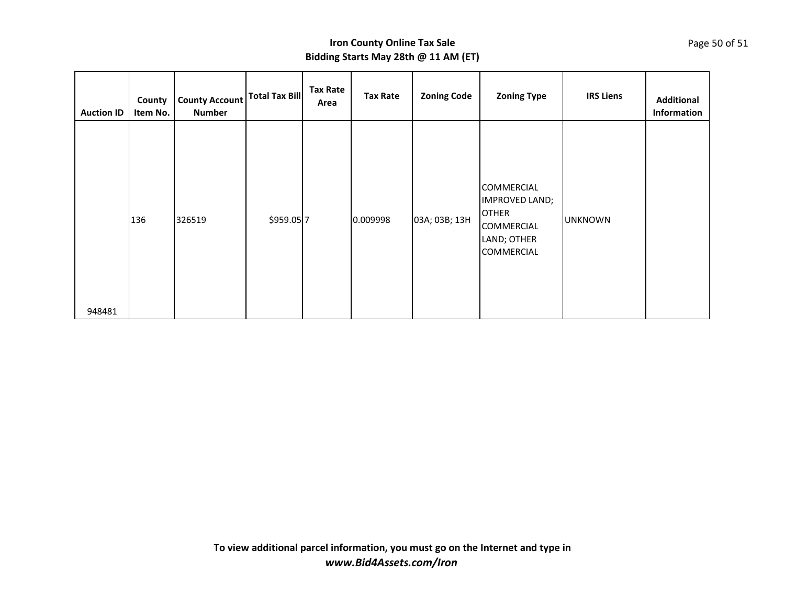| County<br><b>Auction ID</b><br>Item No. | <b>County Account</b><br><b>Number</b> | Total Tax Bill | <b>Tax Rate</b><br>Area | <b>Tax Rate</b> | <b>Zoning Code</b> | <b>Zoning Type</b>                                                                                    | <b>IRS Liens</b> | <b>Additional</b><br>Information |
|-----------------------------------------|----------------------------------------|----------------|-------------------------|-----------------|--------------------|-------------------------------------------------------------------------------------------------------|------------------|----------------------------------|
| 136<br>948481                           | 326519                                 | \$959.05 7     |                         | 0.009998        | 03A; 03B; 13H      | COMMERCIAL<br>IMPROVED LAND;<br><b>OTHER</b><br><b>COMMERCIAL</b><br>LAND; OTHER<br><b>COMMERCIAL</b> | <b>UNKNOWN</b>   |                                  |